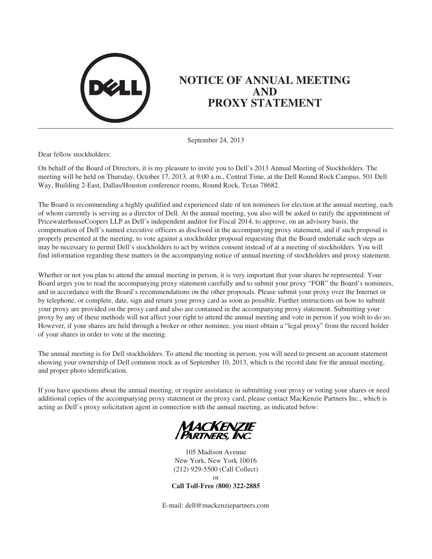

# **NOTICE OF ANNUAL MEETING AND PROXY STATEMENT**

September 24, 2013

Dear fellow stockholders:

On behalf of the Board of Directors, it is my pleasure to invite you to Dell's 2013 Annual Meeting of Stockholders. The meeting will be held on Thursday, October 17, 2013, at 9:00 a.m., Central Time, at the Dell Round Rock Campus, 501 Dell Way, Building 2-East, Dallas/Houston conference rooms, Round Rock, Texas 78682.

The Board is recommending a highly qualified and experienced slate of ten nominees for election at the annual meeting, each of whom currently is serving as a director of Dell. At the annual meeting, you also will be asked to ratify the appointment of PricewaterhouseCoopers LLP as Dell's independent auditor for Fiscal 2014, to approve, on an advisory basis, the compensation of Dell's named executive officers as disclosed in the accompanying proxy statement, and if such proposal is properly presented at the meeting, to vote against a stockholder proposal requesting that the Board undertake such steps as may be necessary to permit Dell's stockholders to act by written consent instead of at a meeting of stockholders. You will find information regarding these matters in the accompanying notice of annual meeting of stockholders and proxy statement.

Whether or not you plan to attend the annual meeting in person, it is very important that your shares be represented. Your Board urges you to read the accompanying proxy statement carefully and to submit your proxy "FOR" the Board's nominees, and in accordance with the Board's recommendations on the other proposals. Please submit your proxy over the Internet or by telephone, or complete, date, sign and return your proxy card as soon as possible. Further instructions on how to submit your proxy are provided on the proxy card and also are contained in the accompanying proxy statement. Submitting your proxy by any of these methods will not affect your right to attend the annual meeting and vote in person if you wish to do so. However, if your shares are held through a broker or other nominee, you must obtain a "legal proxy" from the record holder of your shares in order to vote at the meeting.

The annual meeting is for Dell stockholders. To attend the meeting in person, you will need to present an account statement showing your ownership of Dell common stock as of September 10, 2013, which is the record date for the annual meeting, and proper photo identification.

If you have questions about the annual meeting, or require assistance in submitting your proxy or voting your shares or need additional copies of the accompanying proxy statement or the proxy card, please contact MacKenzie Partners Inc., which is acting as Dell's proxy solicitation agent in connection with the annual meeting, as indicated below:



105 Madison Avenue New York, New York 10016 (212) 929-5500 (Call Collect) or **Call Toll-Free (800) 322-2885**

E-mail: dell@mackenziepartners.com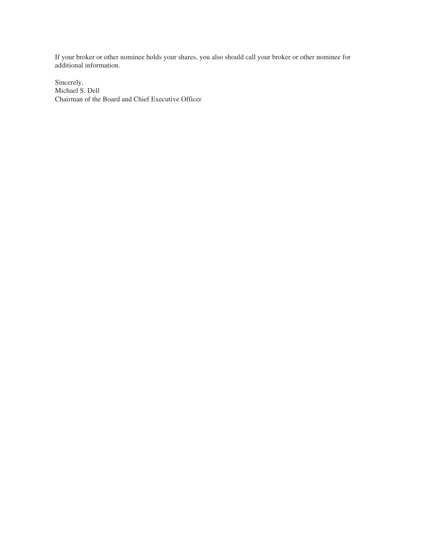If your broker or other nominee holds your shares, you also should call your broker or other nominee for additional information.

Sincerely, Michael S. Dell Chairman of the Board and Chief Executive Officer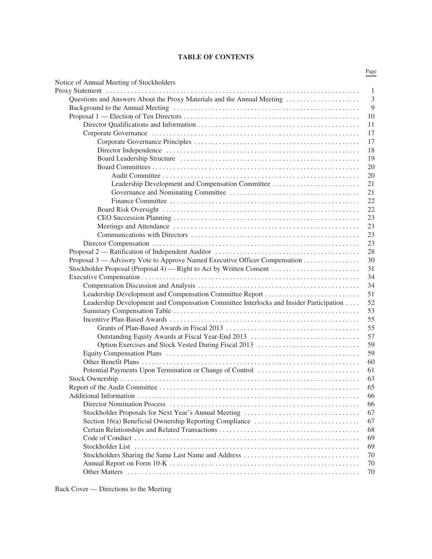# **TABLE OF CONTENTS**

|                                                                                        | Page |
|----------------------------------------------------------------------------------------|------|
| Notice of Annual Meeting of Stockholders                                               |      |
|                                                                                        | -1   |
|                                                                                        | 3    |
|                                                                                        | 9    |
|                                                                                        | 10   |
|                                                                                        | 11   |
|                                                                                        | 17   |
|                                                                                        | 17   |
|                                                                                        | 18   |
|                                                                                        | 19   |
|                                                                                        | 20   |
|                                                                                        | 20   |
|                                                                                        | 21   |
|                                                                                        | 21   |
|                                                                                        | 22   |
|                                                                                        | 22   |
|                                                                                        | 23   |
|                                                                                        | 23   |
|                                                                                        | 23   |
|                                                                                        | 23   |
|                                                                                        | 28   |
| Proposal 3 — Advisory Vote to Approve Named Executive Officer Compensation             | 30   |
| Stockholder Proposal (Proposal 4) — Right to Act by Written Consent                    | 31   |
|                                                                                        | 34   |
|                                                                                        | 34   |
| Leadership Development and Compensation Committee Report                               | 51   |
| Leadership Development and Compensation Committee Interlocks and Insider Participation | 52   |
|                                                                                        | 53   |
|                                                                                        | 55   |
|                                                                                        | 55   |
|                                                                                        | 57   |
| Option Exercises and Stock Vested During Fiscal 2013                                   | 59   |
|                                                                                        | 59   |
|                                                                                        | 60   |
|                                                                                        | 61   |
|                                                                                        | 63   |
|                                                                                        | 65   |
|                                                                                        | 66   |
|                                                                                        | 66   |
| Stockholder Proposals for Next Year's Annual Meeting                                   | 67   |
|                                                                                        | 67   |
|                                                                                        | 68   |
|                                                                                        | 69   |
|                                                                                        | 69   |
|                                                                                        | 70   |
|                                                                                        | 70   |
|                                                                                        | 70   |
|                                                                                        |      |

Back Cover — Directions to the Meeting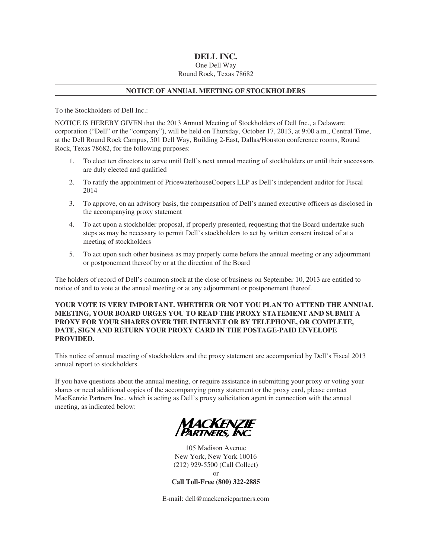# **DELL INC.**

# One Dell Way Round Rock, Texas 78682

# **NOTICE OF ANNUAL MEETING OF STOCKHOLDERS**

To the Stockholders of Dell Inc.:

NOTICE IS HEREBY GIVEN that the 2013 Annual Meeting of Stockholders of Dell Inc., a Delaware corporation ("Dell" or the "company"), will be held on Thursday, October 17, 2013, at 9:00 a.m., Central Time, at the Dell Round Rock Campus, 501 Dell Way, Building 2-East, Dallas/Houston conference rooms, Round Rock, Texas 78682, for the following purposes:

- 1. To elect ten directors to serve until Dell's next annual meeting of stockholders or until their successors are duly elected and qualified
- 2. To ratify the appointment of PricewaterhouseCoopers LLP as Dell's independent auditor for Fiscal 2014
- 3. To approve, on an advisory basis, the compensation of Dell's named executive officers as disclosed in the accompanying proxy statement
- 4. To act upon a stockholder proposal, if properly presented, requesting that the Board undertake such steps as may be necessary to permit Dell's stockholders to act by written consent instead of at a meeting of stockholders
- 5. To act upon such other business as may properly come before the annual meeting or any adjournment or postponement thereof by or at the direction of the Board

The holders of record of Dell's common stock at the close of business on September 10, 2013 are entitled to notice of and to vote at the annual meeting or at any adjournment or postponement thereof.

# **YOUR VOTE IS VERY IMPORTANT. WHETHER OR NOT YOU PLAN TO ATTEND THE ANNUAL MEETING, YOUR BOARD URGES YOU TO READ THE PROXY STATEMENT AND SUBMIT A PROXY FOR YOUR SHARES OVER THE INTERNET OR BY TELEPHONE, OR COMPLETE, DATE, SIGN AND RETURN YOUR PROXY CARD IN THE POSTAGE-PAID ENVELOPE PROVIDED.**

This notice of annual meeting of stockholders and the proxy statement are accompanied by Dell's Fiscal 2013 annual report to stockholders.

If you have questions about the annual meeting, or require assistance in submitting your proxy or voting your shares or need additional copies of the accompanying proxy statement or the proxy card, please contact MacKenzie Partners Inc., which is acting as Dell's proxy solicitation agent in connection with the annual meeting, as indicated below:



105 Madison Avenue New York, New York 10016 (212) 929-5500 (Call Collect) or **Call Toll-Free (800) 322-2885**

E-mail: dell@mackenziepartners.com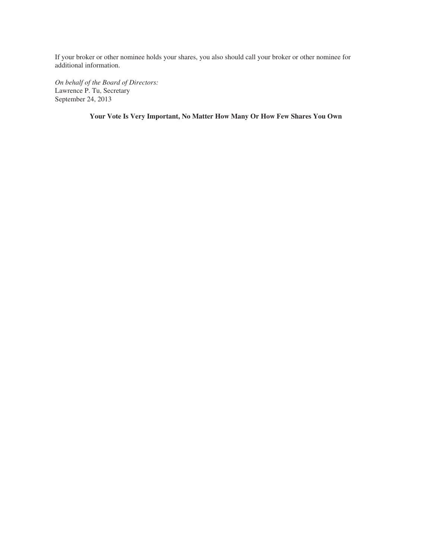If your broker or other nominee holds your shares, you also should call your broker or other nominee for additional information.

*On behalf of the Board of Directors:* Lawrence P. Tu, Secretary September 24, 2013

**Your Vote Is Very Important, No Matter How Many Or How Few Shares You Own**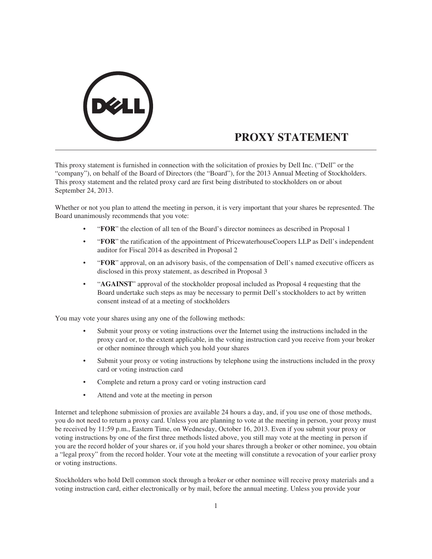

# **PROXY STATEMENT**

This proxy statement is furnished in connection with the solicitation of proxies by Dell Inc. ("Dell" or the "company"), on behalf of the Board of Directors (the "Board"), for the 2013 Annual Meeting of Stockholders. This proxy statement and the related proxy card are first being distributed to stockholders on or about September 24, 2013.

Whether or not you plan to attend the meeting in person, it is very important that your shares be represented. The Board unanimously recommends that you vote:

- "**FOR**" the election of all ten of the Board's director nominees as described in Proposal 1
- "**FOR**" the ratification of the appointment of PricewaterhouseCoopers LLP as Dell's independent auditor for Fiscal 2014 as described in Proposal 2
- "**FOR**" approval, on an advisory basis, of the compensation of Dell's named executive officers as disclosed in this proxy statement, as described in Proposal 3
- "**AGAINST**" approval of the stockholder proposal included as Proposal 4 requesting that the Board undertake such steps as may be necessary to permit Dell's stockholders to act by written consent instead of at a meeting of stockholders

You may vote your shares using any one of the following methods:

- Submit your proxy or voting instructions over the Internet using the instructions included in the proxy card or, to the extent applicable, in the voting instruction card you receive from your broker or other nominee through which you hold your shares
- Submit your proxy or voting instructions by telephone using the instructions included in the proxy card or voting instruction card
- Complete and return a proxy card or voting instruction card
- Attend and vote at the meeting in person

Internet and telephone submission of proxies are available 24 hours a day, and, if you use one of those methods, you do not need to return a proxy card. Unless you are planning to vote at the meeting in person, your proxy must be received by 11:59 p.m., Eastern Time, on Wednesday, October 16, 2013. Even if you submit your proxy or voting instructions by one of the first three methods listed above, you still may vote at the meeting in person if you are the record holder of your shares or, if you hold your shares through a broker or other nominee, you obtain a "legal proxy" from the record holder. Your vote at the meeting will constitute a revocation of your earlier proxy or voting instructions.

Stockholders who hold Dell common stock through a broker or other nominee will receive proxy materials and a voting instruction card, either electronically or by mail, before the annual meeting. Unless you provide your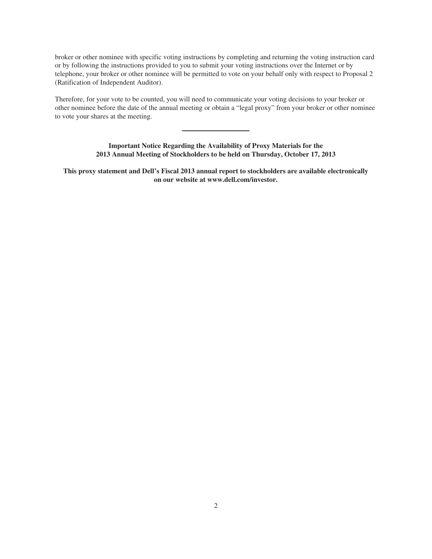broker or other nominee with specific voting instructions by completing and returning the voting instruction card or by following the instructions provided to you to submit your voting instructions over the Internet or by telephone, your broker or other nominee will be permitted to vote on your behalf only with respect to Proposal 2 (Ratification of Independent Auditor).

Therefore, for your vote to be counted, you will need to communicate your voting decisions to your broker or other nominee before the date of the annual meeting or obtain a "legal proxy" from your broker or other nominee to vote your shares at the meeting.

> **Important Notice Regarding the Availability of Proxy Materials for the 2013 Annual Meeting of Stockholders to be held on Thursday, October 17, 2013**

**This proxy statement and Dell's Fiscal 2013 annual report to stockholders are available electronically on our website at www.dell.com/investor.**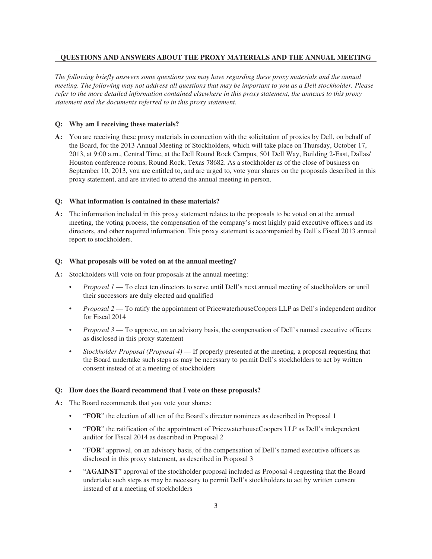# **QUESTIONS AND ANSWERS ABOUT THE PROXY MATERIALS AND THE ANNUAL MEETING**

*The following briefly answers some questions you may have regarding these proxy materials and the annual meeting. The following may not address all questions that may be important to you as a Dell stockholder. Please refer to the more detailed information contained elsewhere in this proxy statement, the annexes to this proxy statement and the documents referred to in this proxy statement.*

#### **Q: Why am I receiving these materials?**

**A:** You are receiving these proxy materials in connection with the solicitation of proxies by Dell, on behalf of the Board, for the 2013 Annual Meeting of Stockholders, which will take place on Thursday, October 17, 2013, at 9:00 a.m., Central Time, at the Dell Round Rock Campus, 501 Dell Way, Building 2-East, Dallas/ Houston conference rooms, Round Rock, Texas 78682. As a stockholder as of the close of business on September 10, 2013, you are entitled to, and are urged to, vote your shares on the proposals described in this proxy statement, and are invited to attend the annual meeting in person.

#### **Q: What information is contained in these materials?**

**A:** The information included in this proxy statement relates to the proposals to be voted on at the annual meeting, the voting process, the compensation of the company's most highly paid executive officers and its directors, and other required information. This proxy statement is accompanied by Dell's Fiscal 2013 annual report to stockholders.

#### **Q: What proposals will be voted on at the annual meeting?**

- **A:** Stockholders will vote on four proposals at the annual meeting:
	- *Proposal 1* To elect ten directors to serve until Dell's next annual meeting of stockholders or until their successors are duly elected and qualified
	- *Proposal 2* To ratify the appointment of PricewaterhouseCoopers LLP as Dell's independent auditor for Fiscal 2014
	- *Proposal 3* To approve, on an advisory basis, the compensation of Dell's named executive officers as disclosed in this proxy statement
	- *Stockholder Proposal (Proposal 4)* If properly presented at the meeting, a proposal requesting that the Board undertake such steps as may be necessary to permit Dell's stockholders to act by written consent instead of at a meeting of stockholders

#### **Q: How does the Board recommend that I vote on these proposals?**

- **A:** The Board recommends that you vote your shares:
	- "**FOR**" the election of all ten of the Board's director nominees as described in Proposal 1
	- "**FOR**" the ratification of the appointment of PricewaterhouseCoopers LLP as Dell's independent auditor for Fiscal 2014 as described in Proposal 2
	- "**FOR**" approval, on an advisory basis, of the compensation of Dell's named executive officers as disclosed in this proxy statement, as described in Proposal 3
	- "**AGAINST**" approval of the stockholder proposal included as Proposal 4 requesting that the Board undertake such steps as may be necessary to permit Dell's stockholders to act by written consent instead of at a meeting of stockholders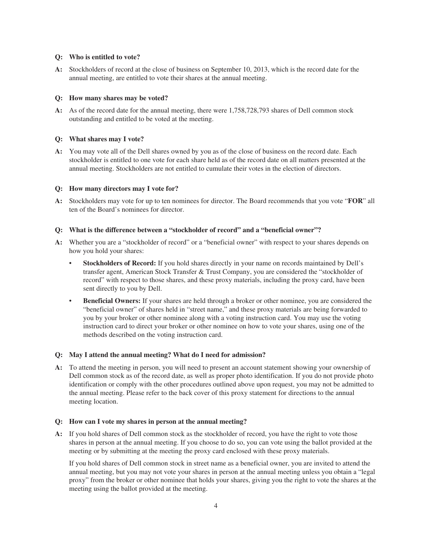#### **Q: Who is entitled to vote?**

**A:** Stockholders of record at the close of business on September 10, 2013, which is the record date for the annual meeting, are entitled to vote their shares at the annual meeting.

#### **Q: How many shares may be voted?**

**A:** As of the record date for the annual meeting, there were 1,758,728,793 shares of Dell common stock outstanding and entitled to be voted at the meeting.

#### **Q: What shares may I vote?**

**A:** You may vote all of the Dell shares owned by you as of the close of business on the record date. Each stockholder is entitled to one vote for each share held as of the record date on all matters presented at the annual meeting. Stockholders are not entitled to cumulate their votes in the election of directors.

#### **Q: How many directors may I vote for?**

**A:** Stockholders may vote for up to ten nominees for director. The Board recommends that you vote "**FOR**" all ten of the Board's nominees for director.

## **Q: What is the difference between a "stockholder of record" and a "beneficial owner"?**

- **A:** Whether you are a "stockholder of record" or a "beneficial owner" with respect to your shares depends on how you hold your shares:
	- **Stockholders of Record:** If you hold shares directly in your name on records maintained by Dell's transfer agent, American Stock Transfer & Trust Company, you are considered the "stockholder of record" with respect to those shares, and these proxy materials, including the proxy card, have been sent directly to you by Dell.
	- **Beneficial Owners:** If your shares are held through a broker or other nominee, you are considered the "beneficial owner" of shares held in "street name," and these proxy materials are being forwarded to you by your broker or other nominee along with a voting instruction card. You may use the voting instruction card to direct your broker or other nominee on how to vote your shares, using one of the methods described on the voting instruction card.

#### **Q: May I attend the annual meeting? What do I need for admission?**

**A:** To attend the meeting in person, you will need to present an account statement showing your ownership of Dell common stock as of the record date, as well as proper photo identification. If you do not provide photo identification or comply with the other procedures outlined above upon request, you may not be admitted to the annual meeting. Please refer to the back cover of this proxy statement for directions to the annual meeting location.

#### **Q: How can I vote my shares in person at the annual meeting?**

**A:** If you hold shares of Dell common stock as the stockholder of record, you have the right to vote those shares in person at the annual meeting. If you choose to do so, you can vote using the ballot provided at the meeting or by submitting at the meeting the proxy card enclosed with these proxy materials.

If you hold shares of Dell common stock in street name as a beneficial owner, you are invited to attend the annual meeting, but you may not vote your shares in person at the annual meeting unless you obtain a "legal proxy" from the broker or other nominee that holds your shares, giving you the right to vote the shares at the meeting using the ballot provided at the meeting.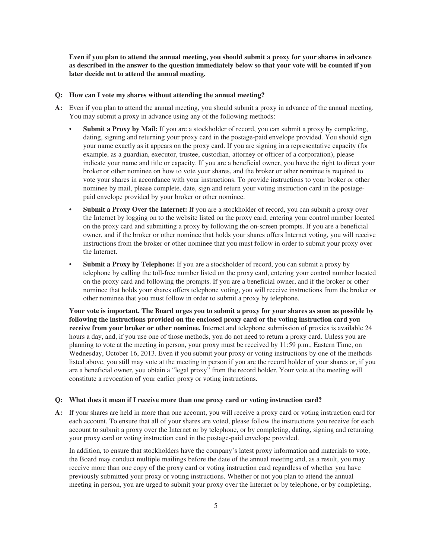**Even if you plan to attend the annual meeting, you should submit a proxy for your shares in advance as described in the answer to the question immediately below so that your vote will be counted if you later decide not to attend the annual meeting.**

#### **Q: How can I vote my shares without attending the annual meeting?**

- **A:** Even if you plan to attend the annual meeting, you should submit a proxy in advance of the annual meeting. You may submit a proxy in advance using any of the following methods:
	- **Submit a Proxy by Mail:** If you are a stockholder of record, you can submit a proxy by completing, dating, signing and returning your proxy card in the postage-paid envelope provided. You should sign your name exactly as it appears on the proxy card. If you are signing in a representative capacity (for example, as a guardian, executor, trustee, custodian, attorney or officer of a corporation), please indicate your name and title or capacity. If you are a beneficial owner, you have the right to direct your broker or other nominee on how to vote your shares, and the broker or other nominee is required to vote your shares in accordance with your instructions. To provide instructions to your broker or other nominee by mail, please complete, date, sign and return your voting instruction card in the postagepaid envelope provided by your broker or other nominee.
	- **Submit a Proxy Over the Internet:** If you are a stockholder of record, you can submit a proxy over the Internet by logging on to the website listed on the proxy card, entering your control number located on the proxy card and submitting a proxy by following the on-screen prompts. If you are a beneficial owner, and if the broker or other nominee that holds your shares offers Internet voting, you will receive instructions from the broker or other nominee that you must follow in order to submit your proxy over the Internet.
	- **Submit a Proxy by Telephone:** If you are a stockholder of record, you can submit a proxy by telephone by calling the toll-free number listed on the proxy card, entering your control number located on the proxy card and following the prompts. If you are a beneficial owner, and if the broker or other nominee that holds your shares offers telephone voting, you will receive instructions from the broker or other nominee that you must follow in order to submit a proxy by telephone.

**Your vote is important. The Board urges you to submit a proxy for your shares as soon as possible by following the instructions provided on the enclosed proxy card or the voting instruction card you receive from your broker or other nominee.** Internet and telephone submission of proxies is available 24 hours a day, and, if you use one of those methods, you do not need to return a proxy card. Unless you are planning to vote at the meeting in person, your proxy must be received by 11:59 p.m., Eastern Time, on Wednesday, October 16, 2013. Even if you submit your proxy or voting instructions by one of the methods listed above, you still may vote at the meeting in person if you are the record holder of your shares or, if you are a beneficial owner, you obtain a "legal proxy" from the record holder. Your vote at the meeting will constitute a revocation of your earlier proxy or voting instructions.

#### **Q: What does it mean if I receive more than one proxy card or voting instruction card?**

**A:** If your shares are held in more than one account, you will receive a proxy card or voting instruction card for each account. To ensure that all of your shares are voted, please follow the instructions you receive for each account to submit a proxy over the Internet or by telephone, or by completing, dating, signing and returning your proxy card or voting instruction card in the postage-paid envelope provided.

In addition, to ensure that stockholders have the company's latest proxy information and materials to vote, the Board may conduct multiple mailings before the date of the annual meeting and, as a result, you may receive more than one copy of the proxy card or voting instruction card regardless of whether you have previously submitted your proxy or voting instructions. Whether or not you plan to attend the annual meeting in person, you are urged to submit your proxy over the Internet or by telephone, or by completing,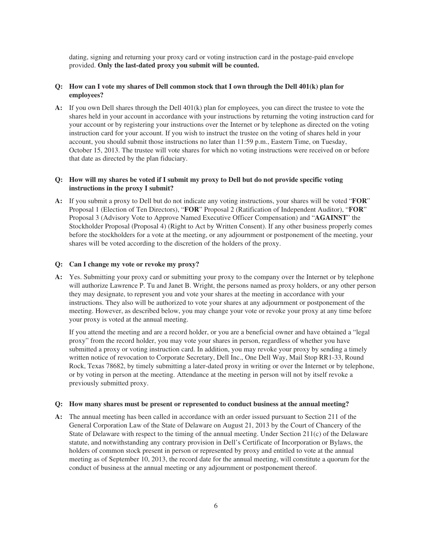dating, signing and returning your proxy card or voting instruction card in the postage-paid envelope provided. **Only the last-dated proxy you submit will be counted.**

## **Q: How can I vote my shares of Dell common stock that I own through the Dell 401(k) plan for employees?**

**A:** If you own Dell shares through the Dell 401(k) plan for employees, you can direct the trustee to vote the shares held in your account in accordance with your instructions by returning the voting instruction card for your account or by registering your instructions over the Internet or by telephone as directed on the voting instruction card for your account. If you wish to instruct the trustee on the voting of shares held in your account, you should submit those instructions no later than 11:59 p.m., Eastern Time, on Tuesday, October 15, 2013. The trustee will vote shares for which no voting instructions were received on or before that date as directed by the plan fiduciary.

# **Q: How will my shares be voted if I submit my proxy to Dell but do not provide specific voting instructions in the proxy I submit?**

**A:** If you submit a proxy to Dell but do not indicate any voting instructions, your shares will be voted "**FOR**" Proposal 1 (Election of Ten Directors), "**FOR**" Proposal 2 (Ratification of Independent Auditor), "**FOR**" Proposal 3 (Advisory Vote to Approve Named Executive Officer Compensation) and "**AGAINST**" the Stockholder Proposal (Proposal 4) (Right to Act by Written Consent). If any other business properly comes before the stockholders for a vote at the meeting, or any adjournment or postponement of the meeting, your shares will be voted according to the discretion of the holders of the proxy.

#### **Q: Can I change my vote or revoke my proxy?**

**A:** Yes. Submitting your proxy card or submitting your proxy to the company over the Internet or by telephone will authorize Lawrence P. Tu and Janet B. Wright, the persons named as proxy holders, or any other person they may designate, to represent you and vote your shares at the meeting in accordance with your instructions. They also will be authorized to vote your shares at any adjournment or postponement of the meeting. However, as described below, you may change your vote or revoke your proxy at any time before your proxy is voted at the annual meeting.

If you attend the meeting and are a record holder, or you are a beneficial owner and have obtained a "legal proxy" from the record holder, you may vote your shares in person, regardless of whether you have submitted a proxy or voting instruction card. In addition, you may revoke your proxy by sending a timely written notice of revocation to Corporate Secretary, Dell Inc., One Dell Way, Mail Stop RR1-33, Round Rock, Texas 78682, by timely submitting a later-dated proxy in writing or over the Internet or by telephone, or by voting in person at the meeting. Attendance at the meeting in person will not by itself revoke a previously submitted proxy.

#### **Q: How many shares must be present or represented to conduct business at the annual meeting?**

**A:** The annual meeting has been called in accordance with an order issued pursuant to Section 211 of the General Corporation Law of the State of Delaware on August 21, 2013 by the Court of Chancery of the State of Delaware with respect to the timing of the annual meeting. Under Section 211(c) of the Delaware statute, and notwithstanding any contrary provision in Dell's Certificate of Incorporation or Bylaws, the holders of common stock present in person or represented by proxy and entitled to vote at the annual meeting as of September 10, 2013, the record date for the annual meeting, will constitute a quorum for the conduct of business at the annual meeting or any adjournment or postponement thereof.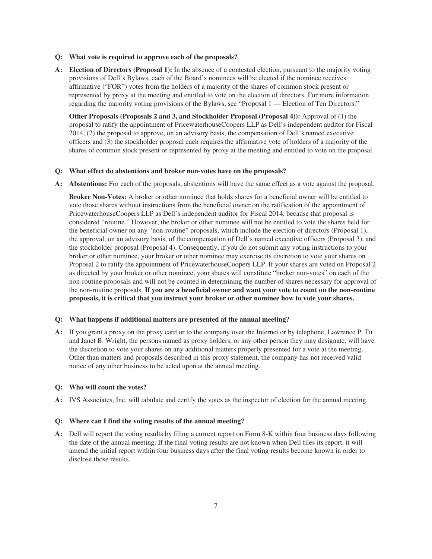- **Q: What vote is required to approve each of the proposals?**
- **A: Election of Directors (Proposal 1):** In the absence of a contested election, pursuant to the majority voting provisions of Dell's Bylaws, each of the Board's nominees will be elected if the nominee receives affirmative ("FOR") votes from the holders of a majority of the shares of common stock present or represented by proxy at the meeting and entitled to vote on the election of directors. For more information regarding the majority voting provisions of the Bylaws, see "Proposal 1 — Election of Ten Directors."

**Other Proposals (Proposals 2 and 3, and Stockholder Proposal (Proposal 4)):** Approval of (1) the proposal to ratify the appointment of PricewaterhouseCoopers LLP as Dell's independent auditor for Fiscal 2014, (2) the proposal to approve, on an advisory basis, the compensation of Dell's named executive officers and (3) the stockholder proposal each requires the affirmative vote of holders of a majority of the shares of common stock present or represented by proxy at the meeting and entitled to vote on the proposal.

#### **Q: What effect do abstentions and broker non-votes have on the proposals?**

**A: Abstentions:** For each of the proposals, abstentions will have the same effect as a vote against the proposal.

**Broker Non-Votes:** A broker or other nominee that holds shares for a beneficial owner will be entitled to vote those shares without instructions from the beneficial owner on the ratification of the appointment of PricewaterhouseCoopers LLP as Dell's independent auditor for Fiscal 2014, because that proposal is considered "routine." However, the broker or other nominee will not be entitled to vote the shares held for the beneficial owner on any "non-routine" proposals, which include the election of directors (Proposal 1), the approval, on an advisory basis, of the compensation of Dell's named executive officers (Proposal 3), and the stockholder proposal (Proposal 4). Consequently, if you do not submit any voting instructions to your broker or other nominee, your broker or other nominee may exercise its discretion to vote your shares on Proposal 2 to ratify the appointment of PricewaterhouseCoopers LLP. If your shares are voted on Proposal 2 as directed by your broker or other nominee, your shares will constitute "broker non-votes" on each of the non-routine proposals and will not be counted in determining the number of shares necessary for approval of the non-routine proposals. **If you are a beneficial owner and want your vote to count on the non-routine proposals, it is critical that you instruct your broker or other nominee how to vote your shares.**

#### **Q: What happens if additional matters are presented at the annual meeting?**

**A:** If you grant a proxy on the proxy card or to the company over the Internet or by telephone, Lawrence P. Tu and Janet B. Wright, the persons named as proxy holders, or any other person they may designate, will have the discretion to vote your shares on any additional matters properly presented for a vote at the meeting. Other than matters and proposals described in this proxy statement, the company has not received valid notice of any other business to be acted upon at the annual meeting.

#### **Q: Who will count the votes?**

**A:** IVS Associates, Inc. will tabulate and certify the votes as the inspector of election for the annual meeting.

#### **Q: Where can I find the voting results of the annual meeting?**

**A:** Dell will report the voting results by filing a current report on Form 8-K within four business days following the date of the annual meeting. If the final voting results are not known when Dell files its report, it will amend the initial report within four business days after the final voting results become known in order to disclose those results.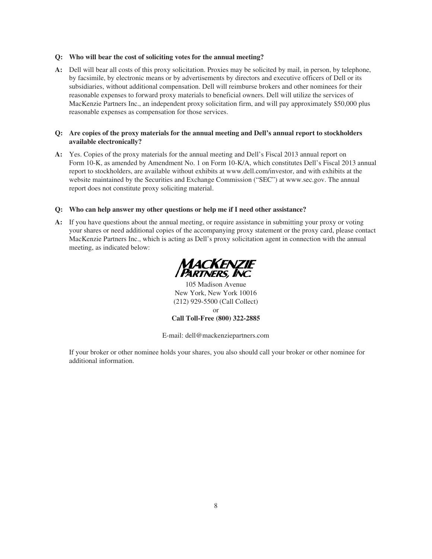#### **Q: Who will bear the cost of soliciting votes for the annual meeting?**

**A:** Dell will bear all costs of this proxy solicitation. Proxies may be solicited by mail, in person, by telephone, by facsimile, by electronic means or by advertisements by directors and executive officers of Dell or its subsidiaries, without additional compensation. Dell will reimburse brokers and other nominees for their reasonable expenses to forward proxy materials to beneficial owners. Dell will utilize the services of MacKenzie Partners Inc., an independent proxy solicitation firm, and will pay approximately \$50,000 plus reasonable expenses as compensation for those services.

# **Q: Are copies of the proxy materials for the annual meeting and Dell's annual report to stockholders available electronically?**

**A:** Yes. Copies of the proxy materials for the annual meeting and Dell's Fiscal 2013 annual report on Form 10-K, as amended by Amendment No. 1 on Form 10-K/A, which constitutes Dell's Fiscal 2013 annual report to stockholders, are available without exhibits at www.dell.com/investor, and with exhibits at the website maintained by the Securities and Exchange Commission ("SEC") at www.sec.gov. The annual report does not constitute proxy soliciting material.

## **Q: Who can help answer my other questions or help me if I need other assistance?**

**A:** If you have questions about the annual meeting, or require assistance in submitting your proxy or voting your shares or need additional copies of the accompanying proxy statement or the proxy card, please contact MacKenzie Partners Inc., which is acting as Dell's proxy solicitation agent in connection with the annual meeting, as indicated below:



105 Madison Avenue New York, New York 10016 (212) 929-5500 (Call Collect) or **Call Toll-Free (800) 322-2885**

E-mail: dell@mackenziepartners.com

If your broker or other nominee holds your shares, you also should call your broker or other nominee for additional information.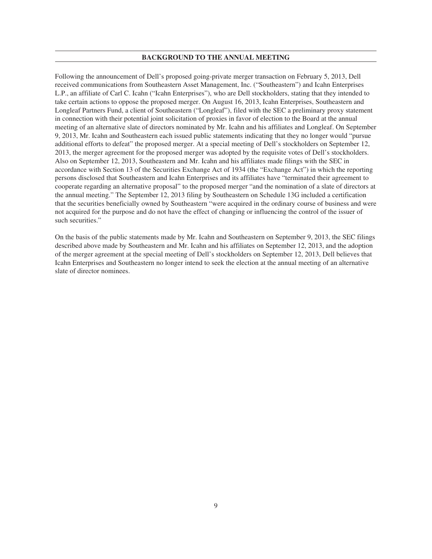#### **BACKGROUND TO THE ANNUAL MEETING**

Following the announcement of Dell's proposed going-private merger transaction on February 5, 2013, Dell received communications from Southeastern Asset Management, Inc. ("Southeastern") and Icahn Enterprises L.P., an affiliate of Carl C. Icahn ("Icahn Enterprises"), who are Dell stockholders, stating that they intended to take certain actions to oppose the proposed merger. On August 16, 2013, Icahn Enterprises, Southeastern and Longleaf Partners Fund, a client of Southeastern ("Longleaf"), filed with the SEC a preliminary proxy statement in connection with their potential joint solicitation of proxies in favor of election to the Board at the annual meeting of an alternative slate of directors nominated by Mr. Icahn and his affiliates and Longleaf. On September 9, 2013, Mr. Icahn and Southeastern each issued public statements indicating that they no longer would "pursue additional efforts to defeat" the proposed merger. At a special meeting of Dell's stockholders on September 12, 2013, the merger agreement for the proposed merger was adopted by the requisite votes of Dell's stockholders. Also on September 12, 2013, Southeastern and Mr. Icahn and his affiliates made filings with the SEC in accordance with Section 13 of the Securities Exchange Act of 1934 (the "Exchange Act") in which the reporting persons disclosed that Southeastern and Icahn Enterprises and its affiliates have "terminated their agreement to cooperate regarding an alternative proposal" to the proposed merger "and the nomination of a slate of directors at the annual meeting." The September 12, 2013 filing by Southeastern on Schedule 13G included a certification that the securities beneficially owned by Southeastern "were acquired in the ordinary course of business and were not acquired for the purpose and do not have the effect of changing or influencing the control of the issuer of such securities."

On the basis of the public statements made by Mr. Icahn and Southeastern on September 9, 2013, the SEC filings described above made by Southeastern and Mr. Icahn and his affiliates on September 12, 2013, and the adoption of the merger agreement at the special meeting of Dell's stockholders on September 12, 2013, Dell believes that Icahn Enterprises and Southeastern no longer intend to seek the election at the annual meeting of an alternative slate of director nominees.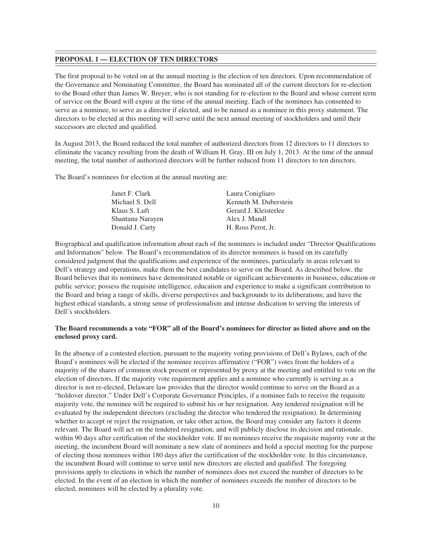#### **PROPOSAL 1 — ELECTION OF TEN DIRECTORS**

The first proposal to be voted on at the annual meeting is the election of ten directors. Upon recommendation of the Governance and Nominating Committee, the Board has nominated all of the current directors for re-election to the Board other than James W. Breyer, who is not standing for re-election to the Board and whose current term of service on the Board will expire at the time of the annual meeting. Each of the nominees has consented to serve as a nominee, to serve as a director if elected, and to be named as a nominee in this proxy statement. The directors to be elected at this meeting will serve until the next annual meeting of stockholders and until their successors are elected and qualified.

In August 2013, the Board reduced the total number of authorized directors from 12 directors to 11 directors to eliminate the vacancy resulting from the death of William H. Gray, III on July 1, 2013. At the time of the annual meeting, the total number of authorized directors will be further reduced from 11 directors to ten directors.

The Board's nominees for election at the annual meeting are:

| Janet F. Clark   | Laura Conigliaro      |
|------------------|-----------------------|
| Michael S. Dell  | Kenneth M. Duberstein |
| Klaus S. Luft    | Gerard J. Kleisterlee |
| Shantanu Narayen | Alex J. Mandl         |
| Donald J. Carty  | H. Ross Perot. Jr.    |
|                  |                       |

Biographical and qualification information about each of the nominees is included under "Director Qualifications and Information" below. The Board's recommendation of its director nominees is based on its carefully considered judgment that the qualifications and experience of the nominees, particularly in areas relevant to Dell's strategy and operations, make them the best candidates to serve on the Board. As described below, the Board believes that its nominees have demonstrated notable or significant achievements in business, education or public service; possess the requisite intelligence, education and experience to make a significant contribution to the Board and bring a range of skills, diverse perspectives and backgrounds to its deliberations; and have the highest ethical standards, a strong sense of professionalism and intense dedication to serving the interests of Dell's stockholders.

# **The Board recommends a vote "FOR" all of the Board's nominees for director as listed above and on the enclosed proxy card.**

In the absence of a contested election, pursuant to the majority voting provisions of Dell's Bylaws, each of the Board's nominees will be elected if the nominee receives affirmative ("FOR") votes from the holders of a majority of the shares of common stock present or represented by proxy at the meeting and entitled to vote on the election of directors. If the majority vote requirement applies and a nominee who currently is serving as a director is not re-elected, Delaware law provides that the director would continue to serve on the Board as a "holdover director." Under Dell's Corporate Governance Principles, if a nominee fails to receive the requisite majority vote, the nominee will be required to submit his or her resignation. Any tendered resignation will be evaluated by the independent directors (excluding the director who tendered the resignation). In determining whether to accept or reject the resignation, or take other action, the Board may consider any factors it deems relevant. The Board will act on the tendered resignation, and will publicly disclose its decision and rationale, within 90 days after certification of the stockholder vote. If no nominees receive the requisite majority vote at the meeting, the incumbent Board will nominate a new slate of nominees and hold a special meeting for the purpose of electing those nominees within 180 days after the certification of the stockholder vote. In this circumstance, the incumbent Board will continue to serve until new directors are elected and qualified. The foregoing provisions apply to elections in which the number of nominees does not exceed the number of directors to be elected. In the event of an election in which the number of nominees exceeds the number of directors to be elected, nominees will be elected by a plurality vote.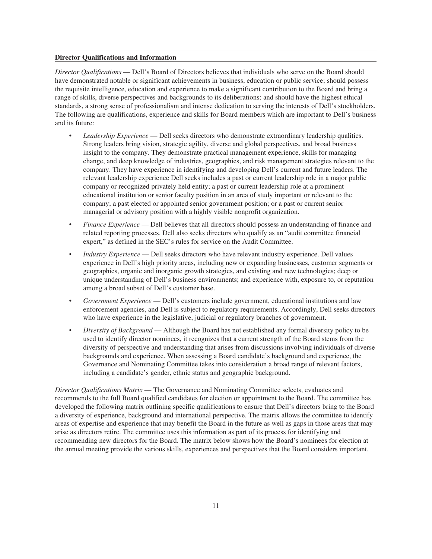#### **Director Qualifications and Information**

*Director Qualifications* — Dell's Board of Directors believes that individuals who serve on the Board should have demonstrated notable or significant achievements in business, education or public service; should possess the requisite intelligence, education and experience to make a significant contribution to the Board and bring a range of skills, diverse perspectives and backgrounds to its deliberations; and should have the highest ethical standards, a strong sense of professionalism and intense dedication to serving the interests of Dell's stockholders. The following are qualifications, experience and skills for Board members which are important to Dell's business and its future:

- *Leadership Experience* Dell seeks directors who demonstrate extraordinary leadership qualities. Strong leaders bring vision, strategic agility, diverse and global perspectives, and broad business insight to the company. They demonstrate practical management experience, skills for managing change, and deep knowledge of industries, geographies, and risk management strategies relevant to the company. They have experience in identifying and developing Dell's current and future leaders. The relevant leadership experience Dell seeks includes a past or current leadership role in a major public company or recognized privately held entity; a past or current leadership role at a prominent educational institution or senior faculty position in an area of study important or relevant to the company; a past elected or appointed senior government position; or a past or current senior managerial or advisory position with a highly visible nonprofit organization.
- *Finance Experience* Dell believes that all directors should possess an understanding of finance and related reporting processes. Dell also seeks directors who qualify as an "audit committee financial expert," as defined in the SEC's rules for service on the Audit Committee.
- *Industry Experience* Dell seeks directors who have relevant industry experience. Dell values experience in Dell's high priority areas, including new or expanding businesses, customer segments or geographies, organic and inorganic growth strategies, and existing and new technologies; deep or unique understanding of Dell's business environments; and experience with, exposure to, or reputation among a broad subset of Dell's customer base.
- *Government Experience* Dell's customers include government, educational institutions and law enforcement agencies, and Dell is subject to regulatory requirements. Accordingly, Dell seeks directors who have experience in the legislative, judicial or regulatory branches of government.
- *Diversity of Background* Although the Board has not established any formal diversity policy to be used to identify director nominees, it recognizes that a current strength of the Board stems from the diversity of perspective and understanding that arises from discussions involving individuals of diverse backgrounds and experience. When assessing a Board candidate's background and experience, the Governance and Nominating Committee takes into consideration a broad range of relevant factors, including a candidate's gender, ethnic status and geographic background.

*Director Qualifications Matrix* — The Governance and Nominating Committee selects, evaluates and recommends to the full Board qualified candidates for election or appointment to the Board. The committee has developed the following matrix outlining specific qualifications to ensure that Dell's directors bring to the Board a diversity of experience, background and international perspective. The matrix allows the committee to identify areas of expertise and experience that may benefit the Board in the future as well as gaps in those areas that may arise as directors retire. The committee uses this information as part of its process for identifying and recommending new directors for the Board. The matrix below shows how the Board's nominees for election at the annual meeting provide the various skills, experiences and perspectives that the Board considers important.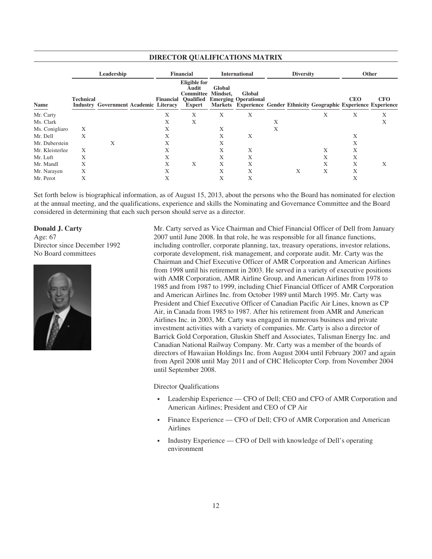| DIKECTOR QUALIFICATIONS MATRIX |                  |                                              |  |           |                                                                                       |                    |                                                                                                               |   |                  |   |            |            |
|--------------------------------|------------------|----------------------------------------------|--|-----------|---------------------------------------------------------------------------------------|--------------------|---------------------------------------------------------------------------------------------------------------|---|------------------|---|------------|------------|
|                                |                  | Leadership                                   |  |           | <b>Financial</b>                                                                      |                    | <b>International</b>                                                                                          |   | <b>Diversity</b> |   |            | Other      |
| Name                           | <b>Technical</b> | <b>Industry Government Academic Literacy</b> |  | Financial | <b>Eligible for</b><br>Audit<br><b>Committee</b><br><b>Oualified</b><br><b>Expert</b> | Global<br>Mindset. | Global<br><b>Emerging Operational</b><br>Markets Experience Gender Ethnicity Geographic Experience Experience |   |                  |   | <b>CEO</b> | <b>CFO</b> |
| Mr. Carty                      |                  |                                              |  | X         | X                                                                                     | Χ                  | X                                                                                                             |   |                  | X | X          | Χ          |
| Ms. Clark                      |                  |                                              |  | Х         | X                                                                                     |                    |                                                                                                               | X |                  |   |            | Χ          |
| Ms. Conigliaro                 | Χ                |                                              |  | X         |                                                                                       | Χ                  |                                                                                                               | X |                  |   |            |            |
| Mr. Dell                       | X                |                                              |  | Х         |                                                                                       | Х                  | X                                                                                                             |   |                  |   | X          |            |
| Mr. Duberstein                 |                  | Χ                                            |  | Х         |                                                                                       | Х                  |                                                                                                               |   |                  |   | Х          |            |
| Mr. Kleisterlee                | X                |                                              |  | Х         |                                                                                       | Χ                  | X                                                                                                             |   |                  | X | X          |            |
| Mr. Luft                       | Χ                |                                              |  | Х         |                                                                                       | Χ                  | X                                                                                                             |   |                  | X | X          |            |
| Mr. Mandl                      | X                |                                              |  | X         | X                                                                                     | Χ                  | X                                                                                                             |   |                  | Χ | Χ          | X          |
| Mr. Narayen                    | X                |                                              |  | X         |                                                                                       | Χ                  | Х                                                                                                             |   | X                | X | Χ          |            |
| Mr. Perot                      | X                |                                              |  | Х         |                                                                                       | Χ                  | Х                                                                                                             |   |                  |   | Χ          |            |

Set forth below is biographical information, as of August 15, 2013, about the persons who the Board has nominated for election at the annual meeting, and the qualifications, experience and skills the Nominating and Governance Committee and the Board considered in determining that each such person should serve as a director.

#### **Donald J. Carty**

Age: 67 Director since December 1992 No Board committees



Mr. Carty served as Vice Chairman and Chief Financial Officer of Dell from January 2007 until June 2008. In that role, he was responsible for all finance functions, including controller, corporate planning, tax, treasury operations, investor relations, corporate development, risk management, and corporate audit. Mr. Carty was the Chairman and Chief Executive Officer of AMR Corporation and American Airlines from 1998 until his retirement in 2003. He served in a variety of executive positions with AMR Corporation, AMR Airline Group, and American Airlines from 1978 to 1985 and from 1987 to 1999, including Chief Financial Officer of AMR Corporation and American Airlines Inc. from October 1989 until March 1995. Mr. Carty was President and Chief Executive Officer of Canadian Pacific Air Lines, known as CP Air, in Canada from 1985 to 1987. After his retirement from AMR and American Airlines Inc. in 2003, Mr. Carty was engaged in numerous business and private investment activities with a variety of companies. Mr. Carty is also a director of Barrick Gold Corporation, Gluskin Sheff and Associates, Talisman Energy Inc. and Canadian National Railway Company. Mr. Carty was a member of the boards of directors of Hawaiian Holdings Inc. from August 2004 until February 2007 and again from April 2008 until May 2011 and of CHC Helicopter Corp. from November 2004 until September 2008.

Director Qualifications

- Leadership Experience CFO of Dell; CEO and CFO of AMR Corporation and American Airlines; President and CEO of CP Air
- Finance Experience CFO of Dell; CFO of AMR Corporation and American Airlines
- Industry Experience CFO of Dell with knowledge of Dell's operating environment

# **DIRECTOR QUALIFICATIONS MATRIX**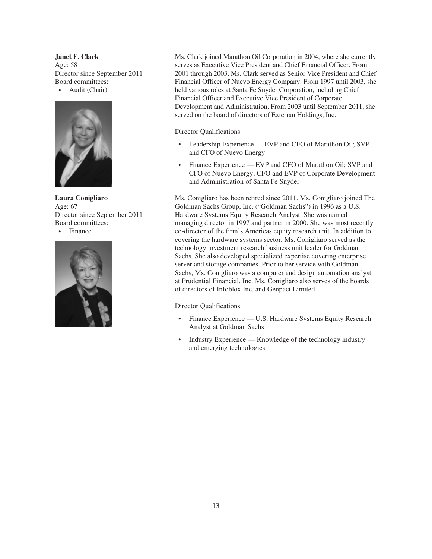**Janet F. Clark** Age: 58 Director since September 2011 Board committees: • Audit (Chair)



**Laura Conigliaro** Age: 67 Director since September 2011 Board committees: • Finance



Ms. Clark joined Marathon Oil Corporation in 2004, where she currently serves as Executive Vice President and Chief Financial Officer. From 2001 through 2003, Ms. Clark served as Senior Vice President and Chief Financial Officer of Nuevo Energy Company. From 1997 until 2003, she held various roles at Santa Fe Snyder Corporation, including Chief Financial Officer and Executive Vice President of Corporate Development and Administration. From 2003 until September 2011, she served on the board of directors of Exterran Holdings, Inc.

# Director Qualifications

- Leadership Experience EVP and CFO of Marathon Oil; SVP and CFO of Nuevo Energy
- Finance Experience EVP and CFO of Marathon Oil; SVP and CFO of Nuevo Energy; CFO and EVP of Corporate Development and Administration of Santa Fe Snyder

Ms. Conigliaro has been retired since 2011. Ms. Conigliaro joined The Goldman Sachs Group, Inc. ("Goldman Sachs") in 1996 as a U.S. Hardware Systems Equity Research Analyst. She was named managing director in 1997 and partner in 2000. She was most recently co-director of the firm's Americas equity research unit. In addition to covering the hardware systems sector, Ms. Conigliaro served as the technology investment research business unit leader for Goldman Sachs. She also developed specialized expertise covering enterprise server and storage companies. Prior to her service with Goldman Sachs, Ms. Conigliaro was a computer and design automation analyst at Prudential Financial, Inc. Ms. Conigliaro also serves of the boards of directors of Infoblox Inc. and Genpact Limited.

# Director Qualifications

- Finance Experience U.S. Hardware Systems Equity Research Analyst at Goldman Sachs
- Industry Experience Knowledge of the technology industry and emerging technologies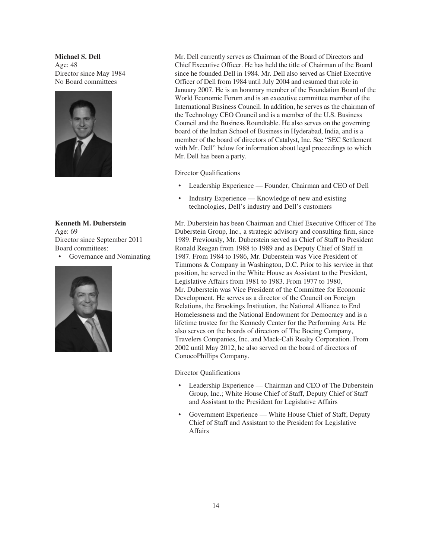**Michael S. Dell** Age: 48 Director since May 1984 No Board committees



**Kenneth M. Duberstein** Age: 69 Director since September 2011 Board committees:

• Governance and Nominating



Mr. Dell currently serves as Chairman of the Board of Directors and Chief Executive Officer. He has held the title of Chairman of the Board since he founded Dell in 1984. Mr. Dell also served as Chief Executive Officer of Dell from 1984 until July 2004 and resumed that role in January 2007. He is an honorary member of the Foundation Board of the World Economic Forum and is an executive committee member of the International Business Council. In addition, he serves as the chairman of the Technology CEO Council and is a member of the U.S. Business Council and the Business Roundtable. He also serves on the governing board of the Indian School of Business in Hyderabad, India, and is a member of the board of directors of Catalyst, Inc. See "SEC Settlement with Mr. Dell" below for information about legal proceedings to which Mr. Dell has been a party.

Director Qualifications

- Leadership Experience Founder, Chairman and CEO of Dell
- Industry Experience Knowledge of new and existing technologies, Dell's industry and Dell's customers

Mr. Duberstein has been Chairman and Chief Executive Officer of The Duberstein Group, Inc., a strategic advisory and consulting firm, since 1989. Previously, Mr. Duberstein served as Chief of Staff to President Ronald Reagan from 1988 to 1989 and as Deputy Chief of Staff in 1987. From 1984 to 1986, Mr. Duberstein was Vice President of Timmons & Company in Washington, D.C. Prior to his service in that position, he served in the White House as Assistant to the President, Legislative Affairs from 1981 to 1983. From 1977 to 1980, Mr. Duberstein was Vice President of the Committee for Economic Development. He serves as a director of the Council on Foreign Relations, the Brookings Institution, the National Alliance to End Homelessness and the National Endowment for Democracy and is a lifetime trustee for the Kennedy Center for the Performing Arts. He also serves on the boards of directors of The Boeing Company, Travelers Companies, Inc. and Mack-Cali Realty Corporation. From 2002 until May 2012, he also served on the board of directors of ConocoPhillips Company.

Director Qualifications

- Leadership Experience Chairman and CEO of The Duberstein Group, Inc.; White House Chief of Staff, Deputy Chief of Staff and Assistant to the President for Legislative Affairs
- Government Experience White House Chief of Staff, Deputy Chief of Staff and Assistant to the President for Legislative Affairs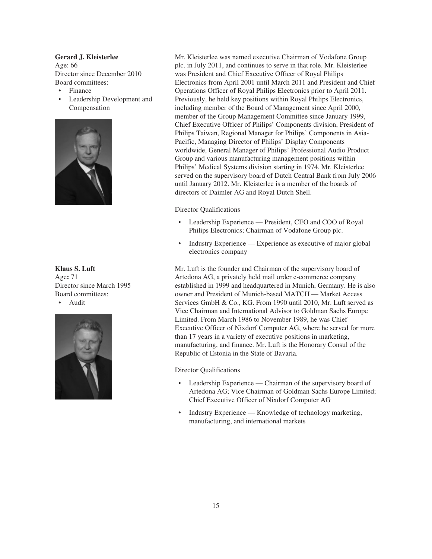# **Gerard J. Kleisterlee**

Age: 66 Director since December 2010 Board committees:

- Finance
- Leadership Development and Compensation



**Klaus S. Luft** Age**:** 71 Director since March 1995 Board committees:





Mr. Kleisterlee was named executive Chairman of Vodafone Group plc. in July 2011, and continues to serve in that role. Mr. Kleisterlee was President and Chief Executive Officer of Royal Philips Electronics from April 2001 until March 2011 and President and Chief Operations Officer of Royal Philips Electronics prior to April 2011. Previously, he held key positions within Royal Philips Electronics, including member of the Board of Management since April 2000, member of the Group Management Committee since January 1999, Chief Executive Officer of Philips' Components division, President of Philips Taiwan, Regional Manager for Philips' Components in Asia-Pacific, Managing Director of Philips' Display Components worldwide, General Manager of Philips' Professional Audio Product Group and various manufacturing management positions within Philips' Medical Systems division starting in 1974. Mr. Kleisterlee served on the supervisory board of Dutch Central Bank from July 2006 until January 2012. Mr. Kleisterlee is a member of the boards of directors of Daimler AG and Royal Dutch Shell.

#### Director Qualifications

- Leadership Experience President, CEO and COO of Royal Philips Electronics; Chairman of Vodafone Group plc.
- Industry Experience Experience as executive of major global electronics company

Mr. Luft is the founder and Chairman of the supervisory board of Artedona AG, a privately held mail order e-commerce company established in 1999 and headquartered in Munich, Germany. He is also owner and President of Munich-based MATCH — Market Access Services GmbH & Co., KG. From 1990 until 2010, Mr. Luft served as Vice Chairman and International Advisor to Goldman Sachs Europe Limited. From March 1986 to November 1989, he was Chief Executive Officer of Nixdorf Computer AG, where he served for more than 17 years in a variety of executive positions in marketing, manufacturing, and finance. Mr. Luft is the Honorary Consul of the Republic of Estonia in the State of Bavaria.

## Director Qualifications

- Leadership Experience Chairman of the supervisory board of Artedona AG; Vice Chairman of Goldman Sachs Europe Limited; Chief Executive Officer of Nixdorf Computer AG
- Industry Experience Knowledge of technology marketing, manufacturing, and international markets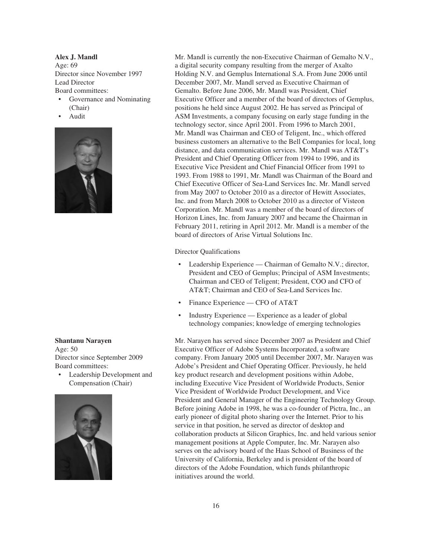**Alex J. Mandl** Age: 69 Director since November 1997 Lead Director Board committees:

- Governance and Nominating (Chair)
- Audit



#### **Shantanu Narayen**

Age: 50 Director since September 2009 Board committees:

• Leadership Development and Compensation (Chair)



Mr. Mandl is currently the non-Executive Chairman of Gemalto N.V., a digital security company resulting from the merger of Axalto Holding N.V. and Gemplus International S.A. From June 2006 until December 2007, Mr. Mandl served as Executive Chairman of Gemalto. Before June 2006, Mr. Mandl was President, Chief Executive Officer and a member of the board of directors of Gemplus, positions he held since August 2002. He has served as Principal of ASM Investments, a company focusing on early stage funding in the technology sector, since April 2001. From 1996 to March 2001, Mr. Mandl was Chairman and CEO of Teligent, Inc., which offered business customers an alternative to the Bell Companies for local, long distance, and data communication services. Mr. Mandl was AT&T's President and Chief Operating Officer from 1994 to 1996, and its Executive Vice President and Chief Financial Officer from 1991 to 1993. From 1988 to 1991, Mr. Mandl was Chairman of the Board and Chief Executive Officer of Sea-Land Services Inc. Mr. Mandl served from May 2007 to October 2010 as a director of Hewitt Associates, Inc. and from March 2008 to October 2010 as a director of Visteon Corporation. Mr. Mandl was a member of the board of directors of Horizon Lines, Inc. from January 2007 and became the Chairman in February 2011, retiring in April 2012. Mr. Mandl is a member of the board of directors of Arise Virtual Solutions Inc.

Director Qualifications

- Leadership Experience Chairman of Gemalto N.V.; director, President and CEO of Gemplus; Principal of ASM Investments; Chairman and CEO of Teligent; President, COO and CFO of AT&T; Chairman and CEO of Sea-Land Services Inc.
- Finance Experience CFO of AT&T
- Industry Experience Experience as a leader of global technology companies; knowledge of emerging technologies

Mr. Narayen has served since December 2007 as President and Chief Executive Officer of Adobe Systems Incorporated, a software company. From January 2005 until December 2007, Mr. Narayen was Adobe's President and Chief Operating Officer. Previously, he held key product research and development positions within Adobe, including Executive Vice President of Worldwide Products, Senior Vice President of Worldwide Product Development, and Vice President and General Manager of the Engineering Technology Group. Before joining Adobe in 1998, he was a co-founder of Pictra, Inc., an early pioneer of digital photo sharing over the Internet. Prior to his service in that position, he served as director of desktop and collaboration products at Silicon Graphics, Inc. and held various senior management positions at Apple Computer, Inc. Mr. Narayen also serves on the advisory board of the Haas School of Business of the University of California, Berkeley and is president of the board of directors of the Adobe Foundation, which funds philanthropic initiatives around the world.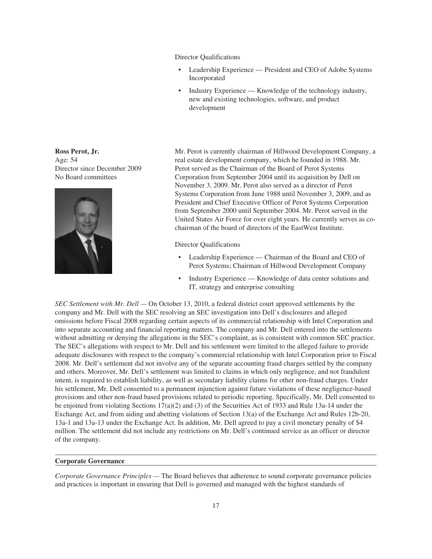Director Qualifications

- Leadership Experience President and CEO of Adobe Systems Incorporated
- Industry Experience Knowledge of the technology industry, new and existing technologies, software, and product development

Mr. Perot is currently chairman of Hillwood Development Company, a real estate development company, which he founded in 1988. Mr. Perot served as the Chairman of the Board of Perot Systems Corporation from September 2004 until its acquisition by Dell on November 3, 2009. Mr. Perot also served as a director of Perot Systems Corporation from June 1988 until November 3, 2009, and as President and Chief Executive Officer of Perot Systems Corporation from September 2000 until September 2004. Mr. Perot served in the United States Air Force for over eight years. He currently serves as cochairman of the board of directors of the EastWest Institute.

Director Qualifications

- Leadership Experience Chairman of the Board and CEO of Perot Systems; Chairman of Hillwood Development Company
- Industry Experience Knowledge of data center solutions and IT, strategy and enterprise consulting

*SEC Settlement with Mr. Dell —* On October 13, 2010, a federal district court approved settlements by the company and Mr. Dell with the SEC resolving an SEC investigation into Dell's disclosures and alleged omissions before Fiscal 2008 regarding certain aspects of its commercial relationship with Intel Corporation and into separate accounting and financial reporting matters. The company and Mr. Dell entered into the settlements without admitting or denying the allegations in the SEC's complaint, as is consistent with common SEC practice. The SEC's allegations with respect to Mr. Dell and his settlement were limited to the alleged failure to provide adequate disclosures with respect to the company's commercial relationship with Intel Corporation prior to Fiscal 2008. Mr. Dell's settlement did not involve any of the separate accounting fraud charges settled by the company and others. Moreover, Mr. Dell's settlement was limited to claims in which only negligence, and not fraudulent intent, is required to establish liability, as well as secondary liability claims for other non-fraud charges. Under his settlement, Mr. Dell consented to a permanent injunction against future violations of these negligence-based provisions and other non-fraud based provisions related to periodic reporting. Specifically, Mr. Dell consented to be enjoined from violating Sections 17(a)(2) and (3) of the Securities Act of 1933 and Rule 13a-14 under the Exchange Act, and from aiding and abetting violations of Section 13(a) of the Exchange Act and Rules 12b-20, 13a-1 and 13a-13 under the Exchange Act. In addition, Mr. Dell agreed to pay a civil monetary penalty of \$4 million. The settlement did not include any restrictions on Mr. Dell's continued service as an officer or director of the company.

#### **Corporate Governance**

*Corporate Governance Principles —* The Board believes that adherence to sound corporate governance policies and practices is important in ensuring that Dell is governed and managed with the highest standards of

**Ross Perot, Jr.** Age: 54 Director since December 2009 No Board committees

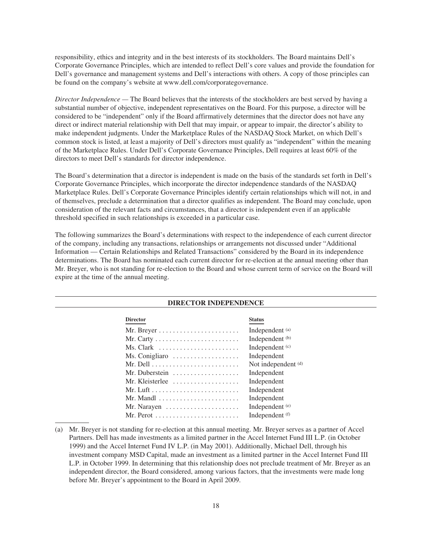responsibility, ethics and integrity and in the best interests of its stockholders. The Board maintains Dell's Corporate Governance Principles, which are intended to reflect Dell's core values and provide the foundation for Dell's governance and management systems and Dell's interactions with others. A copy of those principles can be found on the company's website at www.dell.com/corporategovernance.

*Director Independence* — The Board believes that the interests of the stockholders are best served by having a substantial number of objective, independent representatives on the Board. For this purpose, a director will be considered to be "independent" only if the Board affirmatively determines that the director does not have any direct or indirect material relationship with Dell that may impair, or appear to impair, the director's ability to make independent judgments. Under the Marketplace Rules of the NASDAQ Stock Market, on which Dell's common stock is listed, at least a majority of Dell's directors must qualify as "independent" within the meaning of the Marketplace Rules. Under Dell's Corporate Governance Principles, Dell requires at least 60% of the directors to meet Dell's standards for director independence.

The Board's determination that a director is independent is made on the basis of the standards set forth in Dell's Corporate Governance Principles, which incorporate the director independence standards of the NASDAQ Marketplace Rules. Dell's Corporate Governance Principles identify certain relationships which will not, in and of themselves, preclude a determination that a director qualifies as independent. The Board may conclude, upon consideration of the relevant facts and circumstances, that a director is independent even if an applicable threshold specified in such relationships is exceeded in a particular case.

The following summarizes the Board's determinations with respect to the independence of each current director of the company, including any transactions, relationships or arrangements not discussed under "Additional Information — Certain Relationships and Related Transactions" considered by the Board in its independence determinations. The Board has nominated each current director for re-election at the annual meeting other than Mr. Breyer, who is not standing for re-election to the Board and whose current term of service on the Board will expire at the time of the annual meeting.

| <b>DIRECTOR INDEPENDENCE</b> |                                                                |                     |  |  |
|------------------------------|----------------------------------------------------------------|---------------------|--|--|
|                              | <b>Director</b>                                                | <b>Status</b>       |  |  |
|                              |                                                                | Independent (a)     |  |  |
|                              |                                                                | Independent (b)     |  |  |
|                              |                                                                | Independent (c)     |  |  |
|                              | Ms. Conigliaro $\dots \dots \dots \dots \dots \dots$           | Independent         |  |  |
|                              |                                                                | Not independent (d) |  |  |
|                              | Mr. Duberstein $\dots\dots\dots\dots\dots\dots$                | Independent         |  |  |
|                              | Mr. Kleisterlee                                                | Independent         |  |  |
|                              |                                                                | Independent         |  |  |
|                              | Mr. Mandl $\dots\dots\dots\dots\dots\dots\dots\dots\dots$      | Independent         |  |  |
|                              | Mr. Narayen $\dots \dots \dots \dots \dots \dots$              | Independent (e)     |  |  |
|                              | Mr. Perot $\dots\dots\dots\dots\dots\dots\dots\dots\dots\dots$ | Independent (f)     |  |  |
|                              |                                                                |                     |  |  |

<sup>(</sup>a) Mr. Breyer is not standing for re-election at this annual meeting. Mr. Breyer serves as a partner of Accel Partners. Dell has made investments as a limited partner in the Accel Internet Fund III L.P. (in October 1999) and the Accel Internet Fund IV L.P. (in May 2001). Additionally, Michael Dell, through his investment company MSD Capital, made an investment as a limited partner in the Accel Internet Fund III L.P. in October 1999. In determining that this relationship does not preclude treatment of Mr. Breyer as an independent director, the Board considered, among various factors, that the investments were made long before Mr. Breyer's appointment to the Board in April 2009.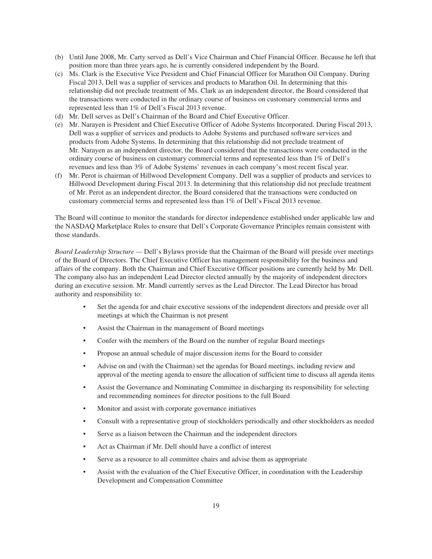- (b) Until June 2008, Mr. Carty served as Dell's Vice Chairman and Chief Financial Officer. Because he left that position more than three years ago, he is currently considered independent by the Board.
- (c) Ms. Clark is the Executive Vice President and Chief Financial Officer for Marathon Oil Company. During Fiscal 2013, Dell was a supplier of services and products to Marathon Oil. In determining that this relationship did not preclude treatment of Ms. Clark as an independent director, the Board considered that the transactions were conducted in the ordinary course of business on customary commercial terms and represented less than 1% of Dell's Fiscal 2013 revenue.
- (d) Mr. Dell serves as Dell's Chairman of the Board and Chief Executive Officer.
- (e) Mr. Narayen is President and Chief Executive Officer of Adobe Systems Incorporated. During Fiscal 2013, Dell was a supplier of services and products to Adobe Systems and purchased software services and products from Adobe Systems. In determining that this relationship did not preclude treatment of Mr. Narayen as an independent director, the Board considered that the transactions were conducted in the ordinary course of business on customary commercial terms and represented less than 1% of Dell's revenues and less than 3% of Adobe Systems' revenues in each company's most recent fiscal year.
- (f) Mr. Perot is chairman of Hillwood Development Company. Dell was a supplier of products and services to Hillwood Development during Fiscal 2013. In determining that this relationship did not preclude treatment of Mr. Perot as an independent director, the Board considered that the transactions were conducted on customary commercial terms and represented less than 1% of Dell's Fiscal 2013 revenue.

The Board will continue to monitor the standards for director independence established under applicable law and the NASDAQ Marketplace Rules to ensure that Dell's Corporate Governance Principles remain consistent with those standards.

*Board Leadership Structure —* Dell's Bylaws provide that the Chairman of the Board will preside over meetings of the Board of Directors. The Chief Executive Officer has management responsibility for the business and affairs of the company. Both the Chairman and Chief Executive Officer positions are currently held by Mr. Dell. The company also has an independent Lead Director elected annually by the majority of independent directors during an executive session. Mr. Mandl currently serves as the Lead Director. The Lead Director has broad authority and responsibility to:

- Set the agenda for and chair executive sessions of the independent directors and preside over all meetings at which the Chairman is not present
- Assist the Chairman in the management of Board meetings
- Confer with the members of the Board on the number of regular Board meetings
- Propose an annual schedule of major discussion items for the Board to consider
- Advise on and (with the Chairman) set the agendas for Board meetings, including review and approval of the meeting agenda to ensure the allocation of sufficient time to discuss all agenda items
- Assist the Governance and Nominating Committee in discharging its responsibility for selecting and recommending nominees for director positions to the full Board
- Monitor and assist with corporate governance initiatives
- Consult with a representative group of stockholders periodically and other stockholders as needed
- Serve as a liaison between the Chairman and the independent directors
- Act as Chairman if Mr. Dell should have a conflict of interest
- Serve as a resource to all committee chairs and advise them as appropriate
- Assist with the evaluation of the Chief Executive Officer, in coordination with the Leadership Development and Compensation Committee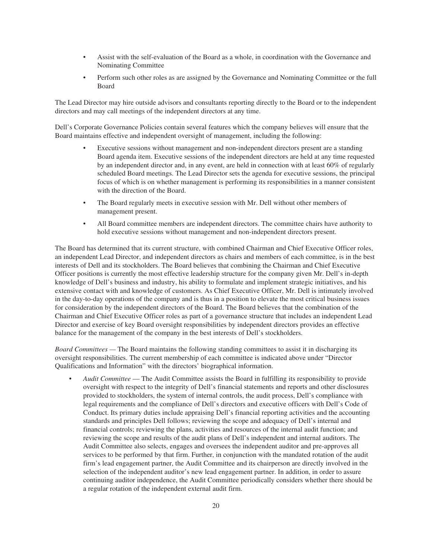- Assist with the self-evaluation of the Board as a whole, in coordination with the Governance and Nominating Committee
- Perform such other roles as are assigned by the Governance and Nominating Committee or the full Board

The Lead Director may hire outside advisors and consultants reporting directly to the Board or to the independent directors and may call meetings of the independent directors at any time.

Dell's Corporate Governance Policies contain several features which the company believes will ensure that the Board maintains effective and independent oversight of management, including the following:

- Executive sessions without management and non-independent directors present are a standing Board agenda item. Executive sessions of the independent directors are held at any time requested by an independent director and, in any event, are held in connection with at least 60% of regularly scheduled Board meetings. The Lead Director sets the agenda for executive sessions, the principal focus of which is on whether management is performing its responsibilities in a manner consistent with the direction of the Board.
- The Board regularly meets in executive session with Mr. Dell without other members of management present.
- All Board committee members are independent directors. The committee chairs have authority to hold executive sessions without management and non-independent directors present.

The Board has determined that its current structure, with combined Chairman and Chief Executive Officer roles, an independent Lead Director, and independent directors as chairs and members of each committee, is in the best interests of Dell and its stockholders. The Board believes that combining the Chairman and Chief Executive Officer positions is currently the most effective leadership structure for the company given Mr. Dell's in-depth knowledge of Dell's business and industry, his ability to formulate and implement strategic initiatives, and his extensive contact with and knowledge of customers. As Chief Executive Officer, Mr. Dell is intimately involved in the day-to-day operations of the company and is thus in a position to elevate the most critical business issues for consideration by the independent directors of the Board. The Board believes that the combination of the Chairman and Chief Executive Officer roles as part of a governance structure that includes an independent Lead Director and exercise of key Board oversight responsibilities by independent directors provides an effective balance for the management of the company in the best interests of Dell's stockholders.

*Board Committees —* The Board maintains the following standing committees to assist it in discharging its oversight responsibilities. The current membership of each committee is indicated above under "Director Qualifications and Information" with the directors' biographical information.

• *Audit Committee* — The Audit Committee assists the Board in fulfilling its responsibility to provide oversight with respect to the integrity of Dell's financial statements and reports and other disclosures provided to stockholders, the system of internal controls, the audit process, Dell's compliance with legal requirements and the compliance of Dell's directors and executive officers with Dell's Code of Conduct. Its primary duties include appraising Dell's financial reporting activities and the accounting standards and principles Dell follows; reviewing the scope and adequacy of Dell's internal and financial controls; reviewing the plans, activities and resources of the internal audit function; and reviewing the scope and results of the audit plans of Dell's independent and internal auditors. The Audit Committee also selects, engages and oversees the independent auditor and pre-approves all services to be performed by that firm. Further, in conjunction with the mandated rotation of the audit firm's lead engagement partner, the Audit Committee and its chairperson are directly involved in the selection of the independent auditor's new lead engagement partner. In addition, in order to assure continuing auditor independence, the Audit Committee periodically considers whether there should be a regular rotation of the independent external audit firm.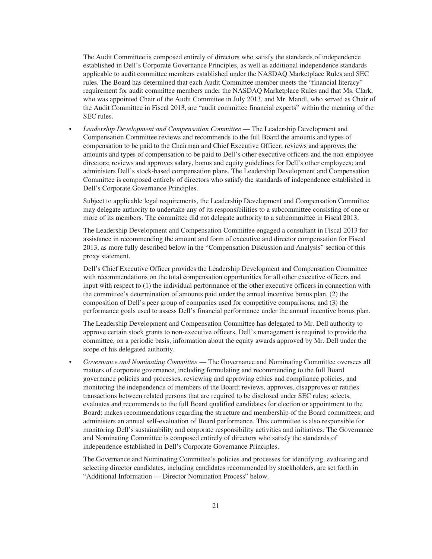The Audit Committee is composed entirely of directors who satisfy the standards of independence established in Dell's Corporate Governance Principles, as well as additional independence standards applicable to audit committee members established under the NASDAQ Marketplace Rules and SEC rules. The Board has determined that each Audit Committee member meets the "financial literacy" requirement for audit committee members under the NASDAQ Marketplace Rules and that Ms. Clark, who was appointed Chair of the Audit Committee in July 2013, and Mr. Mandl, who served as Chair of the Audit Committee in Fiscal 2013, are "audit committee financial experts" within the meaning of the SEC rules.

• *Leadership Development and Compensation Committee* — The Leadership Development and Compensation Committee reviews and recommends to the full Board the amounts and types of compensation to be paid to the Chairman and Chief Executive Officer; reviews and approves the amounts and types of compensation to be paid to Dell's other executive officers and the non-employee directors; reviews and approves salary, bonus and equity guidelines for Dell's other employees; and administers Dell's stock-based compensation plans. The Leadership Development and Compensation Committee is composed entirely of directors who satisfy the standards of independence established in Dell's Corporate Governance Principles.

Subject to applicable legal requirements, the Leadership Development and Compensation Committee may delegate authority to undertake any of its responsibilities to a subcommittee consisting of one or more of its members. The committee did not delegate authority to a subcommittee in Fiscal 2013.

The Leadership Development and Compensation Committee engaged a consultant in Fiscal 2013 for assistance in recommending the amount and form of executive and director compensation for Fiscal 2013, as more fully described below in the "Compensation Discussion and Analysis" section of this proxy statement.

Dell's Chief Executive Officer provides the Leadership Development and Compensation Committee with recommendations on the total compensation opportunities for all other executive officers and input with respect to (1) the individual performance of the other executive officers in connection with the committee's determination of amounts paid under the annual incentive bonus plan, (2) the composition of Dell's peer group of companies used for competitive comparisons, and (3) the performance goals used to assess Dell's financial performance under the annual incentive bonus plan.

The Leadership Development and Compensation Committee has delegated to Mr. Dell authority to approve certain stock grants to non-executive officers. Dell's management is required to provide the committee, on a periodic basis, information about the equity awards approved by Mr. Dell under the scope of his delegated authority.

• *Governance and Nominating Committee* — The Governance and Nominating Committee oversees all matters of corporate governance, including formulating and recommending to the full Board governance policies and processes, reviewing and approving ethics and compliance policies, and monitoring the independence of members of the Board; reviews, approves, disapproves or ratifies transactions between related persons that are required to be disclosed under SEC rules; selects, evaluates and recommends to the full Board qualified candidates for election or appointment to the Board; makes recommendations regarding the structure and membership of the Board committees; and administers an annual self-evaluation of Board performance. This committee is also responsible for monitoring Dell's sustainability and corporate responsibility activities and initiatives. The Governance and Nominating Committee is composed entirely of directors who satisfy the standards of independence established in Dell's Corporate Governance Principles.

The Governance and Nominating Committee's policies and processes for identifying, evaluating and selecting director candidates, including candidates recommended by stockholders, are set forth in "Additional Information — Director Nomination Process" below.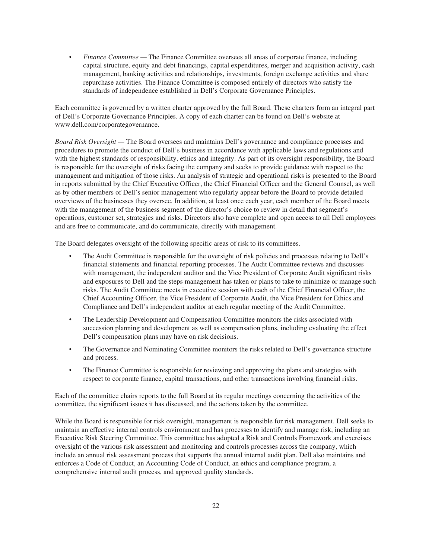• *Finance Committee —* The Finance Committee oversees all areas of corporate finance, including capital structure, equity and debt financings, capital expenditures, merger and acquisition activity, cash management, banking activities and relationships, investments, foreign exchange activities and share repurchase activities. The Finance Committee is composed entirely of directors who satisfy the standards of independence established in Dell's Corporate Governance Principles.

Each committee is governed by a written charter approved by the full Board. These charters form an integral part of Dell's Corporate Governance Principles. A copy of each charter can be found on Dell's website at www.dell.com/corporategovernance.

*Board Risk Oversight —* The Board oversees and maintains Dell's governance and compliance processes and procedures to promote the conduct of Dell's business in accordance with applicable laws and regulations and with the highest standards of responsibility, ethics and integrity. As part of its oversight responsibility, the Board is responsible for the oversight of risks facing the company and seeks to provide guidance with respect to the management and mitigation of those risks. An analysis of strategic and operational risks is presented to the Board in reports submitted by the Chief Executive Officer, the Chief Financial Officer and the General Counsel, as well as by other members of Dell's senior management who regularly appear before the Board to provide detailed overviews of the businesses they oversee. In addition, at least once each year, each member of the Board meets with the management of the business segment of the director's choice to review in detail that segment's operations, customer set, strategies and risks. Directors also have complete and open access to all Dell employees and are free to communicate, and do communicate, directly with management.

The Board delegates oversight of the following specific areas of risk to its committees.

- The Audit Committee is responsible for the oversight of risk policies and processes relating to Dell's financial statements and financial reporting processes. The Audit Committee reviews and discusses with management, the independent auditor and the Vice President of Corporate Audit significant risks and exposures to Dell and the steps management has taken or plans to take to minimize or manage such risks. The Audit Committee meets in executive session with each of the Chief Financial Officer, the Chief Accounting Officer, the Vice President of Corporate Audit, the Vice President for Ethics and Compliance and Dell's independent auditor at each regular meeting of the Audit Committee.
- The Leadership Development and Compensation Committee monitors the risks associated with succession planning and development as well as compensation plans, including evaluating the effect Dell's compensation plans may have on risk decisions.
- The Governance and Nominating Committee monitors the risks related to Dell's governance structure and process.
- The Finance Committee is responsible for reviewing and approving the plans and strategies with respect to corporate finance, capital transactions, and other transactions involving financial risks.

Each of the committee chairs reports to the full Board at its regular meetings concerning the activities of the committee, the significant issues it has discussed, and the actions taken by the committee.

While the Board is responsible for risk oversight, management is responsible for risk management. Dell seeks to maintain an effective internal controls environment and has processes to identify and manage risk, including an Executive Risk Steering Committee. This committee has adopted a Risk and Controls Framework and exercises oversight of the various risk assessment and monitoring and controls processes across the company, which include an annual risk assessment process that supports the annual internal audit plan. Dell also maintains and enforces a Code of Conduct, an Accounting Code of Conduct, an ethics and compliance program, a comprehensive internal audit process, and approved quality standards.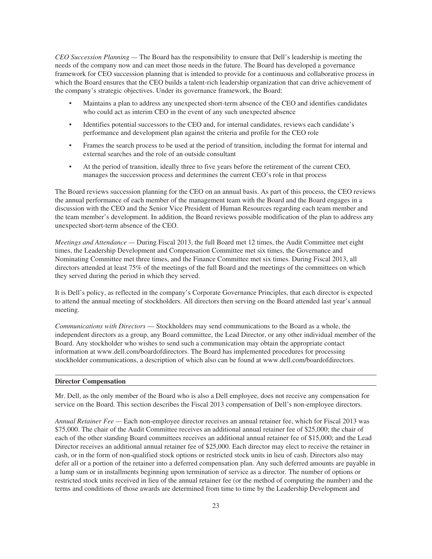*CEO Succession Planning —* The Board has the responsibility to ensure that Dell's leadership is meeting the needs of the company now and can meet those needs in the future. The Board has developed a governance framework for CEO succession planning that is intended to provide for a continuous and collaborative process in which the Board ensures that the CEO builds a talent-rich leadership organization that can drive achievement of the company's strategic objectives. Under its governance framework, the Board:

- Maintains a plan to address any unexpected short-term absence of the CEO and identifies candidates who could act as interim CEO in the event of any such unexpected absence
- Identifies potential successors to the CEO and, for internal candidates, reviews each candidate's performance and development plan against the criteria and profile for the CEO role
- Frames the search process to be used at the period of transition, including the format for internal and external searches and the role of an outside consultant
- At the period of transition, ideally three to five years before the retirement of the current CEO, manages the succession process and determines the current CEO's role in that process

The Board reviews succession planning for the CEO on an annual basis. As part of this process, the CEO reviews the annual performance of each member of the management team with the Board and the Board engages in a discussion with the CEO and the Senior Vice President of Human Resources regarding each team member and the team member's development. In addition, the Board reviews possible modification of the plan to address any unexpected short-term absence of the CEO.

*Meetings and Attendance —* During Fiscal 2013, the full Board met 12 times, the Audit Committee met eight times, the Leadership Development and Compensation Committee met six times, the Governance and Nominating Committee met three times, and the Finance Committee met six times. During Fiscal 2013, all directors attended at least 75% of the meetings of the full Board and the meetings of the committees on which they served during the period in which they served.

It is Dell's policy, as reflected in the company's Corporate Governance Principles, that each director is expected to attend the annual meeting of stockholders. All directors then serving on the Board attended last year's annual meeting.

*Communications with Directors* — Stockholders may send communications to the Board as a whole, the independent directors as a group, any Board committee, the Lead Director, or any other individual member of the Board. Any stockholder who wishes to send such a communication may obtain the appropriate contact information at www.dell.com/boardofdirectors. The Board has implemented procedures for processing stockholder communications, a description of which also can be found at www.dell.com/boardofdirectors.

#### **Director Compensation**

Mr. Dell, as the only member of the Board who is also a Dell employee, does not receive any compensation for service on the Board. This section describes the Fiscal 2013 compensation of Dell's non-employee directors.

*Annual Retainer Fee —* Each non-employee director receives an annual retainer fee, which for Fiscal 2013 was \$75,000. The chair of the Audit Committee receives an additional annual retainer fee of \$25,000; the chair of each of the other standing Board committees receives an additional annual retainer fee of \$15,000; and the Lead Director receives an additional annual retainer fee of \$25,000. Each director may elect to receive the retainer in cash, or in the form of non-qualified stock options or restricted stock units in lieu of cash. Directors also may defer all or a portion of the retainer into a deferred compensation plan. Any such deferred amounts are payable in a lump sum or in installments beginning upon termination of service as a director. The number of options or restricted stock units received in lieu of the annual retainer fee (or the method of computing the number) and the terms and conditions of those awards are determined from time to time by the Leadership Development and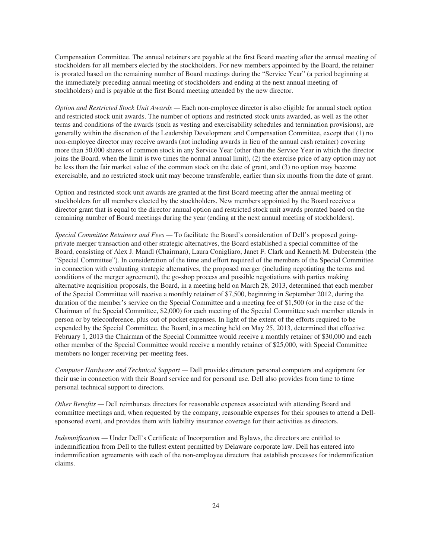Compensation Committee. The annual retainers are payable at the first Board meeting after the annual meeting of stockholders for all members elected by the stockholders. For new members appointed by the Board, the retainer is prorated based on the remaining number of Board meetings during the "Service Year" (a period beginning at the immediately preceding annual meeting of stockholders and ending at the next annual meeting of stockholders) and is payable at the first Board meeting attended by the new director.

*Option and Restricted Stock Unit Awards —* Each non-employee director is also eligible for annual stock option and restricted stock unit awards. The number of options and restricted stock units awarded, as well as the other terms and conditions of the awards (such as vesting and exercisability schedules and termination provisions), are generally within the discretion of the Leadership Development and Compensation Committee, except that (1) no non-employee director may receive awards (not including awards in lieu of the annual cash retainer) covering more than 50,000 shares of common stock in any Service Year (other than the Service Year in which the director joins the Board, when the limit is two times the normal annual limit), (2) the exercise price of any option may not be less than the fair market value of the common stock on the date of grant, and (3) no option may become exercisable, and no restricted stock unit may become transferable, earlier than six months from the date of grant.

Option and restricted stock unit awards are granted at the first Board meeting after the annual meeting of stockholders for all members elected by the stockholders. New members appointed by the Board receive a director grant that is equal to the director annual option and restricted stock unit awards prorated based on the remaining number of Board meetings during the year (ending at the next annual meeting of stockholders).

*Special Committee Retainers and Fees —* To facilitate the Board's consideration of Dell's proposed goingprivate merger transaction and other strategic alternatives, the Board established a special committee of the Board, consisting of Alex J. Mandl (Chairman), Laura Conigliaro, Janet F. Clark and Kenneth M. Duberstein (the "Special Committee"). In consideration of the time and effort required of the members of the Special Committee in connection with evaluating strategic alternatives, the proposed merger (including negotiating the terms and conditions of the merger agreement), the go-shop process and possible negotiations with parties making alternative acquisition proposals, the Board, in a meeting held on March 28, 2013, determined that each member of the Special Committee will receive a monthly retainer of \$7,500, beginning in September 2012, during the duration of the member's service on the Special Committee and a meeting fee of \$1,500 (or in the case of the Chairman of the Special Committee, \$2,000) for each meeting of the Special Committee such member attends in person or by teleconference, plus out of pocket expenses. In light of the extent of the efforts required to be expended by the Special Committee, the Board, in a meeting held on May 25, 2013, determined that effective February 1, 2013 the Chairman of the Special Committee would receive a monthly retainer of \$30,000 and each other member of the Special Committee would receive a monthly retainer of \$25,000, with Special Committee members no longer receiving per-meeting fees.

*Computer Hardware and Technical Support —* Dell provides directors personal computers and equipment for their use in connection with their Board service and for personal use. Dell also provides from time to time personal technical support to directors.

*Other Benefits —* Dell reimburses directors for reasonable expenses associated with attending Board and committee meetings and, when requested by the company, reasonable expenses for their spouses to attend a Dellsponsored event, and provides them with liability insurance coverage for their activities as directors.

*Indemnification* — Under Dell's Certificate of Incorporation and Bylaws, the directors are entitled to indemnification from Dell to the fullest extent permitted by Delaware corporate law. Dell has entered into indemnification agreements with each of the non-employee directors that establish processes for indemnification claims.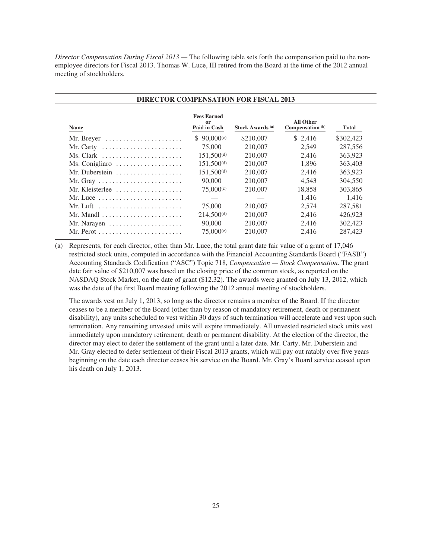*Director Compensation During Fiscal 2013 —* The following table sets forth the compensation paid to the nonemployee directors for Fiscal 2013. Thomas W. Luce, III retired from the Board at the time of the 2012 annual meeting of stockholders.

| Name                                                            | <b>Fees Earned</b><br>or<br>Paid in Cash | Stock Awards <sup>(a)</sup> | All Other<br>Compensation (b) | <b>Total</b> |
|-----------------------------------------------------------------|------------------------------------------|-----------------------------|-------------------------------|--------------|
| Mr. Breyer                                                      | $$90,000^{(c)}$                          | \$210,007                   | \$2,416                       | \$302,423    |
| Mr. Carty $\dots\dots\dots\dots\dots\dots\dots\dots\dots$       | 75,000                                   | 210,007                     | 2.549                         | 287,556      |
| Ms. Clark $\dots\dots\dots\dots\dots\dots\dots\dots\dots$       | $151,500^{(d)}$                          | 210,007                     | 2.416                         | 363,923      |
| Ms. Conigliaro                                                  | $151,500^{(d)}$                          | 210,007                     | 1.896                         | 363,403      |
| Mr. Duberstein                                                  | $151,500^{(d)}$                          | 210,007                     | 2.416                         | 363,923      |
| Mr. Gray $\dots\dots\dots\dots\dots\dots\dots\dots\dots\dots$   | 90,000                                   | 210,007                     | 4.543                         | 304,550      |
| Mr. Kleisterlee                                                 | $75,000^{(c)}$                           | 210,007                     | 18.858                        | 303.865      |
| Mr. Luce $\dots\dots\dots\dots\dots\dots\dots\dots\dots\dots$   |                                          |                             | 1.416                         | 1.416        |
| $Mr.$ Luft $\dots\dots\dots\dots\dots\dots\dots\dots\dots\dots$ | 75,000                                   | 210,007                     | 2.574                         | 287.581      |
| Mr. Mandl $\ldots \ldots \ldots \ldots \ldots \ldots \ldots$    | $214,500^{(d)}$                          | 210,007                     | 2.416                         | 426,923      |
|                                                                 | 90,000                                   | 210,007                     | 2,416                         | 302,423      |
|                                                                 | $75,000^{(c)}$                           | 210,007                     | 2,416                         | 287,423      |

(a) Represents, for each director, other than Mr. Luce, the total grant date fair value of a grant of 17,046 restricted stock units, computed in accordance with the Financial Accounting Standards Board ("FASB") Accounting Standards Codification ("ASC") Topic 718, *Compensation — Stock Compensation*. The grant date fair value of \$210,007 was based on the closing price of the common stock, as reported on the NASDAQ Stock Market, on the date of grant (\$12.32). The awards were granted on July 13, 2012, which was the date of the first Board meeting following the 2012 annual meeting of stockholders.

The awards vest on July 1, 2013, so long as the director remains a member of the Board. If the director ceases to be a member of the Board (other than by reason of mandatory retirement, death or permanent disability), any units scheduled to vest within 30 days of such termination will accelerate and vest upon such termination. Any remaining unvested units will expire immediately. All unvested restricted stock units vest immediately upon mandatory retirement, death or permanent disability. At the election of the director, the director may elect to defer the settlement of the grant until a later date. Mr. Carty, Mr. Duberstein and Mr. Gray elected to defer settlement of their Fiscal 2013 grants, which will pay out ratably over five years beginning on the date each director ceases his service on the Board. Mr. Gray's Board service ceased upon his death on July 1, 2013.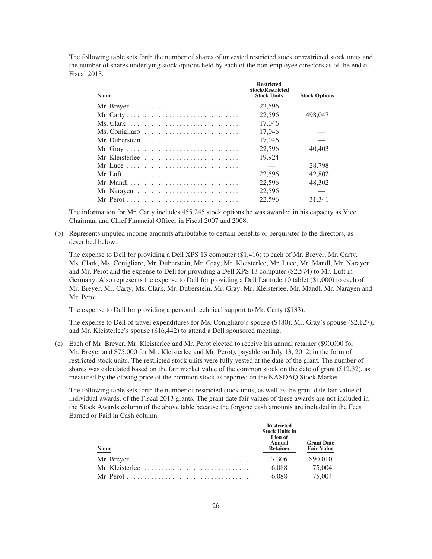The following table sets forth the number of shares of unvested restricted stock or restricted stock units and the number of shares underlying stock options held by each of the non-employee directors as of the end of Fiscal 2013.

| <b>Name</b>                                                                      | <b>Restricted</b><br><b>Stock/Restricted</b><br><b>Stock Units</b> | <b>Stock Options</b> |
|----------------------------------------------------------------------------------|--------------------------------------------------------------------|----------------------|
|                                                                                  | 22,596                                                             |                      |
|                                                                                  | 22,596                                                             | 498,047              |
| Ms. Clark $\dots\dots\dots\dots\dots\dots\dots\dots\dots\dots\dots\dots\dots$    | 17,046                                                             |                      |
| Ms. Conigliaro                                                                   | 17,046                                                             |                      |
| Mr. Duberstein                                                                   | 17.046                                                             |                      |
| Mr. Gray $\ldots \ldots \ldots \ldots \ldots \ldots \ldots \ldots \ldots \ldots$ | 22,596                                                             | 40.403               |
| Mr. Kleisterlee                                                                  | 19.924                                                             |                      |
| Mr. Luce $\ldots \ldots \ldots \ldots \ldots \ldots \ldots \ldots \ldots$        |                                                                    | 28,798               |
|                                                                                  | 22,596                                                             | 42,802               |
| Mr. Mandl                                                                        | 22,596                                                             | 48,302               |
| Mr. Narayen $\ldots \ldots \ldots \ldots \ldots \ldots \ldots \ldots \ldots$     | 22,596                                                             |                      |
|                                                                                  | 22,596                                                             | 31.341               |

The information for Mr. Carty includes 455,245 stock options he was awarded in his capacity as Vice Chairman and Chief Financial Officer in Fiscal 2007 and 2008.

(b) Represents imputed income amounts attributable to certain benefits or perquisites to the directors, as described below.

The expense to Dell for providing a Dell XPS 13 computer (\$1,416) to each of Mr. Breyer, Mr. Carty, Ms. Clark, Ms. Conigliaro, Mr. Duberstein, Mr. Gray, Mr. Kleisterlee, Mr. Luce, Mr. Mandl, Mr. Narayen and Mr. Perot and the expense to Dell for providing a Dell XPS 13 computer (\$2,574) to Mr. Luft in Germany. Also represents the expense to Dell for providing a Dell Latitude 10 tablet (\$1,000) to each of Mr. Breyer, Mr. Carty, Ms. Clark, Mr. Duberstein, Mr. Gray, Mr. Kleisterlee, Mr. Mandl, Mr. Narayen and Mr. Perot.

The expense to Dell for providing a personal technical support to Mr. Carty (\$133).

The expense to Dell of travel expenditures for Ms. Conigliaro's spouse (\$480), Mr. Gray's spouse (\$2,127), and Mr. Kleisterlee's spouse (\$16,442) to attend a Dell sponsored meeting.

(c) Each of Mr. Breyer, Mr. Kleisterlee and Mr. Perot elected to receive his annual retainer (\$90,000 for Mr. Breyer and \$75,000 for Mr. Kleisterlee and Mr. Perot), payable on July 13, 2012, in the form of restricted stock units. The restricted stock units were fully vested at the date of the grant. The number of shares was calculated based on the fair market value of the common stock on the date of grant (\$12.32), as measured by the closing price of the common stock as reported on the NASDAQ Stock Market.

The following table sets forth the number of restricted stock units, as well as the grant date fair value of individual awards, of the Fiscal 2013 grants. The grant date fair values of these awards are not included in the Stock Awards column of the above table because the forgone cash amounts are included in the Fees Earned or Paid in Cash column.

| <b>Name</b>                                                                         | <b>Restricted</b><br><b>Stock Units in</b><br>Lieu of<br>Annual<br><b>Retainer</b> | <b>Grant Date</b><br><b>Fair Value</b> |
|-------------------------------------------------------------------------------------|------------------------------------------------------------------------------------|----------------------------------------|
| Mr. Breyer $\dots\dots\dots\dots\dots\dots\dots\dots\dots\dots\dots\dots\dots\dots$ | 7.306                                                                              | \$90,010                               |
| Mr. Kleisterlee $\ldots, \ldots, \ldots, \ldots, \ldots, \ldots, \ldots, \ldots$    | 6.088                                                                              | 75,004                                 |
|                                                                                     | 6.088                                                                              | 75,004                                 |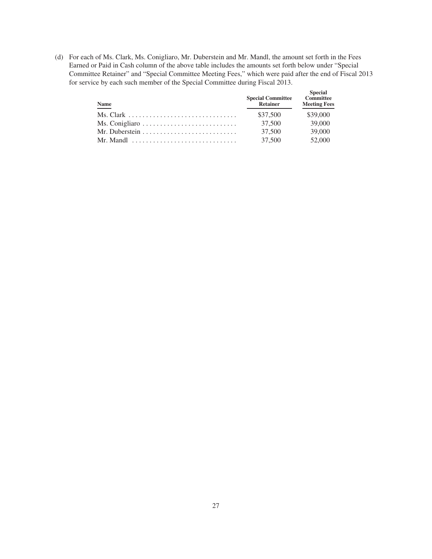(d) For each of Ms. Clark, Ms. Conigliaro, Mr. Duberstein and Mr. Mandl, the amount set forth in the Fees Earned or Paid in Cash column of the above table includes the amounts set forth below under "Special Committee Retainer" and "Special Committee Meeting Fees," which were paid after the end of Fiscal 2013 for service by each such member of the Special Committee during Fiscal 2013.

| <b>Name</b>                                                         | <b>Special Committee</b><br><b>Retainer</b> | <b>Special</b><br><b>Committee</b><br><b>Meeting Fees</b> |
|---------------------------------------------------------------------|---------------------------------------------|-----------------------------------------------------------|
|                                                                     | \$37,500                                    | \$39,000                                                  |
|                                                                     | 37,500                                      | 39,000                                                    |
|                                                                     | 37,500                                      | 39,000                                                    |
| Mr. Mandl $\ldots \ldots \ldots \ldots \ldots \ldots \ldots \ldots$ | 37,500                                      | 52,000                                                    |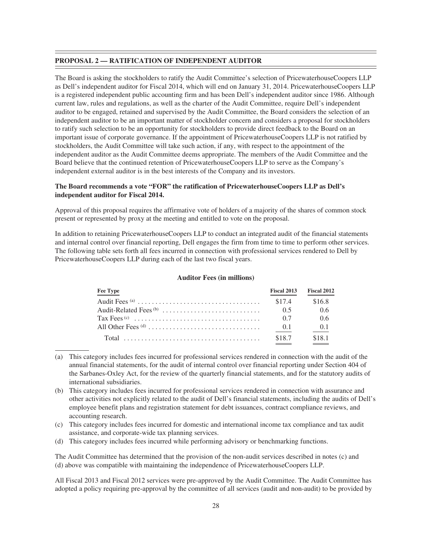#### **PROPOSAL 2 — RATIFICATION OF INDEPENDENT AUDITOR**

The Board is asking the stockholders to ratify the Audit Committee's selection of PricewaterhouseCoopers LLP as Dell's independent auditor for Fiscal 2014, which will end on January 31, 2014. PricewaterhouseCoopers LLP is a registered independent public accounting firm and has been Dell's independent auditor since 1986. Although current law, rules and regulations, as well as the charter of the Audit Committee, require Dell's independent auditor to be engaged, retained and supervised by the Audit Committee, the Board considers the selection of an independent auditor to be an important matter of stockholder concern and considers a proposal for stockholders to ratify such selection to be an opportunity for stockholders to provide direct feedback to the Board on an important issue of corporate governance. If the appointment of PricewaterhouseCoopers LLP is not ratified by stockholders, the Audit Committee will take such action, if any, with respect to the appointment of the independent auditor as the Audit Committee deems appropriate. The members of the Audit Committee and the Board believe that the continued retention of PricewaterhouseCoopers LLP to serve as the Company's independent external auditor is in the best interests of the Company and its investors.

# **The Board recommends a vote "FOR" the ratification of PricewaterhouseCoopers LLP as Dell's independent auditor for Fiscal 2014.**

Approval of this proposal requires the affirmative vote of holders of a majority of the shares of common stock present or represented by proxy at the meeting and entitled to vote on the proposal.

In addition to retaining PricewaterhouseCoopers LLP to conduct an integrated audit of the financial statements and internal control over financial reporting, Dell engages the firm from time to time to perform other services. The following table sets forth all fees incurred in connection with professional services rendered to Dell by PricewaterhouseCoopers LLP during each of the last two fiscal years.

| Fee Type | Fiscal 2013 | Fiscal 2012 |
|----------|-------------|-------------|
|          | \$17.4      | \$16.8      |
|          | 0.5         | -0.6        |
|          | 0.7         | 0.6         |
|          | (0.1)       | 0.1         |
|          | \$18.7      | \$181       |

#### **Auditor Fees (in millions)**

- (a) This category includes fees incurred for professional services rendered in connection with the audit of the annual financial statements, for the audit of internal control over financial reporting under Section 404 of the Sarbanes-Oxley Act, for the review of the quarterly financial statements, and for the statutory audits of international subsidiaries.
- (b) This category includes fees incurred for professional services rendered in connection with assurance and other activities not explicitly related to the audit of Dell's financial statements, including the audits of Dell's employee benefit plans and registration statement for debt issuances, contract compliance reviews, and accounting research.
- (c) This category includes fees incurred for domestic and international income tax compliance and tax audit assistance, and corporate-wide tax planning services.
- (d) This category includes fees incurred while performing advisory or benchmarking functions.

The Audit Committee has determined that the provision of the non-audit services described in notes (c) and (d) above was compatible with maintaining the independence of PricewaterhouseCoopers LLP.

All Fiscal 2013 and Fiscal 2012 services were pre-approved by the Audit Committee. The Audit Committee has adopted a policy requiring pre-approval by the committee of all services (audit and non-audit) to be provided by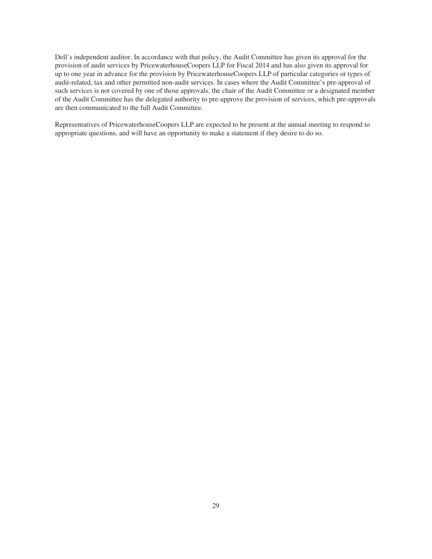Dell's independent auditor. In accordance with that policy, the Audit Committee has given its approval for the provision of audit services by PricewaterhouseCoopers LLP for Fiscal 2014 and has also given its approval for up to one year in advance for the provision by PricewaterhouseCoopers LLP of particular categories or types of audit-related, tax and other permitted non-audit services. In cases where the Audit Committee's pre-approval of such services is not covered by one of those approvals, the chair of the Audit Committee or a designated member of the Audit Committee has the delegated authority to pre-approve the provision of services, which pre-approvals are then communicated to the full Audit Committee.

Representatives of PricewaterhouseCoopers LLP are expected to be present at the annual meeting to respond to appropriate questions, and will have an opportunity to make a statement if they desire to do so.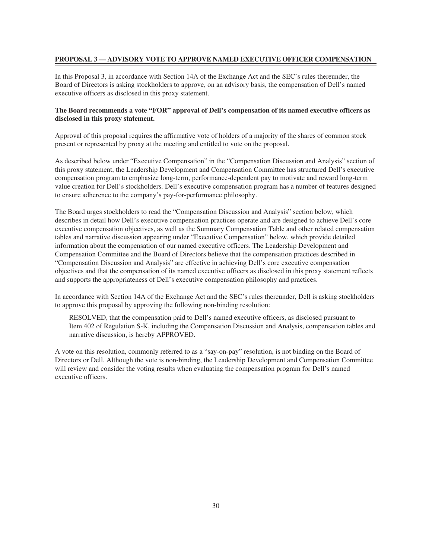# **PROPOSAL 3 — ADVISORY VOTE TO APPROVE NAMED EXECUTIVE OFFICER COMPENSATION**

In this Proposal 3, in accordance with Section 14A of the Exchange Act and the SEC's rules thereunder, the Board of Directors is asking stockholders to approve, on an advisory basis, the compensation of Dell's named executive officers as disclosed in this proxy statement.

# **The Board recommends a vote "FOR" approval of Dell's compensation of its named executive officers as disclosed in this proxy statement.**

Approval of this proposal requires the affirmative vote of holders of a majority of the shares of common stock present or represented by proxy at the meeting and entitled to vote on the proposal.

As described below under "Executive Compensation" in the "Compensation Discussion and Analysis" section of this proxy statement, the Leadership Development and Compensation Committee has structured Dell's executive compensation program to emphasize long-term, performance-dependent pay to motivate and reward long-term value creation for Dell's stockholders. Dell's executive compensation program has a number of features designed to ensure adherence to the company's pay-for-performance philosophy.

The Board urges stockholders to read the "Compensation Discussion and Analysis" section below, which describes in detail how Dell's executive compensation practices operate and are designed to achieve Dell's core executive compensation objectives, as well as the Summary Compensation Table and other related compensation tables and narrative discussion appearing under "Executive Compensation" below, which provide detailed information about the compensation of our named executive officers. The Leadership Development and Compensation Committee and the Board of Directors believe that the compensation practices described in "Compensation Discussion and Analysis" are effective in achieving Dell's core executive compensation objectives and that the compensation of its named executive officers as disclosed in this proxy statement reflects and supports the appropriateness of Dell's executive compensation philosophy and practices.

In accordance with Section 14A of the Exchange Act and the SEC's rules thereunder, Dell is asking stockholders to approve this proposal by approving the following non-binding resolution:

RESOLVED, that the compensation paid to Dell's named executive officers, as disclosed pursuant to Item 402 of Regulation S-K, including the Compensation Discussion and Analysis, compensation tables and narrative discussion, is hereby APPROVED.

A vote on this resolution, commonly referred to as a "say-on-pay" resolution, is not binding on the Board of Directors or Dell. Although the vote is non-binding, the Leadership Development and Compensation Committee will review and consider the voting results when evaluating the compensation program for Dell's named executive officers.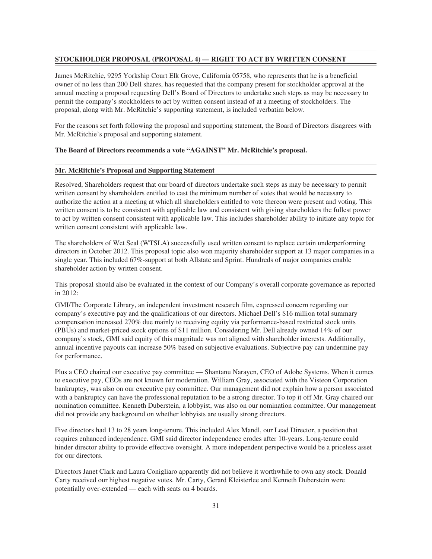#### **STOCKHOLDER PROPOSAL (PROPOSAL 4) — RIGHT TO ACT BY WRITTEN CONSENT**

James McRitchie, 9295 Yorkship Court Elk Grove, California 05758, who represents that he is a beneficial owner of no less than 200 Dell shares, has requested that the company present for stockholder approval at the annual meeting a proposal requesting Dell's Board of Directors to undertake such steps as may be necessary to permit the company's stockholders to act by written consent instead of at a meeting of stockholders. The proposal, along with Mr. McRitchie's supporting statement, is included verbatim below.

For the reasons set forth following the proposal and supporting statement, the Board of Directors disagrees with Mr. McRitchie's proposal and supporting statement.

#### **The Board of Directors recommends a vote "AGAINST" Mr. McRitchie's proposal.**

#### **Mr. McRitchie's Proposal and Supporting Statement**

Resolved, Shareholders request that our board of directors undertake such steps as may be necessary to permit written consent by shareholders entitled to cast the minimum number of votes that would be necessary to authorize the action at a meeting at which all shareholders entitled to vote thereon were present and voting. This written consent is to be consistent with applicable law and consistent with giving shareholders the fullest power to act by written consent consistent with applicable law. This includes shareholder ability to initiate any topic for written consent consistent with applicable law.

The shareholders of Wet Seal (WTSLA) successfully used written consent to replace certain underperforming directors in October 2012. This proposal topic also won majority shareholder support at 13 major companies in a single year. This included 67%-support at both Allstate and Sprint. Hundreds of major companies enable shareholder action by written consent.

This proposal should also be evaluated in the context of our Company's overall corporate governance as reported in 2012:

GMI/The Corporate Library, an independent investment research film, expressed concern regarding our company's executive pay and the qualifications of our directors. Michael Dell's \$16 million total summary compensation increased 270% due mainly to receiving equity via performance-based restricted stock units (PBUs) and market-priced stock options of \$11 million. Considering Mr. Dell already owned 14% of our company's stock, GMI said equity of this magnitude was not aligned with shareholder interests. Additionally, annual incentive payouts can increase 50% based on subjective evaluations. Subjective pay can undermine pay for performance.

Plus a CEO chaired our executive pay committee — Shantanu Narayen, CEO of Adobe Systems. When it comes to executive pay, CEOs are not known for moderation. William Gray, associated with the Visteon Corporation bankruptcy, was also on our executive pay committee. Our management did not explain how a person associated with a bankruptcy can have the professional reputation to be a strong director. To top it off Mr. Gray chaired our nomination committee. Kenneth Duberstein, a lobbyist, was also on our nomination committee. Our management did not provide any background on whether lobbyists are usually strong directors.

Five directors had 13 to 28 years long-tenure. This included Alex Mandl, our Lead Director, a position that requires enhanced independence. GMI said director independence erodes after 10-years. Long-tenure could hinder director ability to provide effective oversight. A more independent perspective would be a priceless asset for our directors.

Directors Janet Clark and Laura Conigliaro apparently did not believe it worthwhile to own any stock. Donald Carty received our highest negative votes. Mr. Carty, Gerard Kleisterlee and Kenneth Duberstein were potentially over-extended — each with seats on 4 boards.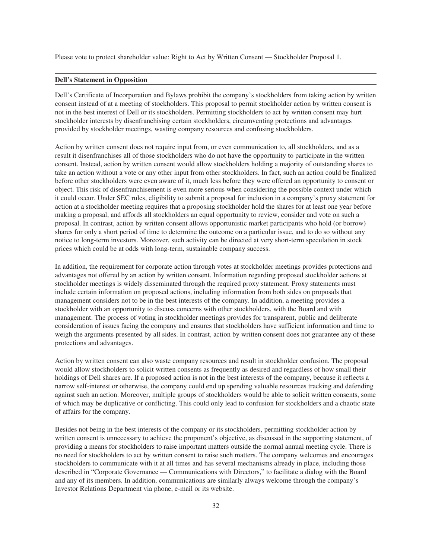Please vote to protect shareholder value: Right to Act by Written Consent — Stockholder Proposal 1.

#### **Dell's Statement in Opposition**

Dell's Certificate of Incorporation and Bylaws prohibit the company's stockholders from taking action by written consent instead of at a meeting of stockholders. This proposal to permit stockholder action by written consent is not in the best interest of Dell or its stockholders. Permitting stockholders to act by written consent may hurt stockholder interests by disenfranchising certain stockholders, circumventing protections and advantages provided by stockholder meetings, wasting company resources and confusing stockholders.

Action by written consent does not require input from, or even communication to, all stockholders, and as a result it disenfranchises all of those stockholders who do not have the opportunity to participate in the written consent. Instead, action by written consent would allow stockholders holding a majority of outstanding shares to take an action without a vote or any other input from other stockholders. In fact, such an action could be finalized before other stockholders were even aware of it, much less before they were offered an opportunity to consent or object. This risk of disenfranchisement is even more serious when considering the possible context under which it could occur. Under SEC rules, eligibility to submit a proposal for inclusion in a company's proxy statement for action at a stockholder meeting requires that a proposing stockholder hold the shares for at least one year before making a proposal, and affords all stockholders an equal opportunity to review, consider and vote on such a proposal. In contrast, action by written consent allows opportunistic market participants who hold (or borrow) shares for only a short period of time to determine the outcome on a particular issue, and to do so without any notice to long-term investors. Moreover, such activity can be directed at very short-term speculation in stock prices which could be at odds with long-term, sustainable company success.

In addition, the requirement for corporate action through votes at stockholder meetings provides protections and advantages not offered by an action by written consent. Information regarding proposed stockholder actions at stockholder meetings is widely disseminated through the required proxy statement. Proxy statements must include certain information on proposed actions, including information from both sides on proposals that management considers not to be in the best interests of the company. In addition, a meeting provides a stockholder with an opportunity to discuss concerns with other stockholders, with the Board and with management. The process of voting in stockholder meetings provides for transparent, public and deliberate consideration of issues facing the company and ensures that stockholders have sufficient information and time to weigh the arguments presented by all sides. In contrast, action by written consent does not guarantee any of these protections and advantages.

Action by written consent can also waste company resources and result in stockholder confusion. The proposal would allow stockholders to solicit written consents as frequently as desired and regardless of how small their holdings of Dell shares are. If a proposed action is not in the best interests of the company, because it reflects a narrow self-interest or otherwise, the company could end up spending valuable resources tracking and defending against such an action. Moreover, multiple groups of stockholders would be able to solicit written consents, some of which may be duplicative or conflicting. This could only lead to confusion for stockholders and a chaotic state of affairs for the company.

Besides not being in the best interests of the company or its stockholders, permitting stockholder action by written consent is unnecessary to achieve the proponent's objective, as discussed in the supporting statement, of providing a means for stockholders to raise important matters outside the normal annual meeting cycle. There is no need for stockholders to act by written consent to raise such matters. The company welcomes and encourages stockholders to communicate with it at all times and has several mechanisms already in place, including those described in "Corporate Governance — Communications with Directors," to facilitate a dialog with the Board and any of its members. In addition, communications are similarly always welcome through the company's Investor Relations Department via phone, e-mail or its website.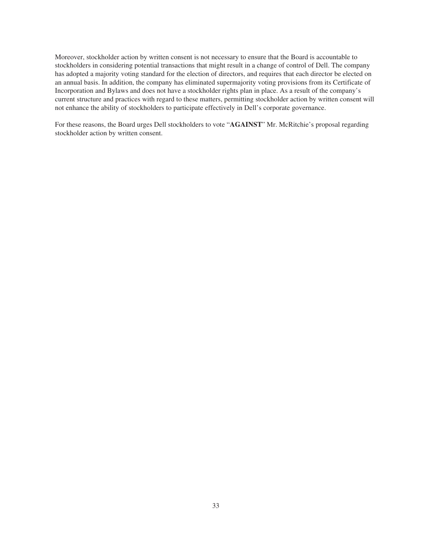Moreover, stockholder action by written consent is not necessary to ensure that the Board is accountable to stockholders in considering potential transactions that might result in a change of control of Dell. The company has adopted a majority voting standard for the election of directors, and requires that each director be elected on an annual basis. In addition, the company has eliminated supermajority voting provisions from its Certificate of Incorporation and Bylaws and does not have a stockholder rights plan in place. As a result of the company's current structure and practices with regard to these matters, permitting stockholder action by written consent will not enhance the ability of stockholders to participate effectively in Dell's corporate governance.

For these reasons, the Board urges Dell stockholders to vote "**AGAINST**" Mr. McRitchie's proposal regarding stockholder action by written consent.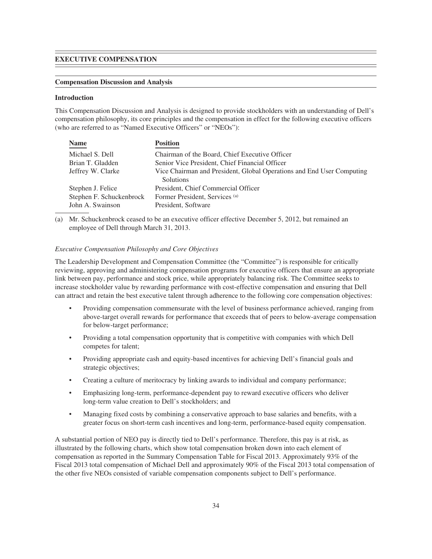## **EXECUTIVE COMPENSATION**

## **Compensation Discussion and Analysis**

## **Introduction**

This Compensation Discussion and Analysis is designed to provide stockholders with an understanding of Dell's compensation philosophy, its core principles and the compensation in effect for the following executive officers (who are referred to as "Named Executive Officers" or "NEOs"):

| <b>Name</b>              | <b>Position</b>                                                       |
|--------------------------|-----------------------------------------------------------------------|
| Michael S. Dell          | Chairman of the Board, Chief Executive Officer                        |
| Brian T. Gladden         | Senior Vice President, Chief Financial Officer                        |
| Jeffrey W. Clarke        | Vice Chairman and President, Global Operations and End User Computing |
|                          | Solutions                                                             |
| Stephen J. Felice        | President, Chief Commercial Officer                                   |
| Stephen F. Schuckenbrock | Former President, Services (a)                                        |
| John A. Swainson         | President, Software                                                   |
|                          |                                                                       |

(a) Mr. Schuckenbrock ceased to be an executive officer effective December 5, 2012, but remained an employee of Dell through March 31, 2013.

## *Executive Compensation Philosophy and Core Objectives*

The Leadership Development and Compensation Committee (the "Committee") is responsible for critically reviewing, approving and administering compensation programs for executive officers that ensure an appropriate link between pay, performance and stock price, while appropriately balancing risk. The Committee seeks to increase stockholder value by rewarding performance with cost-effective compensation and ensuring that Dell can attract and retain the best executive talent through adherence to the following core compensation objectives:

- Providing compensation commensurate with the level of business performance achieved, ranging from above-target overall rewards for performance that exceeds that of peers to below-average compensation for below-target performance;
- Providing a total compensation opportunity that is competitive with companies with which Dell competes for talent;
- Providing appropriate cash and equity-based incentives for achieving Dell's financial goals and strategic objectives;
- Creating a culture of meritocracy by linking awards to individual and company performance;
- Emphasizing long-term, performance-dependent pay to reward executive officers who deliver long-term value creation to Dell's stockholders; and
- Managing fixed costs by combining a conservative approach to base salaries and benefits, with a greater focus on short-term cash incentives and long-term, performance-based equity compensation.

A substantial portion of NEO pay is directly tied to Dell's performance. Therefore, this pay is at risk, as illustrated by the following charts, which show total compensation broken down into each element of compensation as reported in the Summary Compensation Table for Fiscal 2013. Approximately 93% of the Fiscal 2013 total compensation of Michael Dell and approximately 90% of the Fiscal 2013 total compensation of the other five NEOs consisted of variable compensation components subject to Dell's performance.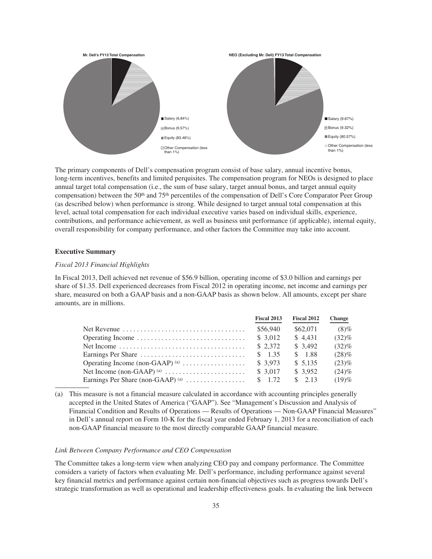

The primary components of Dell's compensation program consist of base salary, annual incentive bonus, long-term incentives, benefits and limited perquisites. The compensation program for NEOs is designed to place annual target total compensation (i.e., the sum of base salary, target annual bonus, and target annual equity compensation) between the 50<sup>th</sup> and 75<sup>th</sup> percentiles of the compensation of Dell's Core Comparator Peer Group (as described below) when performance is strong. While designed to target annual total compensation at this level, actual total compensation for each individual executive varies based on individual skills, experience, contributions, and performance achievement, as well as business unit performance (if applicable), internal equity, overall responsibility for company performance, and other factors the Committee may take into account.

## **Executive Summary**

## *Fiscal 2013 Financial Highlights*

In Fiscal 2013, Dell achieved net revenue of \$56.9 billion, operating income of \$3.0 billion and earnings per share of \$1.35. Dell experienced decreases from Fiscal 2012 in operating income, net income and earnings per share, measured on both a GAAP basis and a non-GAAP basis as shown below. All amounts, except per share amounts, are in millions.

|                                                                                    | Fiscal 2013       | Fiscal 2012        | <b>Change</b> |
|------------------------------------------------------------------------------------|-------------------|--------------------|---------------|
| Net Revenue $\ldots \ldots \ldots \ldots \ldots \ldots \ldots \ldots \ldots$       | \$56,940          | \$62,071           | $(8)\%$       |
|                                                                                    | \$3,012           | \$4.431            | $(32)\%$      |
| Net Income $\ldots \ldots \ldots \ldots \ldots \ldots \ldots \ldots \ldots \ldots$ | \$2,372           | \$3,492            | $(32)\%$      |
|                                                                                    | $\frac{\$}{1.35}$ | \$1.88             | $(28)\%$      |
| Operating Income (non-GAAP) $(a)$                                                  | \$3.973           | \$5.135            | $(23)\%$      |
|                                                                                    | \$3,017           | \$3.952            | $(24)\%$      |
| Earnings Per Share (non-GAAP) (a) $\dots \dots \dots \dots$                        | $\frac{\$}{1.72}$ | $\frac{1}{2}$ 2.13 | (19)%         |

(a) This measure is not a financial measure calculated in accordance with accounting principles generally accepted in the United States of America ("GAAP"). See "Management's Discussion and Analysis of Financial Condition and Results of Operations — Results of Operations — Non-GAAP Financial Measures" in Dell's annual report on Form 10-K for the fiscal year ended February 1, 2013 for a reconciliation of each non-GAAP financial measure to the most directly comparable GAAP financial measure.

## *Link Between Company Performance and CEO Compensation*

The Committee takes a long-term view when analyzing CEO pay and company performance. The Committee considers a variety of factors when evaluating Mr. Dell's performance, including performance against several key financial metrics and performance against certain non-financial objectives such as progress towards Dell's strategic transformation as well as operational and leadership effectiveness goals. In evaluating the link between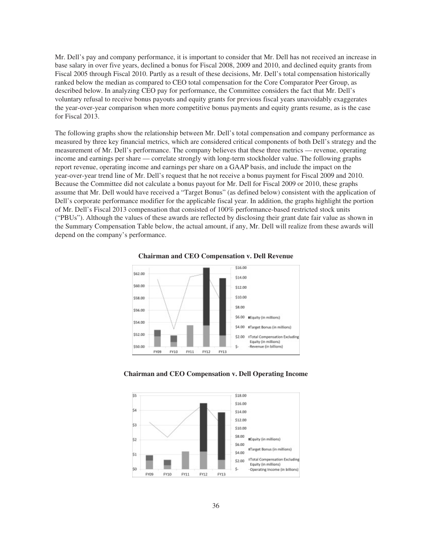Mr. Dell's pay and company performance, it is important to consider that Mr. Dell has not received an increase in base salary in over five years, declined a bonus for Fiscal 2008, 2009 and 2010, and declined equity grants from Fiscal 2005 through Fiscal 2010. Partly as a result of these decisions, Mr. Dell's total compensation historically ranked below the median as compared to CEO total compensation for the Core Comparator Peer Group, as described below. In analyzing CEO pay for performance, the Committee considers the fact that Mr. Dell's voluntary refusal to receive bonus payouts and equity grants for previous fiscal years unavoidably exaggerates the year-over-year comparison when more competitive bonus payments and equity grants resume, as is the case for Fiscal 2013.

The following graphs show the relationship between Mr. Dell's total compensation and company performance as measured by three key financial metrics, which are considered critical components of both Dell's strategy and the measurement of Mr. Dell's performance. The company believes that these three metrics — revenue, operating income and earnings per share — correlate strongly with long-term stockholder value. The following graphs report revenue, operating income and earnings per share on a GAAP basis, and include the impact on the year-over-year trend line of Mr. Dell's request that he not receive a bonus payment for Fiscal 2009 and 2010. Because the Committee did not calculate a bonus payout for Mr. Dell for Fiscal 2009 or 2010, these graphs assume that Mr. Dell would have received a "Target Bonus" (as defined below) consistent with the application of Dell's corporate performance modifier for the applicable fiscal year. In addition, the graphs highlight the portion of Mr. Dell's Fiscal 2013 compensation that consisted of 100% performance-based restricted stock units ("PBUs"). Although the values of these awards are reflected by disclosing their grant date fair value as shown in the Summary Compensation Table below, the actual amount, if any, Mr. Dell will realize from these awards will depend on the company's performance.





**Chairman and CEO Compensation v. Dell Operating Income**

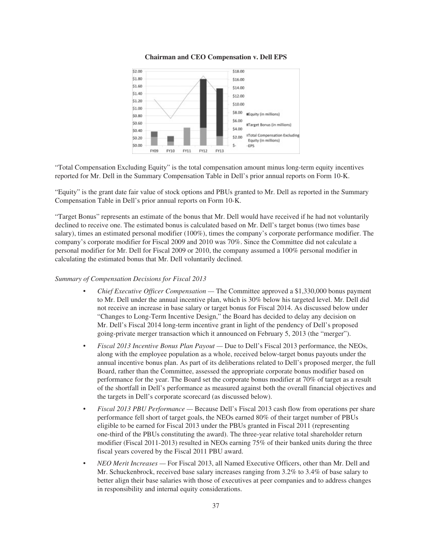## **Chairman and CEO Compensation v. Dell EPS**



"Total Compensation Excluding Equity" is the total compensation amount minus long-term equity incentives reported for Mr. Dell in the Summary Compensation Table in Dell's prior annual reports on Form 10-K.

"Equity" is the grant date fair value of stock options and PBUs granted to Mr. Dell as reported in the Summary Compensation Table in Dell's prior annual reports on Form 10-K.

"Target Bonus" represents an estimate of the bonus that Mr. Dell would have received if he had not voluntarily declined to receive one. The estimated bonus is calculated based on Mr. Dell's target bonus (two times base salary), times an estimated personal modifier (100%), times the company's corporate performance modifier. The company's corporate modifier for Fiscal 2009 and 2010 was 70%. Since the Committee did not calculate a personal modifier for Mr. Dell for Fiscal 2009 or 2010, the company assumed a 100% personal modifier in calculating the estimated bonus that Mr. Dell voluntarily declined.

#### *Summary of Compensation Decisions for Fiscal 2013*

- *Chief Executive Officer Compensation —* The Committee approved a \$1,330,000 bonus payment to Mr. Dell under the annual incentive plan, which is 30% below his targeted level. Mr. Dell did not receive an increase in base salary or target bonus for Fiscal 2014. As discussed below under "Changes to Long-Term Incentive Design," the Board has decided to delay any decision on Mr. Dell's Fiscal 2014 long-term incentive grant in light of the pendency of Dell's proposed going-private merger transaction which it announced on February 5, 2013 (the "merger").
- *Fiscal 2013 Incentive Bonus Plan Payout —* Due to Dell's Fiscal 2013 performance, the NEOs, along with the employee population as a whole, received below-target bonus payouts under the annual incentive bonus plan. As part of its deliberations related to Dell's proposed merger, the full Board, rather than the Committee, assessed the appropriate corporate bonus modifier based on performance for the year. The Board set the corporate bonus modifier at 70% of target as a result of the shortfall in Dell's performance as measured against both the overall financial objectives and the targets in Dell's corporate scorecard (as discussed below).
- *Fiscal 2013 PBU Performance —* Because Dell's Fiscal 2013 cash flow from operations per share performance fell short of target goals, the NEOs earned 80% of their target number of PBUs eligible to be earned for Fiscal 2013 under the PBUs granted in Fiscal 2011 (representing one-third of the PBUs constituting the award). The three-year relative total shareholder return modifier (Fiscal 2011-2013) resulted in NEOs earning 75% of their banked units during the three fiscal years covered by the Fiscal 2011 PBU award.
- *NEO Merit Increases —* For Fiscal 2013, all Named Executive Officers, other than Mr. Dell and Mr. Schuckenbrock, received base salary increases ranging from 3.2% to 3.4% of base salary to better align their base salaries with those of executives at peer companies and to address changes in responsibility and internal equity considerations.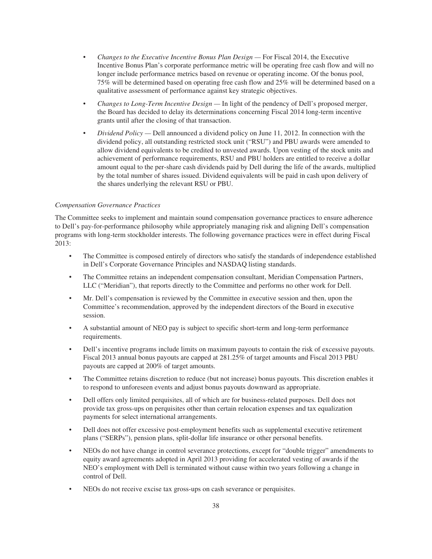- *Changes to the Executive Incentive Bonus Plan Design —* For Fiscal 2014, the Executive Incentive Bonus Plan's corporate performance metric will be operating free cash flow and will no longer include performance metrics based on revenue or operating income. Of the bonus pool, 75% will be determined based on operating free cash flow and 25% will be determined based on a qualitative assessment of performance against key strategic objectives.
- *Changes to Long-Term Incentive Design —* In light of the pendency of Dell's proposed merger, the Board has decided to delay its determinations concerning Fiscal 2014 long-term incentive grants until after the closing of that transaction.
- *Dividend Policy —* Dell announced a dividend policy on June 11, 2012. In connection with the dividend policy, all outstanding restricted stock unit ("RSU") and PBU awards were amended to allow dividend equivalents to be credited to unvested awards. Upon vesting of the stock units and achievement of performance requirements, RSU and PBU holders are entitled to receive a dollar amount equal to the per-share cash dividends paid by Dell during the life of the awards, multiplied by the total number of shares issued. Dividend equivalents will be paid in cash upon delivery of the shares underlying the relevant RSU or PBU.

# *Compensation Governance Practices*

The Committee seeks to implement and maintain sound compensation governance practices to ensure adherence to Dell's pay-for-performance philosophy while appropriately managing risk and aligning Dell's compensation programs with long-term stockholder interests. The following governance practices were in effect during Fiscal 2013:

- The Committee is composed entirely of directors who satisfy the standards of independence established in Dell's Corporate Governance Principles and NASDAQ listing standards.
- The Committee retains an independent compensation consultant, Meridian Compensation Partners, LLC ("Meridian"), that reports directly to the Committee and performs no other work for Dell.
- Mr. Dell's compensation is reviewed by the Committee in executive session and then, upon the Committee's recommendation, approved by the independent directors of the Board in executive session.
- A substantial amount of NEO pay is subject to specific short-term and long-term performance requirements.
- Dell's incentive programs include limits on maximum payouts to contain the risk of excessive payouts. Fiscal 2013 annual bonus payouts are capped at 281.25% of target amounts and Fiscal 2013 PBU payouts are capped at 200% of target amounts.
- The Committee retains discretion to reduce (but not increase) bonus payouts. This discretion enables it to respond to unforeseen events and adjust bonus payouts downward as appropriate.
- Dell offers only limited perquisites, all of which are for business-related purposes. Dell does not provide tax gross-ups on perquisites other than certain relocation expenses and tax equalization payments for select international arrangements.
- Dell does not offer excessive post-employment benefits such as supplemental executive retirement plans ("SERPs"), pension plans, split-dollar life insurance or other personal benefits.
- NEOs do not have change in control severance protections, except for "double trigger" amendments to equity award agreements adopted in April 2013 providing for accelerated vesting of awards if the NEO's employment with Dell is terminated without cause within two years following a change in control of Dell.
- NEOs do not receive excise tax gross-ups on cash severance or perquisites.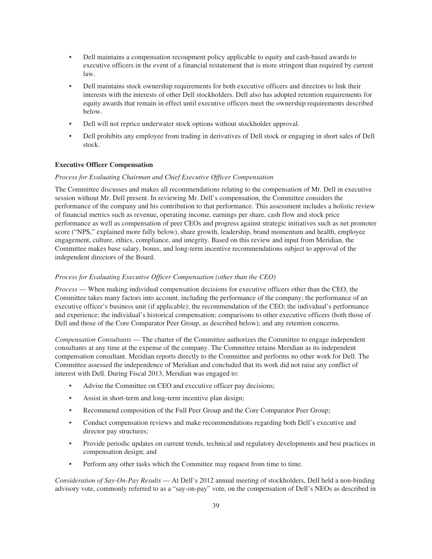- Dell maintains a compensation recoupment policy applicable to equity and cash-based awards to executive officers in the event of a financial restatement that is more stringent than required by current law.
- Dell maintains stock ownership requirements for both executive officers and directors to link their interests with the interests of other Dell stockholders. Dell also has adopted retention requirements for equity awards that remain in effect until executive officers meet the ownership requirements described below.
- Dell will not reprice underwater stock options without stockholder approval.
- Dell prohibits any employee from trading in derivatives of Dell stock or engaging in short sales of Dell stock.

# **Executive Officer Compensation**

## *Process for Evaluating Chairman and Chief Executive Officer Compensation*

The Committee discusses and makes all recommendations relating to the compensation of Mr. Dell in executive session without Mr. Dell present. In reviewing Mr. Dell's compensation, the Committee considers the performance of the company and his contribution to that performance. This assessment includes a holistic review of financial metrics such as revenue, operating income, earnings per share, cash flow and stock price performance as well as compensation of peer CEOs and progress against strategic initiatives such as net promoter score ("NPS," explained more fully below), share growth, leadership, brand momentum and health, employee engagement, culture, ethics, compliance, and integrity. Based on this review and input from Meridian, the Committee makes base salary, bonus, and long-term incentive recommendations subject to approval of the independent directors of the Board.

## *Process for Evaluating Executive Officer Compensation (other than the CEO)*

*Process* — When making individual compensation decisions for executive officers other than the CEO, the Committee takes many factors into account, including the performance of the company; the performance of an executive officer's business unit (if applicable); the recommendation of the CEO; the individual's performance and experience; the individual's historical compensation; comparisons to other executive officers (both those of Dell and those of the Core Comparator Peer Group, as described below); and any retention concerns.

*Compensation Consultants* — The charter of the Committee authorizes the Committee to engage independent consultants at any time at the expense of the company. The Committee retains Meridian as its independent compensation consultant. Meridian reports directly to the Committee and performs no other work for Dell. The Committee assessed the independence of Meridian and concluded that its work did not raise any conflict of interest with Dell. During Fiscal 2013, Meridian was engaged to:

- Advise the Committee on CEO and executive officer pay decisions;
- Assist in short-term and long-term incentive plan design;
- Recommend composition of the Full Peer Group and the Core Comparator Peer Group;
- Conduct compensation reviews and make recommendations regarding both Dell's executive and director pay structures;
- Provide periodic updates on current trends, technical and regulatory developments and best practices in compensation design; and
- Perform any other tasks which the Committee may request from time to time.

*Consideration of Say-On-Pay Results* — At Dell's 2012 annual meeting of stockholders, Dell held a non-binding advisory vote, commonly referred to as a "say-on-pay" vote, on the compensation of Dell's NEOs as described in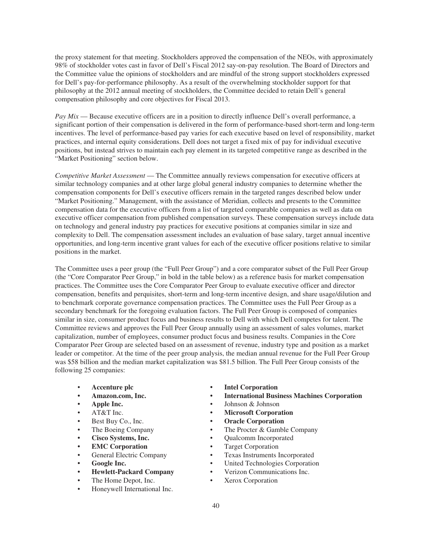the proxy statement for that meeting. Stockholders approved the compensation of the NEOs, with approximately 98% of stockholder votes cast in favor of Dell's Fiscal 2012 say-on-pay resolution. The Board of Directors and the Committee value the opinions of stockholders and are mindful of the strong support stockholders expressed for Dell's pay-for-performance philosophy. As a result of the overwhelming stockholder support for that philosophy at the 2012 annual meeting of stockholders, the Committee decided to retain Dell's general compensation philosophy and core objectives for Fiscal 2013.

*Pay Mix* — Because executive officers are in a position to directly influence Dell's overall performance, a significant portion of their compensation is delivered in the form of performance-based short-term and long-term incentives. The level of performance-based pay varies for each executive based on level of responsibility, market practices, and internal equity considerations. Dell does not target a fixed mix of pay for individual executive positions, but instead strives to maintain each pay element in its targeted competitive range as described in the "Market Positioning" section below.

*Competitive Market Assessment* — The Committee annually reviews compensation for executive officers at similar technology companies and at other large global general industry companies to determine whether the compensation components for Dell's executive officers remain in the targeted ranges described below under "Market Positioning." Management, with the assistance of Meridian, collects and presents to the Committee compensation data for the executive officers from a list of targeted comparable companies as well as data on executive officer compensation from published compensation surveys. These compensation surveys include data on technology and general industry pay practices for executive positions at companies similar in size and complexity to Dell. The compensation assessment includes an evaluation of base salary, target annual incentive opportunities, and long-term incentive grant values for each of the executive officer positions relative to similar positions in the market.

The Committee uses a peer group (the "Full Peer Group") and a core comparator subset of the Full Peer Group (the "Core Comparator Peer Group," in bold in the table below) as a reference basis for market compensation practices. The Committee uses the Core Comparator Peer Group to evaluate executive officer and director compensation, benefits and perquisites, short-term and long-term incentive design, and share usage/dilution and to benchmark corporate governance compensation practices. The Committee uses the Full Peer Group as a secondary benchmark for the foregoing evaluation factors. The Full Peer Group is composed of companies similar in size, consumer product focus and business results to Dell with which Dell competes for talent. The Committee reviews and approves the Full Peer Group annually using an assessment of sales volumes, market capitalization, number of employees, consumer product focus and business results. Companies in the Core Comparator Peer Group are selected based on an assessment of revenue, industry type and position as a market leader or competitor. At the time of the peer group analysis, the median annual revenue for the Full Peer Group was \$58 billion and the median market capitalization was \$81.5 billion. The Full Peer Group consists of the following 25 companies:

- 
- 
- 
- 
- 
- 
- 
- 
- 
- 
- 
- 
- Honeywell International Inc.
- **Accenture plc Intel Corporation**
	- **Amazon.com, Inc. International Business Machines Corporation**
	- **Apple Inc.** Johnson & Johnson
	- AT&T Inc.  **Microsoft Corporation**
	- Best Buy Co., Inc.  **Oracle Corporation**
	- The Boeing Company The Procter & Gamble Company
	- **Cisco Systems, Inc.** Qualcomm Incorporated
	- **EMC Corporation** Target Corporation
	- General Electric Company Texas Instruments Incorporated
	- **•** United Technologies Corporation
	- **Hewlett-Packard Company** Verizon Communications Inc.
	- The Home Depot, Inc. Xerox Corporation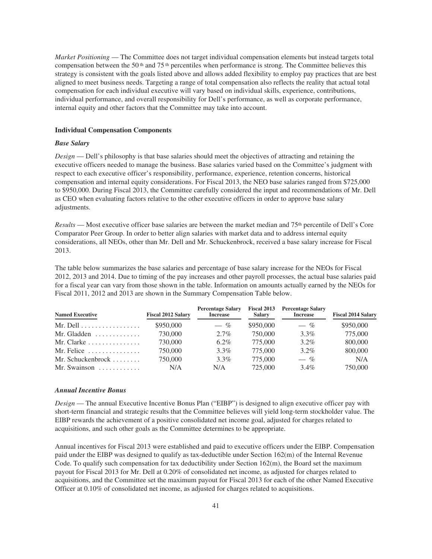*Market Positioning* — The Committee does not target individual compensation elements but instead targets total compensation between the 50<sup>th</sup> and 75<sup>th</sup> percentiles when performance is strong. The Committee believes this strategy is consistent with the goals listed above and allows added flexibility to employ pay practices that are best aligned to meet business needs. Targeting a range of total compensation also reflects the reality that actual total compensation for each individual executive will vary based on individual skills, experience, contributions, individual performance, and overall responsibility for Dell's performance, as well as corporate performance, internal equity and other factors that the Committee may take into account.

#### **Individual Compensation Components**

## *Base Salary*

*Design* — Dell's philosophy is that base salaries should meet the objectives of attracting and retaining the executive officers needed to manage the business. Base salaries varied based on the Committee's judgment with respect to each executive officer's responsibility, performance, experience, retention concerns, historical compensation and internal equity considerations. For Fiscal 2013, the NEO base salaries ranged from \$725,000 to \$950,000. During Fiscal 2013, the Committee carefully considered the input and recommendations of Mr. Dell as CEO when evaluating factors relative to the other executive officers in order to approve base salary adjustments.

*Results* — Most executive officer base salaries are between the market median and 75th percentile of Dell's Core Comparator Peer Group. In order to better align salaries with market data and to address internal equity considerations, all NEOs, other than Mr. Dell and Mr. Schuckenbrock, received a base salary increase for Fiscal 2013.

The table below summarizes the base salaries and percentage of base salary increase for the NEOs for Fiscal 2012, 2013 and 2014. Due to timing of the pay increases and other payroll processes, the actual base salaries paid for a fiscal year can vary from those shown in the table. Information on amounts actually earned by the NEOs for Fiscal 2011, 2012 and 2013 are shown in the Summary Compensation Table below.

| <b>Named Executive</b>                    | <b>Fiscal 2012 Salary</b> | <b>Percentage Salary</b><br><b>Increase</b> | <b>Salary</b> | Fiscal 2013 Percentage Salary<br><b>Increase</b> | <b>Fiscal 2014 Salary</b> |
|-------------------------------------------|---------------------------|---------------------------------------------|---------------|--------------------------------------------------|---------------------------|
| Mr. Dell $\dots\dots\dots\dots\dots\dots$ | \$950,000                 | $-$ %                                       | \$950,000     | $-$ %                                            | \$950,000                 |
| Mr. Gladden $\dots\dots\dots\dots$        | 730,000                   | $2.7\%$                                     | 750,000       | $3.3\%$                                          | 775,000                   |
| Mr. Clarke $\ldots \ldots \ldots \ldots$  | 730,000                   | $6.2\%$                                     | 775.000       | $3.2\%$                                          | 800,000                   |
| Mr. Felice $\dots \dots \dots \dots$      | 750,000                   | $3.3\%$                                     | 775,000       | $3.2\%$                                          | 800,000                   |
| Mr. Schuckenbrock $\ldots \ldots$         | 750,000                   | $3.3\%$                                     | 775,000       | $-$ %                                            | N/A                       |
| Mr. Swainson $\dots\dots\dots\dots$       | N/A                       | N/A                                         | 725,000       | $3.4\%$                                          | 750,000                   |

#### *Annual Incentive Bonus*

*Design* — The annual Executive Incentive Bonus Plan ("EIBP") is designed to align executive officer pay with short-term financial and strategic results that the Committee believes will yield long-term stockholder value. The EIBP rewards the achievement of a positive consolidated net income goal, adjusted for charges related to acquisitions, and such other goals as the Committee determines to be appropriate.

Annual incentives for Fiscal 2013 were established and paid to executive officers under the EIBP. Compensation paid under the EIBP was designed to qualify as tax-deductible under Section 162(m) of the Internal Revenue Code. To qualify such compensation for tax deductibility under Section 162(m), the Board set the maximum payout for Fiscal 2013 for Mr. Dell at 0.20% of consolidated net income, as adjusted for charges related to acquisitions, and the Committee set the maximum payout for Fiscal 2013 for each of the other Named Executive Officer at 0.10% of consolidated net income, as adjusted for charges related to acquisitions.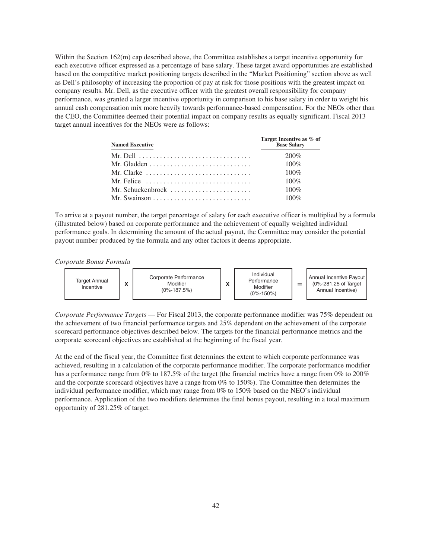Within the Section 162(m) cap described above, the Committee establishes a target incentive opportunity for each executive officer expressed as a percentage of base salary. These target award opportunities are established based on the competitive market positioning targets described in the "Market Positioning" section above as well as Dell's philosophy of increasing the proportion of pay at risk for those positions with the greatest impact on company results. Mr. Dell, as the executive officer with the greatest overall responsibility for company performance, was granted a larger incentive opportunity in comparison to his base salary in order to weight his annual cash compensation mix more heavily towards performance-based compensation. For the NEOs other than the CEO, the Committee deemed their potential impact on company results as equally significant. Fiscal 2013 target annual incentives for the NEOs were as follows:

| <b>Named Executive</b>                                                           | Target Incentive as % of<br><b>Base Salary</b> |
|----------------------------------------------------------------------------------|------------------------------------------------|
| Mr. Dell $\ldots \ldots \ldots \ldots \ldots \ldots \ldots \ldots \ldots \ldots$ | 200%                                           |
| Mr. Gladden $\dots\dots\dots\dots\dots\dots\dots\dots\dots\dots\dots$            | $100\%$                                        |
| Mr. Clarke $\ldots \ldots \ldots \ldots \ldots \ldots \ldots \ldots \ldots$      | $100\%$                                        |
| Mr. Felice $\ldots \ldots \ldots \ldots \ldots \ldots \ldots \ldots$             | $100\%$                                        |
| Mr. Schuckenbrock $\ldots$ , $\ldots$ , $\ldots$ , $\ldots$                      | $100\%$                                        |
|                                                                                  | $100\%$                                        |

To arrive at a payout number, the target percentage of salary for each executive officer is multiplied by a formula (illustrated below) based on corporate performance and the achievement of equally weighted individual performance goals. In determining the amount of the actual payout, the Committee may consider the potential payout number produced by the formula and any other factors it deems appropriate.

*Corporate Bonus Formula*



*Corporate Performance Targets* — For Fiscal 2013, the corporate performance modifier was 75% dependent on the achievement of two financial performance targets and 25% dependent on the achievement of the corporate scorecard performance objectives described below. The targets for the financial performance metrics and the corporate scorecard objectives are established at the beginning of the fiscal year.

At the end of the fiscal year, the Committee first determines the extent to which corporate performance was achieved, resulting in a calculation of the corporate performance modifier. The corporate performance modifier has a performance range from 0% to 187.5% of the target (the financial metrics have a range from 0% to 200% and the corporate scorecard objectives have a range from 0% to 150%). The Committee then determines the individual performance modifier, which may range from 0% to 150% based on the NEO's individual performance. Application of the two modifiers determines the final bonus payout, resulting in a total maximum opportunity of 281.25% of target.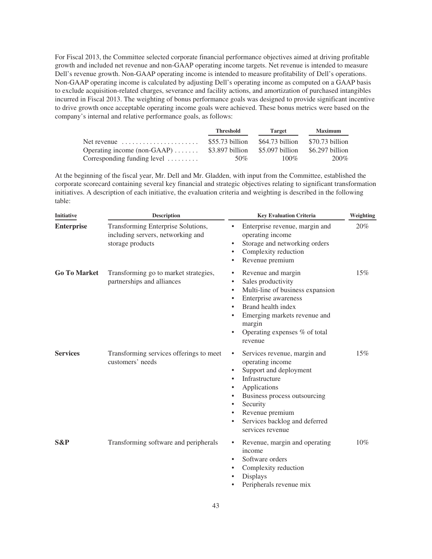For Fiscal 2013, the Committee selected corporate financial performance objectives aimed at driving profitable growth and included net revenue and non-GAAP operating income targets. Net revenue is intended to measure Dell's revenue growth. Non-GAAP operating income is intended to measure profitability of Dell's operations. Non-GAAP operating income is calculated by adjusting Dell's operating income as computed on a GAAP basis to exclude acquisition-related charges, severance and facility actions, and amortization of purchased intangibles incurred in Fiscal 2013. The weighting of bonus performance goals was designed to provide significant incentive to drive growth once acceptable operating income goals were achieved. These bonus metrics were based on the company's internal and relative performance goals, as follows:

|                                                        | Threshold        | Target          | <b>Maximum</b>  |
|--------------------------------------------------------|------------------|-----------------|-----------------|
| Net revenue $\dots\dots\dots\dots\dots\dots\dots\dots$ | $$55.73$ billion | \$64.73 billion | \$70.73 billion |
| Operating income (non-GAAP) $\dots$                    | \$3.897 billion  | \$5.097 billion | \$6.297 billion |
| Corresponding funding level                            | 50%              | $100\%$         | 200%            |

At the beginning of the fiscal year, Mr. Dell and Mr. Gladden, with input from the Committee, established the corporate scorecard containing several key financial and strategic objectives relating to significant transformation initiatives. A description of each initiative, the evaluation criteria and weighting is described in the following table:

| <b>Initiative</b>   | <b>Description</b>                                                                          | <b>Key Evaluation Criteria</b>                                                                                                                                                                                                                                                                      | Weighting |  |
|---------------------|---------------------------------------------------------------------------------------------|-----------------------------------------------------------------------------------------------------------------------------------------------------------------------------------------------------------------------------------------------------------------------------------------------------|-----------|--|
| <b>Enterprise</b>   | Transforming Enterprise Solutions,<br>including servers, networking and<br>storage products | Enterprise revenue, margin and<br>$\bullet$<br>operating income<br>Storage and networking orders<br>$\bullet$<br>Complexity reduction<br>$\bullet$<br>Revenue premium<br>٠                                                                                                                          | 20%       |  |
| <b>Go To Market</b> | Transforming go to market strategies,<br>partnerships and alliances                         | Revenue and margin<br>$\bullet$<br>Sales productivity<br>$\bullet$<br>Multi-line of business expansion<br>$\bullet$<br>Enterprise awareness<br>$\bullet$<br>Brand health index<br>$\bullet$<br>Emerging markets revenue and<br>margin<br>Operating expenses % of total<br>$\bullet$<br>revenue      | 15%       |  |
| <b>Services</b>     | Transforming services offerings to meet<br>customers' needs                                 | Services revenue, margin and<br>٠<br>operating income<br>Support and deployment<br>$\bullet$<br>Infrastructure<br>Applications<br>$\bullet$<br>Business process outsourcing<br>$\bullet$<br>Security<br>٠<br>Revenue premium<br>٠<br>Services backlog and deferred<br>$\bullet$<br>services revenue | 15%       |  |
| S&P                 | Transforming software and peripherals                                                       | Revenue, margin and operating<br>٠<br>income<br>Software orders<br>$\bullet$<br>Complexity reduction<br>٠<br>Displays<br>Peripherals revenue mix                                                                                                                                                    | 10%       |  |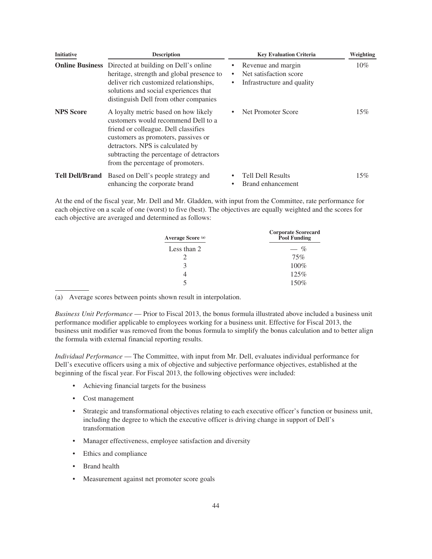| <b>Initiative</b> | <b>Description</b>                                                                                                                                                                                                                                                              | <b>Key Evaluation Criteria</b>                                                       | Weighting |
|-------------------|---------------------------------------------------------------------------------------------------------------------------------------------------------------------------------------------------------------------------------------------------------------------------------|--------------------------------------------------------------------------------------|-----------|
|                   | <b>Online Business</b> Directed at building on Dell's online<br>heritage, strength and global presence to<br>deliver rich customized relationships,<br>solutions and social experiences that<br>distinguish Dell from other companies                                           | Revenue and margin<br>٠<br>Net satisfaction score<br>Infrastructure and quality<br>٠ | $10\%$    |
| <b>NPS</b> Score  | A loyalty metric based on how likely<br>customers would recommend Dell to a<br>friend or colleague. Dell classifies<br>customers as promoters, passives or<br>detractors. NPS is calculated by<br>subtracting the percentage of detractors<br>from the percentage of promoters. | Net Promoter Score                                                                   | 15%       |
|                   | Tell Dell/Brand Based on Dell's people strategy and<br>enhancing the corporate brand                                                                                                                                                                                            | <b>Tell Dell Results</b><br>Brand enhancement                                        | 15%       |

At the end of the fiscal year, Mr. Dell and Mr. Gladden, with input from the Committee, rate performance for each objective on a scale of one (worst) to five (best). The objectives are equally weighted and the scores for each objective are averaged and determined as follows:

| Average Score <sup>(a)</sup> | <b>Corporate Scorecard</b><br><b>Pool Funding</b> |
|------------------------------|---------------------------------------------------|
| Less than 2                  | $-$ %                                             |
|                              | 75%                                               |
| κ                            | $100\%$                                           |
|                              | 125%                                              |
|                              | 150%                                              |

(a) Average scores between points shown result in interpolation.

*Business Unit Performance* — Prior to Fiscal 2013, the bonus formula illustrated above included a business unit performance modifier applicable to employees working for a business unit. Effective for Fiscal 2013, the business unit modifier was removed from the bonus formula to simplify the bonus calculation and to better align the formula with external financial reporting results.

*Individual Performance* — The Committee, with input from Mr. Dell, evaluates individual performance for Dell's executive officers using a mix of objective and subjective performance objectives, established at the beginning of the fiscal year. For Fiscal 2013, the following objectives were included:

- Achieving financial targets for the business
- Cost management
- Strategic and transformational objectives relating to each executive officer's function or business unit, including the degree to which the executive officer is driving change in support of Dell's transformation
- Manager effectiveness, employee satisfaction and diversity
- Ethics and compliance
- Brand health
- Measurement against net promoter score goals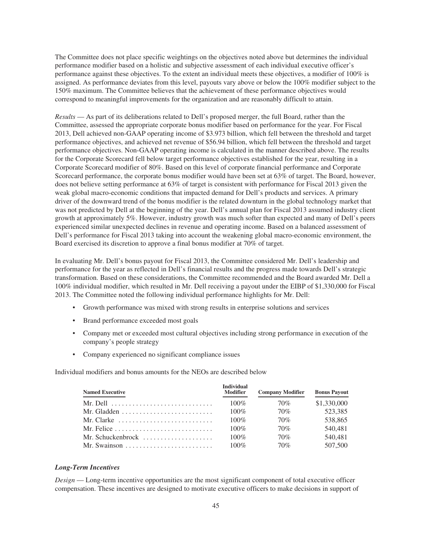The Committee does not place specific weightings on the objectives noted above but determines the individual performance modifier based on a holistic and subjective assessment of each individual executive officer's performance against these objectives. To the extent an individual meets these objectives, a modifier of 100% is assigned. As performance deviates from this level, payouts vary above or below the 100% modifier subject to the 150% maximum. The Committee believes that the achievement of these performance objectives would correspond to meaningful improvements for the organization and are reasonably difficult to attain.

*Results* — As part of its deliberations related to Dell's proposed merger, the full Board, rather than the Committee, assessed the appropriate corporate bonus modifier based on performance for the year. For Fiscal 2013, Dell achieved non-GAAP operating income of \$3.973 billion, which fell between the threshold and target performance objectives, and achieved net revenue of \$56.94 billion, which fell between the threshold and target performance objectives. Non-GAAP operating income is calculated in the manner described above. The results for the Corporate Scorecard fell below target performance objectives established for the year, resulting in a Corporate Scorecard modifier of 80%. Based on this level of corporate financial performance and Corporate Scorecard performance, the corporate bonus modifier would have been set at 63% of target. The Board, however, does not believe setting performance at 63% of target is consistent with performance for Fiscal 2013 given the weak global macro-economic conditions that impacted demand for Dell's products and services. A primary driver of the downward trend of the bonus modifier is the related downturn in the global technology market that was not predicted by Dell at the beginning of the year. Dell's annual plan for Fiscal 2013 assumed industry client growth at approximately 5%. However, industry growth was much softer than expected and many of Dell's peers experienced similar unexpected declines in revenue and operating income. Based on a balanced assessment of Dell's performance for Fiscal 2013 taking into account the weakening global macro-economic environment, the Board exercised its discretion to approve a final bonus modifier at 70% of target.

In evaluating Mr. Dell's bonus payout for Fiscal 2013, the Committee considered Mr. Dell's leadership and performance for the year as reflected in Dell's financial results and the progress made towards Dell's strategic transformation. Based on these considerations, the Committee recommended and the Board awarded Mr. Dell a 100% individual modifier, which resulted in Mr. Dell receiving a payout under the EIBP of \$1,330,000 for Fiscal 2013. The Committee noted the following individual performance highlights for Mr. Dell:

- Growth performance was mixed with strong results in enterprise solutions and services
- Brand performance exceeded most goals
- Company met or exceeded most cultural objectives including strong performance in execution of the company's people strategy
- Company experienced no significant compliance issues

Individual modifiers and bonus amounts for the NEOs are described below

| <b>Named Executive</b>                                              | <b>Individual</b><br><b>Modifier</b> | <b>Company Modifier</b> | <b>Bonus Payout</b> |
|---------------------------------------------------------------------|--------------------------------------|-------------------------|---------------------|
| Mr. Dell $\ldots \ldots \ldots \ldots \ldots \ldots \ldots \ldots$  | $100\%$                              | 70%                     | \$1,330,000         |
| Mr. Gladden $\dots\dots\dots\dots\dots\dots\dots\dots\dots\dots$    | $100\%$                              | 70%                     | 523.385             |
| Mr. Clarke $\ldots, \ldots, \ldots, \ldots, \ldots, \ldots, \ldots$ | $100\%$                              | 70%                     | 538,865             |
|                                                                     | $100\%$                              | 70%                     | 540.481             |
| Mr. Schuckenbrock                                                   | $100\%$                              | 70%                     | 540,481             |
|                                                                     | $100\%$                              | 70%                     | 507,500             |

#### *Long-Term Incentives*

*Design* — Long-term incentive opportunities are the most significant component of total executive officer compensation. These incentives are designed to motivate executive officers to make decisions in support of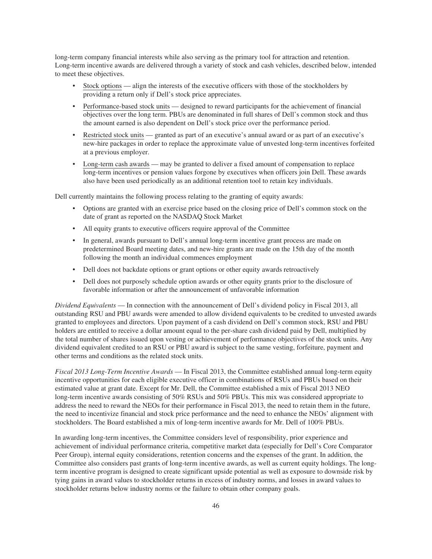long-term company financial interests while also serving as the primary tool for attraction and retention. Long-term incentive awards are delivered through a variety of stock and cash vehicles, described below, intended to meet these objectives.

- Stock options align the interests of the executive officers with those of the stockholders by providing a return only if Dell's stock price appreciates.
- Performance-based stock units designed to reward participants for the achievement of financial objectives over the long term. PBUs are denominated in full shares of Dell's common stock and thus the amount earned is also dependent on Dell's stock price over the performance period.
- Restricted stock units granted as part of an executive's annual award or as part of an executive's new-hire packages in order to replace the approximate value of unvested long-term incentives forfeited at a previous employer.
- Long-term cash awards may be granted to deliver a fixed amount of compensation to replace long-term incentives or pension values forgone by executives when officers join Dell. These awards also have been used periodically as an additional retention tool to retain key individuals.

Dell currently maintains the following process relating to the granting of equity awards:

- Options are granted with an exercise price based on the closing price of Dell's common stock on the date of grant as reported on the NASDAQ Stock Market
- All equity grants to executive officers require approval of the Committee
- In general, awards pursuant to Dell's annual long-term incentive grant process are made on predetermined Board meeting dates, and new-hire grants are made on the 15th day of the month following the month an individual commences employment
- Dell does not backdate options or grant options or other equity awards retroactively
- Dell does not purposely schedule option awards or other equity grants prior to the disclosure of favorable information or after the announcement of unfavorable information

*Dividend Equivalents* — In connection with the announcement of Dell's dividend policy in Fiscal 2013, all outstanding RSU and PBU awards were amended to allow dividend equivalents to be credited to unvested awards granted to employees and directors. Upon payment of a cash dividend on Dell's common stock, RSU and PBU holders are entitled to receive a dollar amount equal to the per-share cash dividend paid by Dell, multiplied by the total number of shares issued upon vesting or achievement of performance objectives of the stock units. Any dividend equivalent credited to an RSU or PBU award is subject to the same vesting, forfeiture, payment and other terms and conditions as the related stock units.

*Fiscal 2013 Long-Term Incentive Awards* — In Fiscal 2013, the Committee established annual long-term equity incentive opportunities for each eligible executive officer in combinations of RSUs and PBUs based on their estimated value at grant date. Except for Mr. Dell, the Committee established a mix of Fiscal 2013 NEO long-term incentive awards consisting of 50% RSUs and 50% PBUs. This mix was considered appropriate to address the need to reward the NEOs for their performance in Fiscal 2013, the need to retain them in the future, the need to incentivize financial and stock price performance and the need to enhance the NEOs' alignment with stockholders. The Board established a mix of long-term incentive awards for Mr. Dell of 100% PBUs.

In awarding long-term incentives, the Committee considers level of responsibility, prior experience and achievement of individual performance criteria, competitive market data (especially for Dell's Core Comparator Peer Group), internal equity considerations, retention concerns and the expenses of the grant. In addition, the Committee also considers past grants of long-term incentive awards, as well as current equity holdings. The longterm incentive program is designed to create significant upside potential as well as exposure to downside risk by tying gains in award values to stockholder returns in excess of industry norms, and losses in award values to stockholder returns below industry norms or the failure to obtain other company goals.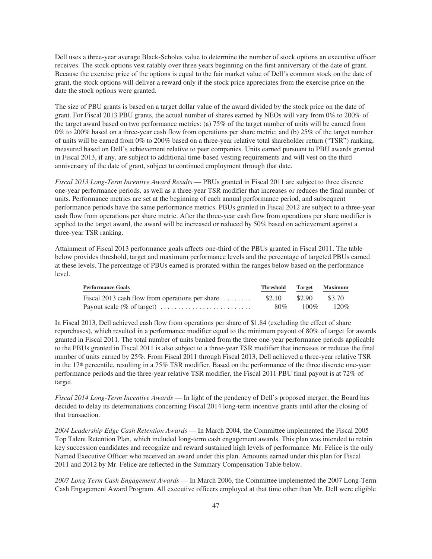Dell uses a three-year average Black-Scholes value to determine the number of stock options an executive officer receives. The stock options vest ratably over three years beginning on the first anniversary of the date of grant. Because the exercise price of the options is equal to the fair market value of Dell's common stock on the date of grant, the stock options will deliver a reward only if the stock price appreciates from the exercise price on the date the stock options were granted.

The size of PBU grants is based on a target dollar value of the award divided by the stock price on the date of grant. For Fiscal 2013 PBU grants, the actual number of shares earned by NEOs will vary from 0% to 200% of the target award based on two performance metrics: (a) 75% of the target number of units will be earned from 0% to 200% based on a three-year cash flow from operations per share metric; and (b) 25% of the target number of units will be earned from 0% to 200% based on a three-year relative total shareholder return ("TSR") ranking, measured based on Dell's achievement relative to peer companies. Units earned pursuant to PBU awards granted in Fiscal 2013, if any, are subject to additional time-based vesting requirements and will vest on the third anniversary of the date of grant, subject to continued employment through that date.

*Fiscal 2013 Long-Term Incentive Award Results* — PBUs granted in Fiscal 2011 are subject to three discrete one-year performance periods, as well as a three-year TSR modifier that increases or reduces the final number of units. Performance metrics are set at the beginning of each annual performance period, and subsequent performance periods have the same performance metrics. PBUs granted in Fiscal 2012 are subject to a three-year cash flow from operations per share metric. After the three-year cash flow from operations per share modifier is applied to the target award, the award will be increased or reduced by 50% based on achievement against a three-year TSR ranking.

Attainment of Fiscal 2013 performance goals affects one-third of the PBUs granted in Fiscal 2011. The table below provides threshold, target and maximum performance levels and the percentage of targeted PBUs earned at these levels. The percentage of PBUs earned is prorated within the ranges below based on the performance level.

| <b>Performance Goals</b>                                                     | Threshold | Target  | <b>Maximum</b> |
|------------------------------------------------------------------------------|-----------|---------|----------------|
| Fiscal 2013 cash flow from operations per share $\dots\dots$                 | \$2.10    | \$2.90  | \$3.70         |
| Payout scale (% of target) $\dots \dots \dots \dots \dots \dots \dots \dots$ | 80%       | $100\%$ | $120\%$        |

In Fiscal 2013, Dell achieved cash flow from operations per share of \$1.84 (excluding the effect of share repurchases), which resulted in a performance modifier equal to the minimum payout of 80% of target for awards granted in Fiscal 2011. The total number of units banked from the three one-year performance periods applicable to the PBUs granted in Fiscal 2011 is also subject to a three-year TSR modifier that increases or reduces the final number of units earned by 25%. From Fiscal 2011 through Fiscal 2013, Dell achieved a three-year relative TSR in the  $17<sup>th</sup>$  percentile, resulting in a  $75\%$  TSR modifier. Based on the performance of the three discrete one-year performance periods and the three-year relative TSR modifier, the Fiscal 2011 PBU final payout is at 72% of target.

*Fiscal 2014 Long-Term Incentive Awards* — In light of the pendency of Dell's proposed merger, the Board has decided to delay its determinations concerning Fiscal 2014 long-term incentive grants until after the closing of that transaction.

*2004 Leadership Edge Cash Retention Awards* — In March 2004, the Committee implemented the Fiscal 2005 Top Talent Retention Plan, which included long-term cash engagement awards. This plan was intended to retain key succession candidates and recognize and reward sustained high levels of performance. Mr. Felice is the only Named Executive Officer who received an award under this plan. Amounts earned under this plan for Fiscal 2011 and 2012 by Mr. Felice are reflected in the Summary Compensation Table below.

*2007 Long-Term Cash Engagement Awards* — In March 2006, the Committee implemented the 2007 Long-Term Cash Engagement Award Program. All executive officers employed at that time other than Mr. Dell were eligible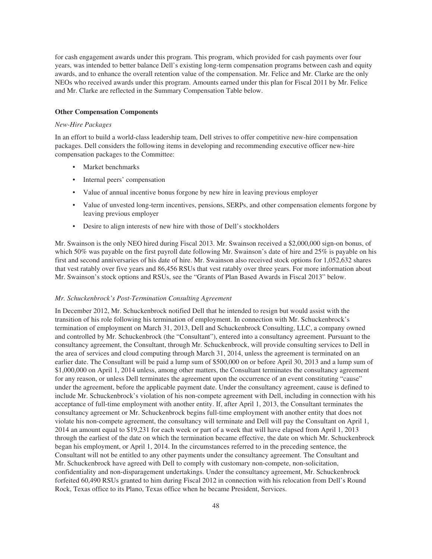for cash engagement awards under this program. This program, which provided for cash payments over four years, was intended to better balance Dell's existing long-term compensation programs between cash and equity awards, and to enhance the overall retention value of the compensation. Mr. Felice and Mr. Clarke are the only NEOs who received awards under this program. Amounts earned under this plan for Fiscal 2011 by Mr. Felice and Mr. Clarke are reflected in the Summary Compensation Table below.

# **Other Compensation Components**

## *New-Hire Packages*

In an effort to build a world-class leadership team, Dell strives to offer competitive new-hire compensation packages. Dell considers the following items in developing and recommending executive officer new-hire compensation packages to the Committee:

- Market benchmarks
- Internal peers' compensation
- Value of annual incentive bonus forgone by new hire in leaving previous employer
- Value of unvested long-term incentives, pensions, SERPs, and other compensation elements forgone by leaving previous employer
- Desire to align interests of new hire with those of Dell's stockholders

Mr. Swainson is the only NEO hired during Fiscal 2013. Mr. Swainson received a \$2,000,000 sign-on bonus, of which 50% was payable on the first payroll date following Mr. Swainson's date of hire and 25% is payable on his first and second anniversaries of his date of hire. Mr. Swainson also received stock options for 1,052,632 shares that vest ratably over five years and 86,456 RSUs that vest ratably over three years. For more information about Mr. Swainson's stock options and RSUs, see the "Grants of Plan Based Awards in Fiscal 2013" below.

### *Mr. Schuckenbrock's Post-Termination Consulting Agreement*

In December 2012, Mr. Schuckenbrock notified Dell that he intended to resign but would assist with the transition of his role following his termination of employment. In connection with Mr. Schuckenbrock's termination of employment on March 31, 2013, Dell and Schuckenbrock Consulting, LLC, a company owned and controlled by Mr. Schuckenbrock (the "Consultant"), entered into a consultancy agreement. Pursuant to the consultancy agreement, the Consultant, through Mr. Schuckenbrock, will provide consulting services to Dell in the area of services and cloud computing through March 31, 2014, unless the agreement is terminated on an earlier date. The Consultant will be paid a lump sum of \$500,000 on or before April 30, 2013 and a lump sum of \$1,000,000 on April 1, 2014 unless, among other matters, the Consultant terminates the consultancy agreement for any reason, or unless Dell terminates the agreement upon the occurrence of an event constituting "cause" under the agreement, before the applicable payment date. Under the consultancy agreement, cause is defined to include Mr. Schuckenbrock's violation of his non-compete agreement with Dell, including in connection with his acceptance of full-time employment with another entity. If, after April 1, 2013, the Consultant terminates the consultancy agreement or Mr. Schuckenbrock begins full-time employment with another entity that does not violate his non-compete agreement, the consultancy will terminate and Dell will pay the Consultant on April 1, 2014 an amount equal to \$19,231 for each week or part of a week that will have elapsed from April 1, 2013 through the earliest of the date on which the termination became effective, the date on which Mr. Schuckenbrock began his employment, or April 1, 2014. In the circumstances referred to in the preceding sentence, the Consultant will not be entitled to any other payments under the consultancy agreement. The Consultant and Mr. Schuckenbrock have agreed with Dell to comply with customary non-compete, non-solicitation, confidentiality and non-disparagement undertakings. Under the consultancy agreement, Mr. Schuckenbrock forfeited 60,490 RSUs granted to him during Fiscal 2012 in connection with his relocation from Dell's Round Rock, Texas office to its Plano, Texas office when he became President, Services.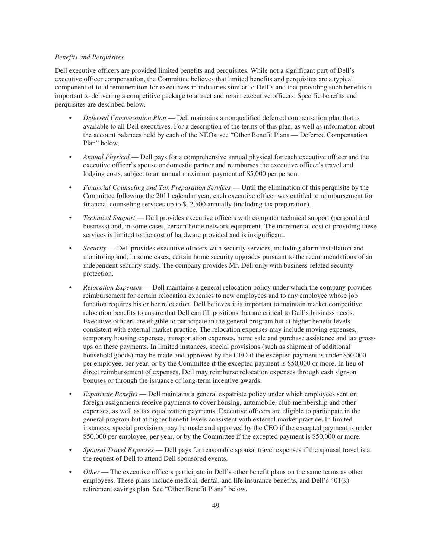## *Benefits and Perquisites*

Dell executive officers are provided limited benefits and perquisites. While not a significant part of Dell's executive officer compensation, the Committee believes that limited benefits and perquisites are a typical component of total remuneration for executives in industries similar to Dell's and that providing such benefits is important to delivering a competitive package to attract and retain executive officers. Specific benefits and perquisites are described below.

- *Deferred Compensation Plan* Dell maintains a nonqualified deferred compensation plan that is available to all Dell executives. For a description of the terms of this plan, as well as information about the account balances held by each of the NEOs, see "Other Benefit Plans — Deferred Compensation Plan" below.
- *Annual Physical* Dell pays for a comprehensive annual physical for each executive officer and the executive officer's spouse or domestic partner and reimburses the executive officer's travel and lodging costs, subject to an annual maximum payment of \$5,000 per person.
- *Financial Counseling and Tax Preparation Services* Until the elimination of this perquisite by the Committee following the 2011 calendar year, each executive officer was entitled to reimbursement for financial counseling services up to \$12,500 annually (including tax preparation).
- *Technical Support* Dell provides executive officers with computer technical support (personal and business) and, in some cases, certain home network equipment. The incremental cost of providing these services is limited to the cost of hardware provided and is insignificant.
- *Security* Dell provides executive officers with security services, including alarm installation and monitoring and, in some cases, certain home security upgrades pursuant to the recommendations of an independent security study. The company provides Mr. Dell only with business-related security protection.
- *Relocation Expenses* Dell maintains a general relocation policy under which the company provides reimbursement for certain relocation expenses to new employees and to any employee whose job function requires his or her relocation. Dell believes it is important to maintain market competitive relocation benefits to ensure that Dell can fill positions that are critical to Dell's business needs. Executive officers are eligible to participate in the general program but at higher benefit levels consistent with external market practice. The relocation expenses may include moving expenses, temporary housing expenses, transportation expenses, home sale and purchase assistance and tax grossups on these payments. In limited instances, special provisions (such as shipment of additional household goods) may be made and approved by the CEO if the excepted payment is under \$50,000 per employee, per year, or by the Committee if the excepted payment is \$50,000 or more. In lieu of direct reimbursement of expenses, Dell may reimburse relocation expenses through cash sign-on bonuses or through the issuance of long-term incentive awards.
- *Expatriate Benefits* Dell maintains a general expatriate policy under which employees sent on foreign assignments receive payments to cover housing, automobile, club membership and other expenses, as well as tax equalization payments. Executive officers are eligible to participate in the general program but at higher benefit levels consistent with external market practice. In limited instances, special provisions may be made and approved by the CEO if the excepted payment is under \$50,000 per employee, per year, or by the Committee if the excepted payment is \$50,000 or more.
- *Spousal Travel Expenses* Dell pays for reasonable spousal travel expenses if the spousal travel is at the request of Dell to attend Dell sponsored events.
- *Other* The executive officers participate in Dell's other benefit plans on the same terms as other employees. These plans include medical, dental, and life insurance benefits, and Dell's 401(k) retirement savings plan. See "Other Benefit Plans" below.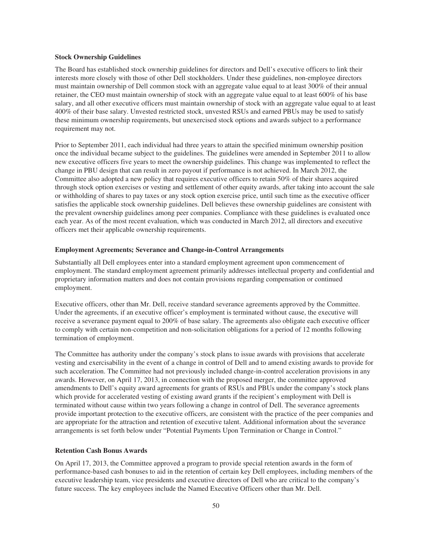## **Stock Ownership Guidelines**

The Board has established stock ownership guidelines for directors and Dell's executive officers to link their interests more closely with those of other Dell stockholders. Under these guidelines, non-employee directors must maintain ownership of Dell common stock with an aggregate value equal to at least 300% of their annual retainer, the CEO must maintain ownership of stock with an aggregate value equal to at least 600% of his base salary, and all other executive officers must maintain ownership of stock with an aggregate value equal to at least 400% of their base salary. Unvested restricted stock, unvested RSUs and earned PBUs may be used to satisfy these minimum ownership requirements, but unexercised stock options and awards subject to a performance requirement may not.

Prior to September 2011, each individual had three years to attain the specified minimum ownership position once the individual became subject to the guidelines. The guidelines were amended in September 2011 to allow new executive officers five years to meet the ownership guidelines. This change was implemented to reflect the change in PBU design that can result in zero payout if performance is not achieved. In March 2012, the Committee also adopted a new policy that requires executive officers to retain 50% of their shares acquired through stock option exercises or vesting and settlement of other equity awards, after taking into account the sale or withholding of shares to pay taxes or any stock option exercise price, until such time as the executive officer satisfies the applicable stock ownership guidelines. Dell believes these ownership guidelines are consistent with the prevalent ownership guidelines among peer companies. Compliance with these guidelines is evaluated once each year. As of the most recent evaluation, which was conducted in March 2012, all directors and executive officers met their applicable ownership requirements.

## **Employment Agreements; Severance and Change-in-Control Arrangements**

Substantially all Dell employees enter into a standard employment agreement upon commencement of employment. The standard employment agreement primarily addresses intellectual property and confidential and proprietary information matters and does not contain provisions regarding compensation or continued employment.

Executive officers, other than Mr. Dell, receive standard severance agreements approved by the Committee. Under the agreements, if an executive officer's employment is terminated without cause, the executive will receive a severance payment equal to 200% of base salary. The agreements also obligate each executive officer to comply with certain non-competition and non-solicitation obligations for a period of 12 months following termination of employment.

The Committee has authority under the company's stock plans to issue awards with provisions that accelerate vesting and exercisability in the event of a change in control of Dell and to amend existing awards to provide for such acceleration. The Committee had not previously included change-in-control acceleration provisions in any awards. However, on April 17, 2013, in connection with the proposed merger, the committee approved amendments to Dell's equity award agreements for grants of RSUs and PBUs under the company's stock plans which provide for accelerated vesting of existing award grants if the recipient's employment with Dell is terminated without cause within two years following a change in control of Dell. The severance agreements provide important protection to the executive officers, are consistent with the practice of the peer companies and are appropriate for the attraction and retention of executive talent. Additional information about the severance arrangements is set forth below under "Potential Payments Upon Termination or Change in Control."

## **Retention Cash Bonus Awards**

On April 17, 2013, the Committee approved a program to provide special retention awards in the form of performance-based cash bonuses to aid in the retention of certain key Dell employees, including members of the executive leadership team, vice presidents and executive directors of Dell who are critical to the company's future success. The key employees include the Named Executive Officers other than Mr. Dell.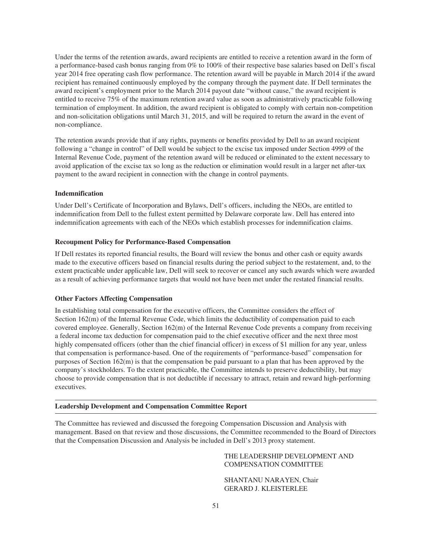Under the terms of the retention awards, award recipients are entitled to receive a retention award in the form of a performance-based cash bonus ranging from 0% to 100% of their respective base salaries based on Dell's fiscal year 2014 free operating cash flow performance. The retention award will be payable in March 2014 if the award recipient has remained continuously employed by the company through the payment date. If Dell terminates the award recipient's employment prior to the March 2014 payout date "without cause," the award recipient is entitled to receive 75% of the maximum retention award value as soon as administratively practicable following termination of employment. In addition, the award recipient is obligated to comply with certain non-competition and non-solicitation obligations until March 31, 2015, and will be required to return the award in the event of non-compliance.

The retention awards provide that if any rights, payments or benefits provided by Dell to an award recipient following a "change in control" of Dell would be subject to the excise tax imposed under Section 4999 of the Internal Revenue Code, payment of the retention award will be reduced or eliminated to the extent necessary to avoid application of the excise tax so long as the reduction or elimination would result in a larger net after-tax payment to the award recipient in connection with the change in control payments.

### **Indemnification**

Under Dell's Certificate of Incorporation and Bylaws, Dell's officers, including the NEOs, are entitled to indemnification from Dell to the fullest extent permitted by Delaware corporate law. Dell has entered into indemnification agreements with each of the NEOs which establish processes for indemnification claims.

#### **Recoupment Policy for Performance-Based Compensation**

If Dell restates its reported financial results, the Board will review the bonus and other cash or equity awards made to the executive officers based on financial results during the period subject to the restatement, and, to the extent practicable under applicable law, Dell will seek to recover or cancel any such awards which were awarded as a result of achieving performance targets that would not have been met under the restated financial results.

## **Other Factors Affecting Compensation**

In establishing total compensation for the executive officers, the Committee considers the effect of Section 162(m) of the Internal Revenue Code, which limits the deductibility of compensation paid to each covered employee. Generally, Section 162(m) of the Internal Revenue Code prevents a company from receiving a federal income tax deduction for compensation paid to the chief executive officer and the next three most highly compensated officers (other than the chief financial officer) in excess of \$1 million for any year, unless that compensation is performance-based. One of the requirements of "performance-based" compensation for purposes of Section 162(m) is that the compensation be paid pursuant to a plan that has been approved by the company's stockholders. To the extent practicable, the Committee intends to preserve deductibility, but may choose to provide compensation that is not deductible if necessary to attract, retain and reward high-performing executives.

## **Leadership Development and Compensation Committee Report**

The Committee has reviewed and discussed the foregoing Compensation Discussion and Analysis with management. Based on that review and those discussions, the Committee recommended to the Board of Directors that the Compensation Discussion and Analysis be included in Dell's 2013 proxy statement.

> THE LEADERSHIP DEVELOPMENT AND COMPENSATION COMMITTEE

SHANTANU NARAYEN, Chair GERARD J. KLEISTERLEE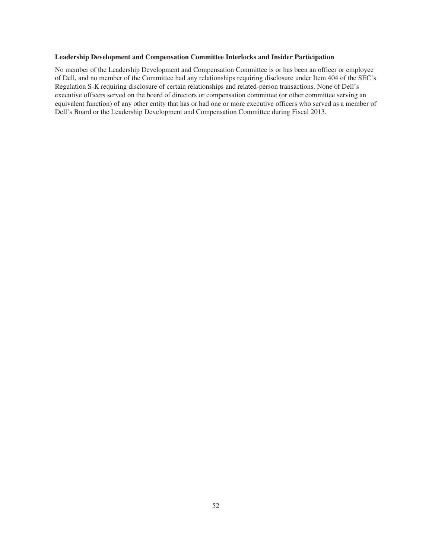## **Leadership Development and Compensation Committee Interlocks and Insider Participation**

No member of the Leadership Development and Compensation Committee is or has been an officer or employee of Dell, and no member of the Committee had any relationships requiring disclosure under Item 404 of the SEC's Regulation S-K requiring disclosure of certain relationships and related-person transactions. None of Dell's executive officers served on the board of directors or compensation committee (or other committee serving an equivalent function) of any other entity that has or had one or more executive officers who served as a member of Dell's Board or the Leadership Development and Compensation Committee during Fiscal 2013.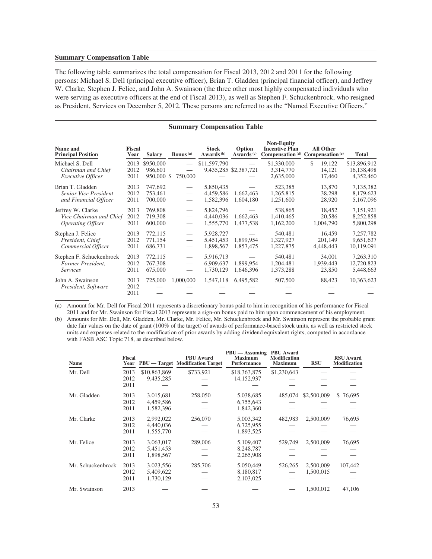## **Summary Compensation Table**

The following table summarizes the total compensation for Fiscal 2013, 2012 and 2011 for the following persons: Michael S. Dell (principal executive officer), Brian T. Gladden (principal financial officer), and Jeffrey W. Clarke, Stephen J. Felice, and John A. Swainson (the three other most highly compensated individuals who were serving as executive officers at the end of Fiscal 2013), as well as Stephen F. Schuckenbrock, who resigned as President, Services on December 5, 2012. These persons are referred to as the "Named Executive Officers."

| <b>Summary Compensation Table</b>                                         |                       |                                    |                                                                  |                                       |                                 |                                            |                                                                             |                                         |  |
|---------------------------------------------------------------------------|-----------------------|------------------------------------|------------------------------------------------------------------|---------------------------------------|---------------------------------|--------------------------------------------|-----------------------------------------------------------------------------|-----------------------------------------|--|
| Name and<br><b>Principal Position</b>                                     | <b>Fiscal</b><br>Year | <b>Salary</b>                      | <b>Bonus</b> (a)                                                 | <b>Stock</b><br>Awards <sup>(b)</sup> | Option<br>Awards <sup>(c)</sup> | <b>Non-Equity</b><br><b>Incentive Plan</b> | <b>All Other</b><br>Compensation <sup>(d)</sup> Compensation <sup>(e)</sup> | <b>Total</b>                            |  |
| Michael S. Dell<br>Chairman and Chief<br><b>Executive Officer</b>         | 2013<br>2012<br>2011  | \$950,000<br>986,601<br>950,000 \$ | 750,000                                                          | \$11,597,790                          | 9,435,285 \$2,387,721           | \$1,330,000<br>3,314,770<br>2,635,000      | \$<br>19.122<br>14,121<br>17,460                                            | \$13,896,912<br>16,138,498<br>4,352,460 |  |
| Brian T. Gladden<br><b>Senior Vice President</b><br>and Financial Officer | 2013<br>2012<br>2011  | 747,692<br>753,461<br>700,000      | $\hspace{0.1mm}-\hspace{0.1mm}$                                  | 5,850,435<br>4,459,586<br>1,582,396   | 1,662,463<br>1,604,180          | 523,385<br>1,265,815<br>1,251,600          | 13,870<br>38,298<br>28,920                                                  | 7,135,382<br>8,179,623<br>5,167,096     |  |
| Jeffrey W. Clarke<br>Vice Chairman and Chief<br>Operating Officer         | 2013<br>2012<br>2011  | 769,808<br>719,308<br>600,000      | $\hspace{0.1mm}-\hspace{0.1mm}$<br>$\overbrace{\phantom{12333}}$ | 5,824,796<br>4,440,036<br>1,555,770   | 1,662,463<br>1,477,538          | 538,865<br>1,410,465<br>1,162,200          | 18,452<br>20,586<br>1,004,790                                               | 7,151,921<br>8,252,858<br>5,800,298     |  |
| Stephen J. Felice<br>President, Chief<br>Commercial Officer               | 2013<br>2012<br>2011  | 772,115<br>771,154<br>686,731      | $\overbrace{\phantom{12333}}$<br>$\overbrace{\phantom{12333}}$   | 5,928,727<br>5,451,453<br>1,898,567   | 1,899,954<br>1,857,475          | 540,481<br>1,327,927<br>1,227,875          | 16,459<br>201,149<br>4,448,443                                              | 7,257,782<br>9,651,637<br>10,119,091    |  |
| Stephen F. Schuckenbrock<br>Former President,<br><i>Services</i>          | 2013<br>2012<br>2011  | 772,115<br>767,308<br>675,000      | $\hspace{0.1mm}-\hspace{0.1mm}$                                  | 5,916,713<br>6,909,637<br>1,730,129   | 1,899,954<br>1,646,396          | 540,481<br>1,204,481<br>1,373,288          | 34,001<br>1,939,443<br>23,850                                               | 7,263,310<br>12,720,823<br>5,448,663    |  |
| John A. Swainson<br>President, Software                                   | 2013<br>2012<br>2011  | 725,000                            | 1,000,000                                                        | 1,547,118                             | 6,495,582                       | 507,500                                    | 88,423                                                                      | 10,363,623                              |  |

(a) Amount for Mr. Dell for Fiscal 2011 represents a discretionary bonus paid to him in recognition of his performance for Fiscal 2011 and for Mr. Swainson for Fiscal 2013 represents a sign-on bonus paid to him upon commencement of his employment.

(b) Amounts for Mr. Dell, Mr. Gladden, Mr. Clarke, Mr. Felice, Mr. Schuckenbrock and Mr. Swainson represent the probable grant date fair values on the date of grant (100% of the target) of awards of performance-based stock units, as well as restricted stock units and expenses related to the modification of prior awards by adding dividend equivalent rights, computed in accordance with FASB ASC Topic 718, as described below.

| Name              | <b>Fiscal</b><br>Year |              | <b>PBU</b> Award<br><b>PBU</b> — Target Modification Target | $PBU - Assuming$<br><b>Maximum</b><br>Performance | <b>PBU</b> Award<br><b>Modification</b><br><b>Maximum</b> | <b>RSU</b>  | <b>RSU Award</b><br>Modification |
|-------------------|-----------------------|--------------|-------------------------------------------------------------|---------------------------------------------------|-----------------------------------------------------------|-------------|----------------------------------|
| Mr. Dell          | 2013                  | \$10,863,869 | \$733,921                                                   | \$18,363,875                                      | \$1,230,643                                               |             |                                  |
|                   | 2012                  | 9,435,285    |                                                             | 14, 152, 937                                      |                                                           |             |                                  |
|                   | 2011                  |              |                                                             |                                                   |                                                           |             |                                  |
| Mr. Gladden       | 2013                  | 3,015,681    | 258,050                                                     | 5,038,685                                         | 485,074                                                   | \$2,500,009 | \$76,695                         |
|                   | 2012                  | 4,459,586    |                                                             | 6,755,643                                         |                                                           |             |                                  |
|                   | 2011                  | 1,582,396    |                                                             | 1,842,360                                         |                                                           |             |                                  |
| Mr. Clarke        | 2013                  | 2,992,022    | 256,070                                                     | 5,003,342                                         | 482,983                                                   | 2,500,009   | 76,695                           |
|                   | 2012                  | 4.440.036    |                                                             | 6,725,955                                         |                                                           |             |                                  |
|                   | 2011                  | 1,555,770    |                                                             | 1,893,525                                         |                                                           |             |                                  |
| Mr. Felice        | 2013                  | 3,063,017    | 289,006                                                     | 5,109,407                                         | 529,749                                                   | 2,500,009   | 76,695                           |
|                   | 2012                  | 5,451,453    |                                                             | 8,248,787                                         |                                                           |             |                                  |
|                   | 2011                  | 1,898,567    |                                                             | 2,265,908                                         |                                                           |             |                                  |
| Mr. Schuckenbrock | 2013                  | 3,023,556    | 285,706                                                     | 5,050,449                                         | 526,265                                                   | 2,500,009   | 107,442                          |
|                   | 2012                  | 5,409,622    |                                                             | 8,180,817                                         |                                                           | 1,500,015   |                                  |
|                   | 2011                  | 1,730,129    |                                                             | 2,103,025                                         |                                                           |             |                                  |
| Mr. Swainson      | 2013                  |              |                                                             |                                                   |                                                           | 1.500.012   | 47,106                           |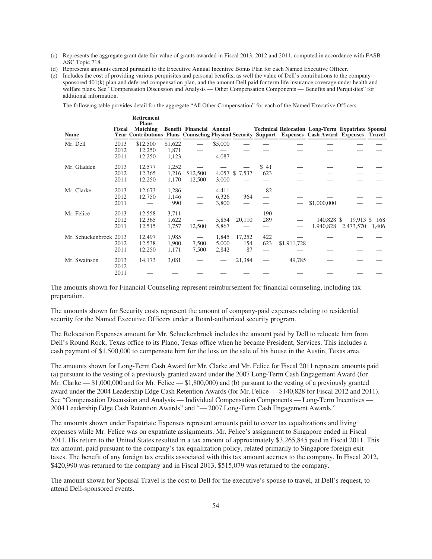- (c) Represents the aggregate grant date fair value of grants awarded in Fiscal 2013, 2012 and 2011, computed in accordance with FASB ASC Topic 718.
- (d) Represents amounts earned pursuant to the Executive Annual Incentive Bonus Plan for each Named Executive Officer.

**Retirement**

(e) Includes the cost of providing various perquisites and personal benefits, as well the value of Dell's contributions to the companysponsored 401(k) plan and deferred compensation plan, and the amount Dell paid for term life insurance coverage under health and welfare plans. See "Compensation Discussion and Analysis — Other Compensation Components — Benefits and Perquisites" for additional information.

The following table provides detail for the aggregate "All Other Compensation" for each of the Named Executive Officers.

| Name                   | <b>Fiscal</b>        | кепгешент<br><b>Plans</b><br><b>Matching</b><br>Year Contributions Plans Counseling Physical Security Support Expenses Cash Award Expenses Travel |                           | Benefit Financial Annual |                         |                     |             |             | <b>Technical Relocation Long-Term Expatriate Spousal</b> |                        |              |
|------------------------|----------------------|---------------------------------------------------------------------------------------------------------------------------------------------------|---------------------------|--------------------------|-------------------------|---------------------|-------------|-------------|----------------------------------------------------------|------------------------|--------------|
| Mr. Dell               | 2013<br>2012<br>2011 | \$12,500<br>12,250<br>12,250                                                                                                                      | \$1,622<br>1,871<br>1,123 |                          | \$5,000<br>4,087        |                     |             |             |                                                          |                        |              |
| Mr. Gladden            | 2013<br>2012<br>2011 | 12,577<br>12,365<br>12,250                                                                                                                        | 1,252<br>1,216<br>1,170   | \$12,500<br>12,500       | $4,057$ \$<br>3,000     | 7,537               | \$41<br>623 |             |                                                          |                        |              |
| Mr. Clarke             | 2013<br>2012<br>2011 | 12,673<br>12,750                                                                                                                                  | 1,286<br>1,146<br>990     | $\hspace{0.05cm}$        | 4,411<br>6,326<br>3,800 | 364                 | 82          |             | \$1,000,000                                              |                        |              |
| Mr. Felice             | 2013<br>2012<br>2011 | 12,558<br>12,365<br>12,515                                                                                                                        | 3,711<br>1,622<br>1,757   | 12,500                   | 5,854<br>5,867          | 20,110              | 190<br>289  |             | 140,828 \$<br>1,940,828                                  | 19,913 \$<br>2,473,570 | 168<br>1,406 |
| Mr. Schuckenbrock 2013 | 2012<br>2011         | 12,497<br>12,538<br>12,250                                                                                                                        | 1,985<br>1,900<br>1,171   | 7,500<br>7,500           | 1,845<br>5,000<br>2,842 | 17,252<br>154<br>87 | 422<br>623  | \$1,911,728 |                                                          |                        |              |
| Mr. Swainson           | 2013<br>2012<br>2011 | 14,173                                                                                                                                            | 3,081                     |                          |                         | 21,384              |             | 49,785      |                                                          |                        |              |

The amounts shown for Financial Counseling represent reimbursement for financial counseling, including tax preparation.

The amounts shown for Security costs represent the amount of company-paid expenses relating to residential security for the Named Executive Officers under a Board-authorized security program.

The Relocation Expenses amount for Mr. Schuckenbrock includes the amount paid by Dell to relocate him from Dell's Round Rock, Texas office to its Plano, Texas office when he became President, Services. This includes a cash payment of \$1,500,000 to compensate him for the loss on the sale of his house in the Austin, Texas area.

The amounts shown for Long-Term Cash Award for Mr. Clarke and Mr. Felice for Fiscal 2011 represent amounts paid (a) pursuant to the vesting of a previously granted award under the 2007 Long-Term Cash Engagement Award (for Mr. Clarke — \$1,000,000 and for Mr. Felice — \$1,800,000) and (b) pursuant to the vesting of a previously granted award under the 2004 Leadership Edge Cash Retention Awards (for Mr. Felice — \$140,828 for Fiscal 2012 and 2011). See "Compensation Discussion and Analysis — Individual Compensation Components — Long-Term Incentives — 2004 Leadership Edge Cash Retention Awards" and "— 2007 Long-Term Cash Engagement Awards."

The amounts shown under Expatriate Expenses represent amounts paid to cover tax equalizations and living expenses while Mr. Felice was on expatriate assignments. Mr. Felice's assignment to Singapore ended in Fiscal 2011. His return to the United States resulted in a tax amount of approximately \$3,265,845 paid in Fiscal 2011. This tax amount, paid pursuant to the company's tax equalization policy, related primarily to Singapore foreign exit taxes. The benefit of any foreign tax credits associated with this tax amount accrues to the company. In Fiscal 2012, \$420,990 was returned to the company and in Fiscal 2013, \$515,079 was returned to the company.

The amount shown for Spousal Travel is the cost to Dell for the executive's spouse to travel, at Dell's request, to attend Dell-sponsored events.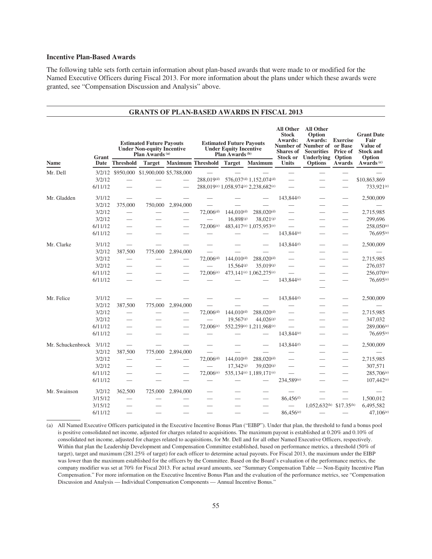## **Incentive Plan-Based Awards**

The following table sets forth certain information about plan-based awards that were made to or modified for the Named Executive Officers during Fiscal 2013. For more information about the plans under which these awards were granted, see "Compensation Discussion and Analysis" above.

|                   | <b>GRANTS OF PLAN-BASED AWARDS IN FISCAL 2013</b> |                          |                                                                                                                     |                                   |                          |                                                                                                                 |                                                 |                                                                                                    |                                                                                                                           |                                                 |                                                                                              |
|-------------------|---------------------------------------------------|--------------------------|---------------------------------------------------------------------------------------------------------------------|-----------------------------------|--------------------------|-----------------------------------------------------------------------------------------------------------------|-------------------------------------------------|----------------------------------------------------------------------------------------------------|---------------------------------------------------------------------------------------------------------------------------|-------------------------------------------------|----------------------------------------------------------------------------------------------|
| <b>Name</b>       | Grant<br>Date                                     | <b>Threshold</b>         | <b>Estimated Future Payouts</b><br><b>Under Non-equity Incentive</b><br>Plan Awards <sup>(a)</sup><br><b>Target</b> |                                   | <b>Maximum Threshold</b> | <b>Estimated Future Payouts</b><br><b>Under Equity Incentive</b><br>Plan Awards <sup>(b)</sup><br><b>Target</b> | <b>Maximum</b>                                  | <b>All Other</b><br><b>Stock</b><br>Awards:<br><b>Shares</b> of<br><b>Stock or</b><br><b>Units</b> | <b>All Other</b><br>Option<br>Awards:<br>Number of Number of or Base<br><b>Securities</b><br>Underlying<br><b>Options</b> | <b>Exercise</b><br>Price of<br>Option<br>Awards | <b>Grant Date</b><br>Fair<br>Value of<br><b>Stock and</b><br>Option<br>Awards <sup>(c)</sup> |
| Mr. Dell          | 3/2/12                                            |                          |                                                                                                                     | \$950,000 \$1,900,000 \$5,788,000 |                          |                                                                                                                 |                                                 |                                                                                                    |                                                                                                                           |                                                 |                                                                                              |
|                   | 3/2/12                                            |                          |                                                                                                                     |                                   | 288,019(d)               |                                                                                                                 | 576,037 <sup>(d)</sup> 1,152,074 <sup>(d)</sup> |                                                                                                    |                                                                                                                           |                                                 | \$10,863,869                                                                                 |
|                   | 6/11/12                                           |                          |                                                                                                                     |                                   |                          |                                                                                                                 | 288,019(e) 1,058,974(e) 2,238,682(e)            |                                                                                                    |                                                                                                                           |                                                 | 733,921 <sup>(e)</sup>                                                                       |
| Mr. Gladden       | 3/1/12                                            |                          |                                                                                                                     |                                   |                          |                                                                                                                 |                                                 | 143,844 <sup>(f)</sup>                                                                             |                                                                                                                           |                                                 | 2,500,009                                                                                    |
|                   | 3/2/12                                            | 375,000                  | 750,000                                                                                                             | 2,894,000                         |                          |                                                                                                                 |                                                 |                                                                                                    |                                                                                                                           |                                                 |                                                                                              |
|                   | 3/2/12                                            | $\overline{\phantom{0}}$ |                                                                                                                     |                                   | 72,006(d)                | $144,010^{(d)}$                                                                                                 | $288,020^{(d)}$                                 |                                                                                                    |                                                                                                                           |                                                 | 2,715,985                                                                                    |
|                   | 3/2/12                                            |                          |                                                                                                                     |                                   |                          | 16,898(g)                                                                                                       | 38,021(g)                                       |                                                                                                    |                                                                                                                           |                                                 | 299,696                                                                                      |
|                   | 6/11/12                                           |                          |                                                                                                                     |                                   | 72,006(e)                |                                                                                                                 | 483,417 <sup>(e)</sup> 1,075,953 <sup>(e)</sup> |                                                                                                    |                                                                                                                           | $\overline{\phantom{0}}$                        | $258,050^{(e)}$                                                                              |
|                   | 6/11/12                                           |                          |                                                                                                                     |                                   |                          |                                                                                                                 |                                                 | 143,844 <sup>(e)</sup>                                                                             |                                                                                                                           |                                                 | 76,695(e)                                                                                    |
| Mr. Clarke        | 3/1/12                                            |                          |                                                                                                                     |                                   |                          |                                                                                                                 |                                                 | 143,844 <sup>(f)</sup>                                                                             |                                                                                                                           | $\overline{\phantom{0}}$                        | 2,500,009                                                                                    |
|                   | 3/2/12                                            | 387,500                  | 775,000                                                                                                             | 2,894,000                         |                          |                                                                                                                 |                                                 |                                                                                                    |                                                                                                                           |                                                 |                                                                                              |
|                   | 3/2/12                                            | $\overline{\phantom{0}}$ |                                                                                                                     |                                   | $72,006^{(d)}$           | $144,010^{(d)}$                                                                                                 | 288,020 <sup>(d)</sup>                          |                                                                                                    |                                                                                                                           |                                                 | 2,715,985                                                                                    |
|                   | 3/2/12                                            | $\overline{\phantom{0}}$ |                                                                                                                     |                                   | $\frac{1}{2}$            | 15,564(g)                                                                                                       | 35,019(g)                                       |                                                                                                    |                                                                                                                           | $\overline{\phantom{0}}$                        | 276,037                                                                                      |
|                   | 6/11/12                                           |                          |                                                                                                                     |                                   | 72,006(e)                |                                                                                                                 | 473,141 <sup>(e)</sup> 1,062,275 <sup>(e)</sup> |                                                                                                    |                                                                                                                           |                                                 | $256,070^{(e)}$                                                                              |
|                   | 6/11/12                                           |                          |                                                                                                                     |                                   |                          |                                                                                                                 |                                                 | 143,844(e)                                                                                         |                                                                                                                           |                                                 | 76,695(e)                                                                                    |
|                   |                                                   |                          |                                                                                                                     |                                   |                          |                                                                                                                 |                                                 |                                                                                                    |                                                                                                                           |                                                 |                                                                                              |
| Mr. Felice        | 3/1/12                                            |                          |                                                                                                                     |                                   |                          |                                                                                                                 |                                                 | 143,844 <sup>(f)</sup>                                                                             |                                                                                                                           | $\overline{\phantom{0}}$                        | 2,500,009                                                                                    |
|                   | 3/2/12                                            | 387,500                  | 775,000                                                                                                             | 2,894,000                         |                          |                                                                                                                 |                                                 |                                                                                                    |                                                                                                                           | $\overline{\phantom{0}}$                        |                                                                                              |
|                   | 3/2/12                                            |                          |                                                                                                                     |                                   | 72,006(d)                | $144,010^{(d)}$                                                                                                 | $288,020$ <sup>(d)</sup>                        |                                                                                                    |                                                                                                                           |                                                 | 2,715,985                                                                                    |
|                   | 3/2/12                                            |                          |                                                                                                                     |                                   |                          | $19,567$ (g)                                                                                                    | 44.026 <sup>(g)</sup>                           | $\overline{\phantom{0}}$                                                                           |                                                                                                                           | $\overline{\phantom{0}}$                        | 347,032                                                                                      |
|                   | 6/11/12                                           |                          |                                                                                                                     |                                   | 72,006(e)                |                                                                                                                 | 552,259(e) 1,211,968(e)                         | $\overline{\phantom{0}}$                                                                           |                                                                                                                           |                                                 | 289,006(e)                                                                                   |
|                   | 6/11/12                                           |                          |                                                                                                                     |                                   |                          |                                                                                                                 |                                                 | 143,844(e)                                                                                         |                                                                                                                           |                                                 | 76,695(e)                                                                                    |
| Mr. Schuckenbrock | 3/1/12                                            |                          |                                                                                                                     |                                   |                          |                                                                                                                 |                                                 | 143,844 <sup>(f)</sup>                                                                             |                                                                                                                           |                                                 | 2,500,009                                                                                    |
|                   | 3/2/12                                            | 387,500                  | 775,000                                                                                                             | 2,894,000                         |                          |                                                                                                                 |                                                 |                                                                                                    |                                                                                                                           | $\overline{\phantom{0}}$                        |                                                                                              |
|                   | 3/2/12                                            |                          |                                                                                                                     |                                   | 72,006(d)                | $144,010^{(d)}$                                                                                                 | 288,020 <sup>(d)</sup>                          |                                                                                                    |                                                                                                                           | $\overbrace{\hspace{15em}}$                     | 2,715,985                                                                                    |
|                   | 3/2/12                                            |                          |                                                                                                                     |                                   |                          | 17.342(g)                                                                                                       | $39,020$ (g)                                    | $\overline{\phantom{0}}$                                                                           |                                                                                                                           | $\overline{\phantom{0}}$                        | 307,571                                                                                      |
|                   | 6/11/12                                           | $\overline{\phantom{0}}$ |                                                                                                                     |                                   | 72,006(e)                |                                                                                                                 | 535,134(e) 1,189,171(e)                         |                                                                                                    |                                                                                                                           |                                                 | 285,706 <sup>(e)</sup>                                                                       |
|                   | 6/11/12                                           |                          |                                                                                                                     |                                   |                          |                                                                                                                 |                                                 | 234,589(e)                                                                                         |                                                                                                                           |                                                 | 107,442(e)                                                                                   |
| Mr. Swainson      | 3/2/12                                            | 362,500                  | 725,000                                                                                                             | 2,894,000                         |                          |                                                                                                                 |                                                 |                                                                                                    |                                                                                                                           |                                                 |                                                                                              |
|                   | 3/15/12                                           |                          |                                                                                                                     |                                   |                          |                                                                                                                 |                                                 | 86,456 <sup>(f)</sup>                                                                              |                                                                                                                           |                                                 | 1,500,012                                                                                    |
|                   | 3/15/12                                           |                          |                                                                                                                     |                                   |                          |                                                                                                                 |                                                 |                                                                                                    | $1.052.632(h)$ \$17.35 <sup>(h)</sup>                                                                                     |                                                 | 6,495,582                                                                                    |
|                   | 6/11/12                                           |                          |                                                                                                                     |                                   |                          |                                                                                                                 |                                                 | $86,456^{(e)}$                                                                                     |                                                                                                                           |                                                 | $47,106^{(e)}$                                                                               |

(a) All Named Executive Officers participated in the Executive Incentive Bonus Plan ("EIBP"). Under that plan, the threshold to fund a bonus pool is positive consolidated net income, adjusted for charges related to acquisitions. The maximum payout is established at 0.20% and 0.10% of consolidated net income, adjusted for charges related to acquisitions, for Mr. Dell and for all other Named Executive Officers, respectively. Within that plan the Leadership Development and Compensation Committee established, based on performance metrics, a threshold (50% of target), target and maximum (281.25% of target) for each officer to determine actual payouts. For Fiscal 2013, the maximum under the EIBP was lower than the maximum established for the officers by the Committee. Based on the Board's evaluation of the performance metrics, the company modifier was set at 70% for Fiscal 2013. For actual award amounts, see "Summary Compensation Table — Non-Equity Incentive Plan Compensation." For more information on the Executive Incentive Bonus Plan and the evaluation of the performance metrics, see "Compensation Discussion and Analysis — Individual Compensation Components — Annual Incentive Bonus."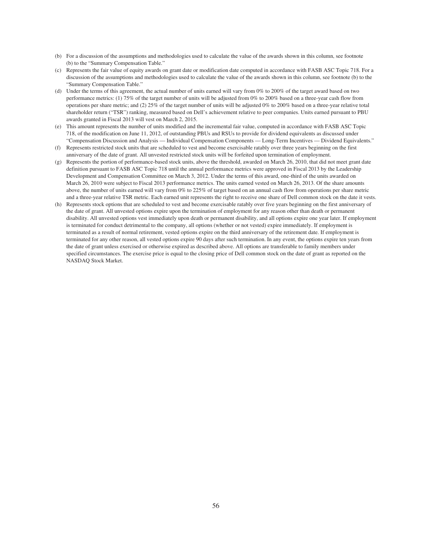- (b) For a discussion of the assumptions and methodologies used to calculate the value of the awards shown in this column, see footnote (b) to the "Summary Compensation Table."
- (c) Represents the fair value of equity awards on grant date or modification date computed in accordance with FASB ASC Topic 718. For a discussion of the assumptions and methodologies used to calculate the value of the awards shown in this column, see footnote (b) to the "Summary Compensation Table."
- (d) Under the terms of this agreement, the actual number of units earned will vary from 0% to 200% of the target award based on two performance metrics: (1) 75% of the target number of units will be adjusted from 0% to 200% based on a three-year cash flow from operations per share metric; and (2) 25% of the target number of units will be adjusted 0% to 200% based on a three-year relative total shareholder return ("TSR") ranking, measured based on Dell's achievement relative to peer companies. Units earned pursuant to PBU awards granted in Fiscal 2013 will vest on March 2, 2015.
- (e) This amount represents the number of units modified and the incremental fair value, computed in accordance with FASB ASC Topic 718, of the modification on June 11, 2012, of outstanding PBUs and RSUs to provide for dividend equivalents as discussed under "Compensation Discussion and Analysis — Individual Compensation Components — Long-Term Incentives — Dividend Equivalents."
- (f) Represents restricted stock units that are scheduled to vest and become exercisable ratably over three years beginning on the first anniversary of the date of grant. All unvested restricted stock units will be forfeited upon termination of employment.
- (g) Represents the portion of performance-based stock units, above the threshold, awarded on March 26, 2010, that did not meet grant date definition pursuant to FASB ASC Topic 718 until the annual performance metrics were approved in Fiscal 2013 by the Leadership Development and Compensation Committee on March 3, 2012. Under the terms of this award, one-third of the units awarded on March 26, 2010 were subject to Fiscal 2013 performance metrics. The units earned vested on March 26, 2013. Of the share amounts above, the number of units earned will vary from 0% to 225% of target based on an annual cash flow from operations per share metric and a three-year relative TSR metric. Each earned unit represents the right to receive one share of Dell common stock on the date it vests.
- (h) Represents stock options that are scheduled to vest and become exercisable ratably over five years beginning on the first anniversary of the date of grant. All unvested options expire upon the termination of employment for any reason other than death or permanent disability. All unvested options vest immediately upon death or permanent disability, and all options expire one year later. If employment is terminated for conduct detrimental to the company, all options (whether or not vested) expire immediately. If employment is terminated as a result of normal retirement, vested options expire on the third anniversary of the retirement date. If employment is terminated for any other reason, all vested options expire 90 days after such termination. In any event, the options expire ten years from the date of grant unless exercised or otherwise expired as described above. All options are transferable to family members under specified circumstances. The exercise price is equal to the closing price of Dell common stock on the date of grant as reported on the NASDAQ Stock Market.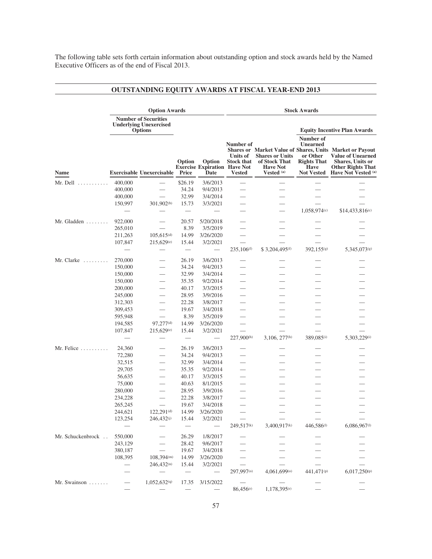The following table sets forth certain information about outstanding option and stock awards held by the Named Executive Officers as of the end of Fiscal 2013.

# **OUTSTANDING EQUITY AWARDS AT FISCAL YEAR-END 2013**

|                                   | <b>Option Awards</b>                                                           |                                  |                          |                                                       | <b>Stock Awards</b>                                         |                                                                                     |                                                                               |                                                                                                                                                                               |  |
|-----------------------------------|--------------------------------------------------------------------------------|----------------------------------|--------------------------|-------------------------------------------------------|-------------------------------------------------------------|-------------------------------------------------------------------------------------|-------------------------------------------------------------------------------|-------------------------------------------------------------------------------------------------------------------------------------------------------------------------------|--|
|                                   | <b>Number of Securities</b><br><b>Underlying Unexercised</b><br><b>Options</b> |                                  |                          |                                                       |                                                             |                                                                                     | <b>Equity Incentive Plan Awards</b>                                           |                                                                                                                                                                               |  |
| Name                              |                                                                                | <b>Exercisable Unexercisable</b> | Option<br>Price          | Option<br><b>Exercise Expiration Have Not</b><br>Date | Number of<br>Units of<br><b>Stock that</b><br><b>Vested</b> | <b>Shares or Units</b><br>of Stock That<br><b>Have Not</b><br>Vested <sup>(a)</sup> | Number of<br><b>Unearned</b><br>or Other<br><b>Rights That</b><br><b>Have</b> | Shares or Market Value of Shares, Units Market or Payout<br><b>Value of Unearned</b><br><b>Shares, Units or</b><br><b>Other Rights That</b><br>Not Vested Have Not Vested (a) |  |
| $Mr.$ Dell $\dots\dots\dots\dots$ | 400,000                                                                        |                                  | \$26.19                  | 3/6/2013                                              |                                                             |                                                                                     |                                                                               |                                                                                                                                                                               |  |
|                                   | 400,000                                                                        |                                  | 34.24                    | 9/4/2013                                              |                                                             |                                                                                     |                                                                               |                                                                                                                                                                               |  |
|                                   | 400,000                                                                        |                                  | 32.99                    | 3/4/2014                                              |                                                             |                                                                                     |                                                                               |                                                                                                                                                                               |  |
|                                   | 150,997                                                                        | 301,902 <sup>(b)</sup>           | 15.73                    | 3/3/2021                                              |                                                             |                                                                                     |                                                                               |                                                                                                                                                                               |  |
|                                   |                                                                                |                                  |                          |                                                       |                                                             |                                                                                     | 1,058,974(c)                                                                  | $$14,433,816^{(c)}$                                                                                                                                                           |  |
|                                   |                                                                                |                                  |                          |                                                       |                                                             |                                                                                     |                                                                               |                                                                                                                                                                               |  |
| Mr. Gladden $\dots\dots$          | 922,000                                                                        |                                  | 20.57                    | 5/20/2018                                             |                                                             |                                                                                     |                                                                               |                                                                                                                                                                               |  |
|                                   | 265,010                                                                        |                                  | 8.39                     | 3/5/2019                                              |                                                             |                                                                                     |                                                                               |                                                                                                                                                                               |  |
|                                   | 211,263                                                                        | $105,615^{(d)}$                  | 14.99                    | 3/26/2020                                             |                                                             |                                                                                     |                                                                               |                                                                                                                                                                               |  |
|                                   | 107,847                                                                        | 215,629 <sup>(e)</sup>           | 15.44                    | 3/2/2021                                              | 235,106 <sup>(f)</sup>                                      | \$3,204,495 <sup>(f)</sup>                                                          | 392,155(g)                                                                    | 5,345,073(g)                                                                                                                                                                  |  |
| Mr. Clarke $\dots\dots\dots$      | 270,000                                                                        |                                  | 26.19                    | 3/6/2013                                              |                                                             |                                                                                     |                                                                               |                                                                                                                                                                               |  |
|                                   | 150,000                                                                        |                                  | 34.24                    | 9/4/2013                                              |                                                             |                                                                                     |                                                                               |                                                                                                                                                                               |  |
|                                   | 150,000                                                                        | $\overline{\phantom{0}}$         | 32.99                    | 3/4/2014                                              |                                                             |                                                                                     |                                                                               |                                                                                                                                                                               |  |
|                                   | 150,000                                                                        |                                  | 35.35                    | 9/2/2014                                              |                                                             |                                                                                     |                                                                               |                                                                                                                                                                               |  |
|                                   | 200,000                                                                        |                                  | 40.17                    | 3/3/2015                                              |                                                             |                                                                                     |                                                                               |                                                                                                                                                                               |  |
|                                   | 245,000                                                                        | $\overline{\phantom{0}}$         | 28.95                    | 3/9/2016                                              |                                                             |                                                                                     |                                                                               |                                                                                                                                                                               |  |
|                                   | 312,303                                                                        |                                  | 22.28                    | 3/8/2017                                              |                                                             |                                                                                     |                                                                               |                                                                                                                                                                               |  |
|                                   | 309,453                                                                        |                                  | 19.67                    | 3/4/2018                                              |                                                             |                                                                                     |                                                                               |                                                                                                                                                                               |  |
|                                   | 595,948                                                                        | $\overbrace{\phantom{12332}}$    | 8.39                     | 3/5/2019                                              |                                                             |                                                                                     |                                                                               |                                                                                                                                                                               |  |
|                                   | 194,585                                                                        | 97,277(d)                        | 14.99                    | 3/26/2020                                             |                                                             |                                                                                     |                                                                               |                                                                                                                                                                               |  |
|                                   | 107,847                                                                        | 215,629e                         | 15.44                    | 3/2/2021                                              |                                                             |                                                                                     |                                                                               |                                                                                                                                                                               |  |
|                                   |                                                                                |                                  |                          |                                                       | $227,900^{(h)}$                                             | 3,106, 277 <sup>(h)</sup>                                                           | 389,085(i)                                                                    | 5,303,229(i)                                                                                                                                                                  |  |
| $Mr.$ Felice $\dots\dots\dots$    | 24,360                                                                         | $\overline{\phantom{0}}$         | 26.19                    | 3/6/2013                                              |                                                             |                                                                                     |                                                                               |                                                                                                                                                                               |  |
|                                   | 72,280                                                                         |                                  | 34.24                    | 9/4/2013                                              |                                                             |                                                                                     |                                                                               |                                                                                                                                                                               |  |
|                                   | 32,515                                                                         |                                  | 32.99                    | 3/4/2014                                              |                                                             |                                                                                     |                                                                               |                                                                                                                                                                               |  |
|                                   | 29,705                                                                         |                                  | 35.35                    | 9/2/2014                                              |                                                             |                                                                                     |                                                                               |                                                                                                                                                                               |  |
|                                   | 56,635                                                                         |                                  | 40.17                    | 3/3/2015                                              |                                                             |                                                                                     |                                                                               |                                                                                                                                                                               |  |
|                                   | 75,000                                                                         |                                  | 40.63                    | 8/1/2015                                              |                                                             |                                                                                     |                                                                               |                                                                                                                                                                               |  |
|                                   | 280,000                                                                        | $\overbrace{\phantom{12332}}$    | 28.95                    | 3/9/2016                                              |                                                             |                                                                                     |                                                                               |                                                                                                                                                                               |  |
|                                   | 234,228                                                                        |                                  | 22.28                    | 3/8/2017                                              |                                                             |                                                                                     |                                                                               |                                                                                                                                                                               |  |
|                                   | 265,245                                                                        | $\qquad \qquad$                  | 19.67                    | 3/4/2018                                              |                                                             |                                                                                     |                                                                               |                                                                                                                                                                               |  |
|                                   | 244,621<br>123,254                                                             | $122,291^{(d)}$<br>246,432(j)    | 14.99<br>15.44           | 3/26/2020<br>3/2/2021                                 |                                                             |                                                                                     |                                                                               |                                                                                                                                                                               |  |
|                                   |                                                                                |                                  |                          |                                                       | 249,517 <sup>(k)</sup>                                      | 3,400,917 <sup>(k)</sup>                                                            | 446,586(1)                                                                    | 6,086,967(1)                                                                                                                                                                  |  |
| Mr. Schuckenbrock                 | 550,000                                                                        |                                  | 26.29                    | 1/8/2017                                              |                                                             |                                                                                     |                                                                               |                                                                                                                                                                               |  |
|                                   | 243,129                                                                        |                                  | 28.42                    | 9/6/2017                                              |                                                             |                                                                                     |                                                                               |                                                                                                                                                                               |  |
|                                   | 380,187                                                                        |                                  | 19.67                    | 3/4/2018                                              |                                                             |                                                                                     |                                                                               |                                                                                                                                                                               |  |
|                                   | 108,395                                                                        | 108,394 <sup>(m)</sup>           | 14.99                    | 3/26/2020                                             |                                                             |                                                                                     |                                                                               |                                                                                                                                                                               |  |
|                                   |                                                                                | $246,432^{(n)}$                  | 15.44                    | 3/2/2021                                              |                                                             |                                                                                     |                                                                               |                                                                                                                                                                               |  |
|                                   |                                                                                |                                  | $\overline{\phantom{m}}$ | $\overline{\phantom{m}}$                              | 297,997(0)                                                  | 4,061,699(0)                                                                        | 441,471(p)                                                                    | 6,017,250(p)                                                                                                                                                                  |  |
| Mr. Swainson                      |                                                                                | 1,052,632 <sup>(q)</sup>         | 17.35                    | 3/15/2022                                             | $\overline{\phantom{0}}$                                    |                                                                                     |                                                                               |                                                                                                                                                                               |  |
|                                   |                                                                                |                                  |                          | $\qquad \qquad -$                                     | 86,456 <sup>(r)</sup>                                       | 1,178,395 <sup>(r)</sup>                                                            |                                                                               |                                                                                                                                                                               |  |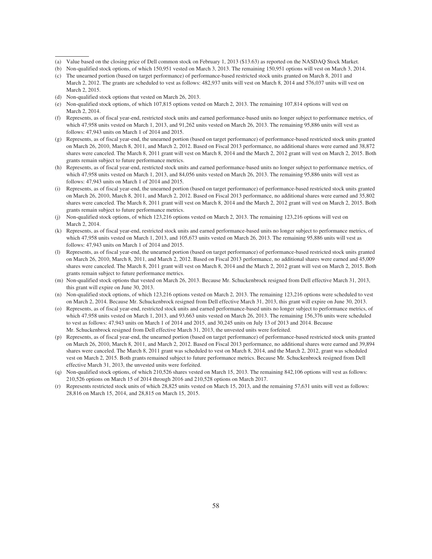- (a) Value based on the closing price of Dell common stock on February 1, 2013 (\$13.63) as reported on the NASDAQ Stock Market.
- (b) Non-qualified stock options, of which 150,951 vested on March 3, 2013. The remaining 150,951 options will vest on March 3, 2014.
- (c) The unearned portion (based on target performance) of performance-based restricted stock units granted on March 8, 2011 and March 2, 2012. The grants are scheduled to vest as follows: 482,937 units will vest on March 8, 2014 and 576,037 units will vest on March 2, 2015.
- (d) Non-qualified stock options that vested on March 26, 2013.
- (e) Non-qualified stock options, of which 107,815 options vested on March 2, 2013. The remaining 107,814 options will vest on March 2, 2014.
- (f) Represents, as of fiscal year-end, restricted stock units and earned performance-based units no longer subject to performance metrics, of which 47,958 units vested on March 1, 2013, and 91,262 units vested on March 26, 2013. The remaining 95,886 units will vest as follows: 47,943 units on March 1 of 2014 and 2015.
- (g) Represents, as of fiscal year-end, the unearned portion (based on target performance) of performance-based restricted stock units granted on March 26, 2010, March 8, 2011, and March 2, 2012. Based on Fiscal 2013 performance, no additional shares were earned and 38,872 shares were canceled. The March 8, 2011 grant will vest on March 8, 2014 and the March 2, 2012 grant will vest on March 2, 2015. Both grants remain subject to future performance metrics.
- (h) Represents, as of fiscal year-end, restricted stock units and earned performance-based units no longer subject to performance metrics, of which 47,958 units vested on March 1, 2013, and 84,056 units vested on March 26, 2013. The remaining 95,886 units will vest as follows: 47,943 units on March 1 of 2014 and 2015.
- (i) Represents, as of fiscal year-end, the unearned portion (based on target performance) of performance-based restricted stock units granted on March 26, 2010, March 8, 2011, and March 2, 2012. Based on Fiscal 2013 performance, no additional shares were earned and 35,802 shares were canceled. The March 8, 2011 grant will vest on March 8, 2014 and the March 2, 2012 grant will vest on March 2, 2015. Both grants remain subject to future performance metrics.
- (j) Non-qualified stock options, of which 123,216 options vested on March 2, 2013. The remaining 123,216 options will vest on March 2, 2014.
- (k) Represents, as of fiscal year-end, restricted stock units and earned performance-based units no longer subject to performance metrics, of which 47,958 units vested on March 1, 2013, and 105,673 units vested on March 26, 2013. The remaining 95,886 units will vest as follows: 47,943 units on March 1 of 2014 and 2015.
- (l) Represents, as of fiscal year-end, the unearned portion (based on target performance) of performance-based restricted stock units granted on March 26, 2010, March 8, 2011, and March 2, 2012. Based on Fiscal 2013 performance, no additional shares were earned and 45,009 shares were canceled. The March 8, 2011 grant will vest on March 8, 2014 and the March 2, 2012 grant will vest on March 2, 2015. Both grants remain subject to future performance metrics.
- (m) Non-qualified stock options that vested on March 26, 2013. Because Mr. Schuckenbrock resigned from Dell effective March 31, 2013, this grant will expire on June 30, 2013.
- (n) Non-qualified stock options, of which 123,216 options vested on March 2, 2013. The remaining 123,216 options were scheduled to vest on March 2, 2014. Because Mr. Schuckenbrock resigned from Dell effective March 31, 2013, this grant will expire on June 30, 2013.
- (o) Represents, as of fiscal year-end, restricted stock units and earned performance-based units no longer subject to performance metrics, of which 47,958 units vested on March 1, 2013, and 93,663 units vested on March 26, 2013. The remaining 156,376 units were scheduled to vest as follows: 47,943 units on March 1 of 2014 and 2015, and 30,245 units on July 13 of 2013 and 2014. Because Mr. Schuckenbrock resigned from Dell effective March 31, 2013, the unvested units were forfeited.
- (p) Represents, as of fiscal year-end, the unearned portion (based on target performance) of performance-based restricted stock units granted on March 26, 2010, March 8, 2011, and March 2, 2012. Based on Fiscal 2013 performance, no additional shares were earned and 39,894 shares were canceled. The March 8, 2011 grant was scheduled to vest on March 8, 2014, and the March 2, 2012, grant was scheduled vest on March 2, 2015. Both grants remained subject to future performance metrics. Because Mr. Schuckenbrock resigned from Dell effective March 31, 2013, the unvested units were forfeited.
- (q) Non-qualified stock options, of which 210,526 shares vested on March 15, 2013. The remaining 842,106 options will vest as follows: 210,526 options on March 15 of 2014 through 2016 and 210,528 options on March 2017.
- (r) Represents restricted stock units of which 28,825 units vested on March 15, 2013, and the remaining 57,631 units will vest as follows: 28,816 on March 15, 2014, and 28,815 on March 15, 2015.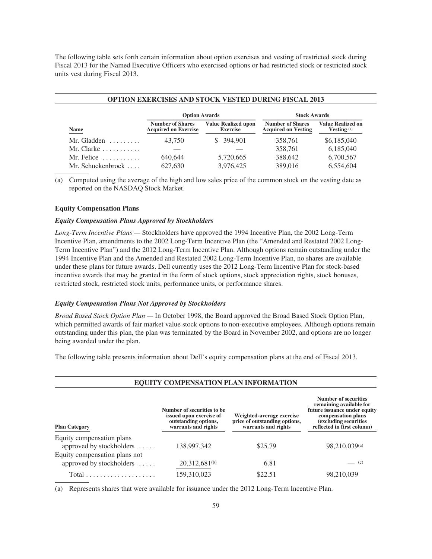The following table sets forth certain information about option exercises and vesting of restricted stock during Fiscal 2013 for the Named Executive Officers who exercised options or had restricted stock or restricted stock units vest during Fiscal 2013.

| <b>OPTION EXERCISES AND STOCK VESTED DURING FISCAL 2013</b> |                                                        |                                               |                                                       |                                         |  |  |  |
|-------------------------------------------------------------|--------------------------------------------------------|-----------------------------------------------|-------------------------------------------------------|-----------------------------------------|--|--|--|
|                                                             | <b>Option Awards</b>                                   |                                               | <b>Stock Awards</b>                                   |                                         |  |  |  |
| Name                                                        | <b>Number of Shares</b><br><b>Acquired on Exercise</b> | <b>Value Realized upon</b><br><b>Exercise</b> | <b>Number of Shares</b><br><b>Acquired on Vesting</b> | <b>Value Realized on</b><br>Vesting (a) |  |  |  |
| Mr. Gladden                                                 | 43,750                                                 | \$ 394,901                                    | 358,761                                               | \$6,185,040                             |  |  |  |
| Mr. Clarke $\ldots \ldots \ldots$                           |                                                        |                                               | 358,761                                               | 6,185,040                               |  |  |  |
| Mr. Felice $\dots \dots$                                    | 640.644                                                | 5,720,665                                     | 388,642                                               | 6,700,567                               |  |  |  |
| Mr. Schuckenbrock                                           | 627,630                                                | 3.976.425                                     | 389,016                                               | 6,554,604                               |  |  |  |

(a) Computed using the average of the high and low sales price of the common stock on the vesting date as reported on the NASDAQ Stock Market.

## **Equity Compensation Plans**

# *Equity Compensation Plans Approved by Stockholders*

*Long-Term Incentive Plans —* Stockholders have approved the 1994 Incentive Plan, the 2002 Long-Term Incentive Plan, amendments to the 2002 Long-Term Incentive Plan (the "Amended and Restated 2002 Long-Term Incentive Plan") and the 2012 Long-Term Incentive Plan. Although options remain outstanding under the 1994 Incentive Plan and the Amended and Restated 2002 Long-Term Incentive Plan, no shares are available under these plans for future awards. Dell currently uses the 2012 Long-Term Incentive Plan for stock-based incentive awards that may be granted in the form of stock options, stock appreciation rights, stock bonuses, restricted stock, restricted stock units, performance units, or performance shares.

## *Equity Compensation Plans Not Approved by Stockholders*

*Broad Based Stock Option Plan —* In October 1998, the Board approved the Broad Based Stock Option Plan, which permitted awards of fair market value stock options to non-executive employees. Although options remain outstanding under this plan, the plan was terminated by the Board in November 2002, and options are no longer being awarded under the plan.

The following table presents information about Dell's equity compensation plans at the end of Fiscal 2013.

| <b>Plan Category</b>                                      | Number of securities to be.<br>issued upon exercise of<br>outstanding options,<br>warrants and rights | Weighted-average exercise<br>price of outstanding options,<br>warrants and rights | Number of securities<br>remaining available for<br>future issuance under equity<br>compensation plans<br>(excluding securities)<br>reflected in first column) |
|-----------------------------------------------------------|-------------------------------------------------------------------------------------------------------|-----------------------------------------------------------------------------------|---------------------------------------------------------------------------------------------------------------------------------------------------------------|
| Equity compensation plans<br>approved by stockholders     | 138,997,342                                                                                           | \$25.79                                                                           | 98,210,039(a)                                                                                                                                                 |
| Equity compensation plans not<br>approved by stockholders | 20,312,681 <sup>(b)</sup>                                                                             | 6.81                                                                              | $\qquad$ (c)                                                                                                                                                  |
|                                                           | 159,310,023                                                                                           | \$22.51                                                                           | 98,210,039                                                                                                                                                    |

(a) Represents shares that were available for issuance under the 2012 Long-Term Incentive Plan.

# **EQUITY COMPENSATION PLAN INFORMATION**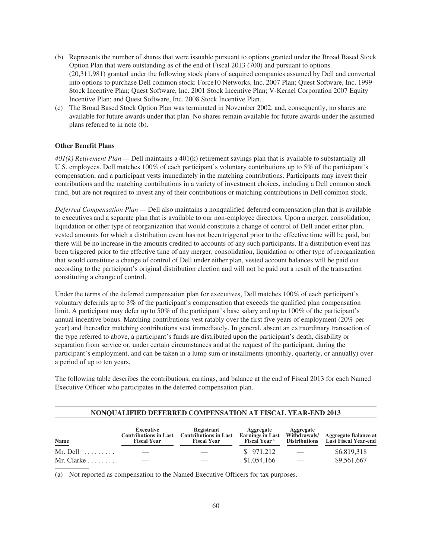- (b) Represents the number of shares that were issuable pursuant to options granted under the Broad Based Stock Option Plan that were outstanding as of the end of Fiscal 2013 (700) and pursuant to options (20,311,981) granted under the following stock plans of acquired companies assumed by Dell and converted into options to purchase Dell common stock: Force10 Networks, Inc. 2007 Plan; Quest Software, Inc. 1999 Stock Incentive Plan; Quest Software, Inc. 2001 Stock Incentive Plan; V-Kernel Corporation 2007 Equity Incentive Plan; and Quest Software, Inc. 2008 Stock Incentive Plan.
- (c) The Broad Based Stock Option Plan was terminated in November 2002, and, consequently, no shares are available for future awards under that plan. No shares remain available for future awards under the assumed plans referred to in note (b).

## **Other Benefit Plans**

*401(k) Retirement Plan —* Dell maintains a 401(k) retirement savings plan that is available to substantially all U.S. employees. Dell matches 100% of each participant's voluntary contributions up to 5% of the participant's compensation, and a participant vests immediately in the matching contributions. Participants may invest their contributions and the matching contributions in a variety of investment choices, including a Dell common stock fund, but are not required to invest any of their contributions or matching contributions in Dell common stock.

*Deferred Compensation Plan —* Dell also maintains a nonqualified deferred compensation plan that is available to executives and a separate plan that is available to our non-employee directors. Upon a merger, consolidation, liquidation or other type of reorganization that would constitute a change of control of Dell under either plan, vested amounts for which a distribution event has not been triggered prior to the effective time will be paid, but there will be no increase in the amounts credited to accounts of any such participants. If a distribution event has been triggered prior to the effective time of any merger, consolidation, liquidation or other type of reorganization that would constitute a change of control of Dell under either plan, vested account balances will be paid out according to the participant's original distribution election and will not be paid out a result of the transaction constituting a change of control.

Under the terms of the deferred compensation plan for executives, Dell matches 100% of each participant's voluntary deferrals up to 3% of the participant's compensation that exceeds the qualified plan compensation limit. A participant may defer up to 50% of the participant's base salary and up to 100% of the participant's annual incentive bonus. Matching contributions vest ratably over the first five years of employment (20% per year) and thereafter matching contributions vest immediately. In general, absent an extraordinary transaction of the type referred to above, a participant's funds are distributed upon the participant's death, disability or separation from service or, under certain circumstances and at the request of the participant, during the participant's employment, and can be taken in a lump sum or installments (monthly, quarterly, or annually) over a period of up to ten years.

The following table describes the contributions, earnings, and balance at the end of Fiscal 2013 for each Named Executive Officer who participates in the deferred compensation plan.

| <b>NONOUALIFIED DEFERRED COMPENSATION AT FISCAL YEAR-END 2013</b> |                                                                        |                                                                  |                                                                         |                                                   |                                                            |  |  |
|-------------------------------------------------------------------|------------------------------------------------------------------------|------------------------------------------------------------------|-------------------------------------------------------------------------|---------------------------------------------------|------------------------------------------------------------|--|--|
| Name                                                              | <b>Executive</b><br><b>Contributions in Last</b><br><b>Fiscal Year</b> | Registrant<br><b>Contributions in Last</b><br><b>Fiscal Year</b> | Aggregate<br><b>Earnings in Last</b><br><b>Fiscal Year</b> <sup>a</sup> | Aggregate<br>Withdrawals/<br><b>Distributions</b> | <b>Aggregate Balance at</b><br><b>Last Fiscal Year-end</b> |  |  |
| Mr. Dell $\dots \dots$                                            |                                                                        |                                                                  | \$971,212                                                               |                                                   | \$6,819,318                                                |  |  |
| Mr. Clarke $\ldots \ldots$                                        |                                                                        |                                                                  | \$1,054,166                                                             |                                                   | \$9,561,667                                                |  |  |

(a) Not reported as compensation to the Named Executive Officers for tax purposes.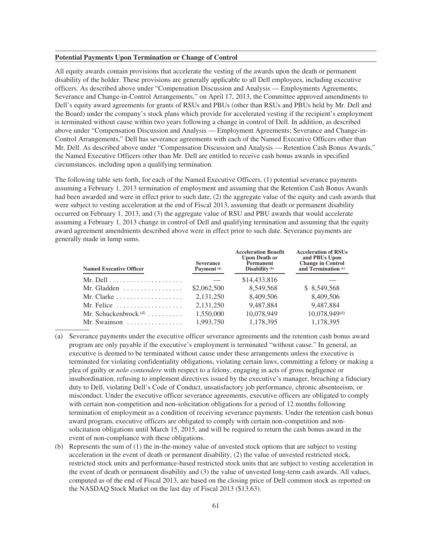### **Potential Payments Upon Termination or Change of Control**

All equity awards contain provisions that accelerate the vesting of the awards upon the death or permanent disability of the holder. These provisions are generally applicable to all Dell employees, including executive officers. As described above under "Compensation Discussion and Analysis — Employments Agreements; Severance and Change-in-Control Arrangements," on April 17, 2013, the Committee approved amendments to Dell's equity award agreements for grants of RSUs and PBUs (other than RSUs and PBUs held by Mr. Dell and the Board) under the company's stock plans which provide for accelerated vesting if the recipient's employment is terminated without cause within two years following a change in control of Dell. In addition, as described above under "Compensation Discussion and Analysis — Employment Agreements; Severance and Change-in-Control Arrangements," Dell has severance agreements with each of the Named Executive Officers other than Mr. Dell. As described above under "Compensation Discussion and Analysis — Retention Cash Bonus Awards," the Named Executive Officers other than Mr. Dell are entitled to receive cash bonus awards in specified circumstances, including upon a qualifying termination.

The following table sets forth, for each of the Named Executive Officers, (1) potential severance payments assuming a February 1, 2013 termination of employment and assuming that the Retention Cash Bonus Awards had been awarded and were in effect prior to such date, (2) the aggregate value of the equity and cash awards that were subject to vesting acceleration at the end of Fiscal 2013, assuming that death or permanent disability occurred on February 1, 2013, and (3) the aggregate value of RSU and PBU awards that would accelerate assuming a February 1, 2013 change in control of Dell and qualifying termination and assuming that the equity award agreement amendments described above were in effect prior to such date. Severance payments are generally made in lump sums.

| <b>Severance</b><br>Payment <sup>(a)</sup> | Acceleration Benefit<br><b>Upon Death or</b><br><b>Permanent</b><br>Disability $(b)$ | Acceleration of RSUS<br>and PBUs Upon<br><b>Change in Control</b><br>and Termination <sup>(c)</sup> |
|--------------------------------------------|--------------------------------------------------------------------------------------|-----------------------------------------------------------------------------------------------------|
|                                            | \$14,433,816                                                                         |                                                                                                     |
| \$2,062,500                                | 8.549.568                                                                            | \$ 8.549,568                                                                                        |
| 2.131.250                                  | 8,409,506                                                                            | 8.409.506                                                                                           |
| 2,131,250                                  | 9.487.884                                                                            | 9.487.884                                                                                           |
| 1,550,000                                  | 10,078,949                                                                           | 10,078,949(d)                                                                                       |
| 1,993,750                                  | 1,178,395                                                                            | 1,178,395                                                                                           |
|                                            |                                                                                      |                                                                                                     |

**Acceleration Benefit**

**ACCEL** 

- (a) Severance payments under the executive officer severance agreements and the retention cash bonus award program are only payable if the executive's employment is terminated "without cause." In general, an executive is deemed to be terminated without cause under these arrangements unless the executive is terminated for violating confidentiality obligations, violating certain laws, committing a felony or making a plea of guilty or *nolo contendere* with respect to a felony, engaging in acts of gross negligence or insubordination, refusing to implement directives issued by the executive's manager, breaching a fiduciary duty to Dell, violating Dell's Code of Conduct, unsatisfactory job performance, chronic absenteeism, or misconduct. Under the executive officer severance agreements, executive officers are obligated to comply with certain non-competition and non-solicitation obligations for a period of 12 months following termination of employment as a condition of receiving severance payments. Under the retention cash bonus award program, executive officers are obligated to comply with certain non-competition and nonsolicitation obligations until March 15, 2015, and will be required to return the cash bonus award in the event of non-compliance with these obligations.
- (b) Represents the sum of (1) the in-the-money value of unvested stock options that are subject to vesting acceleration in the event of death or permanent disability, (2) the value of unvested restricted stock, restricted stock units and performance-based restricted stock units that are subject to vesting acceleration in the event of death or permanent disability and (3) the value of unvested long-term cash awards. All values, computed as of the end of Fiscal 2013, are based on the closing price of Dell common stock as reported on the NASDAQ Stock Market on the last day of Fiscal 2013 (\$13.63).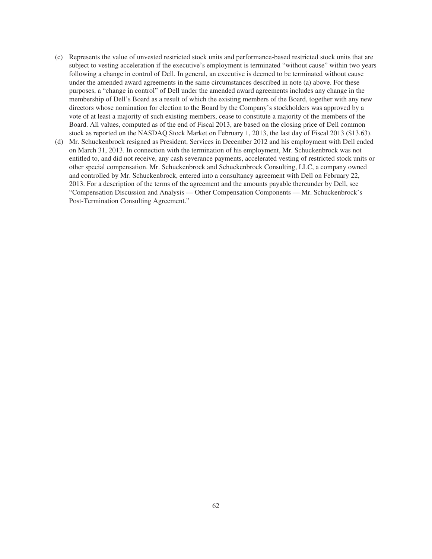- (c) Represents the value of unvested restricted stock units and performance-based restricted stock units that are subject to vesting acceleration if the executive's employment is terminated "without cause" within two years following a change in control of Dell. In general, an executive is deemed to be terminated without cause under the amended award agreements in the same circumstances described in note (a) above. For these purposes, a "change in control" of Dell under the amended award agreements includes any change in the membership of Dell's Board as a result of which the existing members of the Board, together with any new directors whose nomination for election to the Board by the Company's stockholders was approved by a vote of at least a majority of such existing members, cease to constitute a majority of the members of the Board. All values, computed as of the end of Fiscal 2013, are based on the closing price of Dell common stock as reported on the NASDAQ Stock Market on February 1, 2013, the last day of Fiscal 2013 (\$13.63).
- (d) Mr. Schuckenbrock resigned as President, Services in December 2012 and his employment with Dell ended on March 31, 2013. In connection with the termination of his employment, Mr. Schuckenbrock was not entitled to, and did not receive, any cash severance payments, accelerated vesting of restricted stock units or other special compensation. Mr. Schuckenbrock and Schuckenbrock Consulting, LLC, a company owned and controlled by Mr. Schuckenbrock, entered into a consultancy agreement with Dell on February 22, 2013. For a description of the terms of the agreement and the amounts payable thereunder by Dell, see "Compensation Discussion and Analysis — Other Compensation Components — Mr. Schuckenbrock's Post-Termination Consulting Agreement."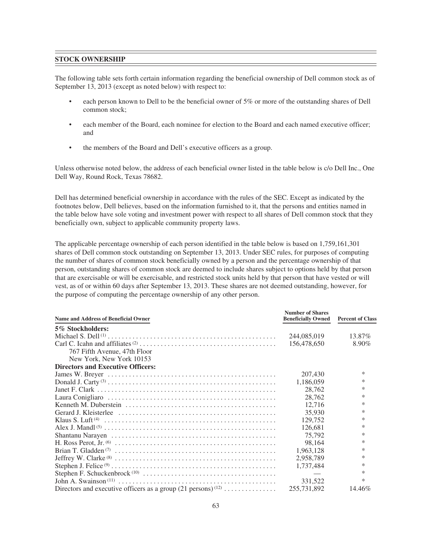## **STOCK OWNERSHIP**

The following table sets forth certain information regarding the beneficial ownership of Dell common stock as of September 13, 2013 (except as noted below) with respect to:

- each person known to Dell to be the beneficial owner of 5% or more of the outstanding shares of Dell common stock;
- each member of the Board, each nominee for election to the Board and each named executive officer; and
- the members of the Board and Dell's executive officers as a group.

Unless otherwise noted below, the address of each beneficial owner listed in the table below is c/o Dell Inc., One Dell Way, Round Rock, Texas 78682.

Dell has determined beneficial ownership in accordance with the rules of the SEC. Except as indicated by the footnotes below, Dell believes, based on the information furnished to it, that the persons and entities named in the table below have sole voting and investment power with respect to all shares of Dell common stock that they beneficially own, subject to applicable community property laws.

The applicable percentage ownership of each person identified in the table below is based on 1,759,161,301 shares of Dell common stock outstanding on September 13, 2013. Under SEC rules, for purposes of computing the number of shares of common stock beneficially owned by a person and the percentage ownership of that person, outstanding shares of common stock are deemed to include shares subject to options held by that person that are exercisable or will be exercisable, and restricted stock units held by that person that have vested or will vest, as of or within 60 days after September 13, 2013. These shares are not deemed outstanding, however, for the purpose of computing the percentage ownership of any other person.

| <b>Name and Address of Beneficial Owner</b>                               | <b>Number of Shares</b><br><b>Beneficially Owned</b> | <b>Percent of Class</b> |
|---------------------------------------------------------------------------|------------------------------------------------------|-------------------------|
| 5% Stockholders:                                                          |                                                      |                         |
|                                                                           | 244,085,019                                          | 13.87%                  |
|                                                                           | 156,478,650                                          | 8.90%                   |
| 767 Fifth Avenue, 47th Floor                                              |                                                      |                         |
| New York, New York 10153                                                  |                                                      |                         |
| <b>Directors and Executive Officers:</b>                                  |                                                      |                         |
|                                                                           | 207,430                                              | $\ast$                  |
|                                                                           | 1,186,059                                            | $\ast$                  |
|                                                                           | 28,762                                               | $\ast$                  |
|                                                                           | 28,762                                               | $\ast$                  |
|                                                                           | 12.716                                               | $\ast$                  |
|                                                                           | 35,930                                               | $\ast$                  |
|                                                                           | 129,752                                              | $\ast$                  |
|                                                                           | 126.681                                              | $\ast$                  |
|                                                                           | 75,792                                               | $\ast$                  |
|                                                                           | 98.164                                               | $\ast$                  |
|                                                                           | 1,963,128                                            | $\ast$                  |
|                                                                           | 2,958,789                                            | $\ast$                  |
|                                                                           | 1.737.484                                            | $\ast$                  |
|                                                                           |                                                      | $\ast$                  |
|                                                                           | 331,522                                              | $\ast$                  |
| Directors and executive officers as a group $(21 \text{ persons})^{(12)}$ | 255,731,892                                          | 14.46%                  |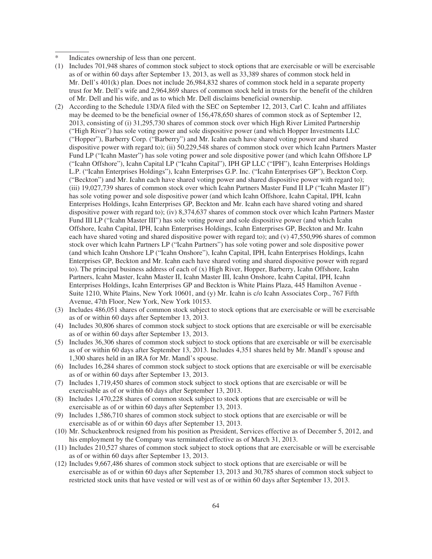- Indicates ownership of less than one percent.
- (1) Includes 701,948 shares of common stock subject to stock options that are exercisable or will be exercisable as of or within 60 days after September 13, 2013, as well as 33,389 shares of common stock held in Mr. Dell's 401(k) plan. Does not include 26,984,832 shares of common stock held in a separate property trust for Mr. Dell's wife and 2,964,869 shares of common stock held in trusts for the benefit of the children of Mr. Dell and his wife, and as to which Mr. Dell disclaims beneficial ownership.
- (2) According to the Schedule 13D/A filed with the SEC on September 12, 2013, Carl C. Icahn and affiliates may be deemed to be the beneficial owner of 156,478,650 shares of common stock as of September 12, 2013, consisting of (i) 31,295,730 shares of common stock over which High River Limited Partnership ("High River") has sole voting power and sole dispositive power (and which Hopper Investments LLC ("Hopper"), Barberry Corp. ("Barberry") and Mr. Icahn each have shared voting power and shared dispositive power with regard to); (ii) 50,229,548 shares of common stock over which Icahn Partners Master Fund LP ("Icahn Master") has sole voting power and sole dispositive power (and which Icahn Offshore LP ("Icahn Offshore"), Icahn Capital LP ("Icahn Capital"), IPH GP LLC ("IPH"), Icahn Enterprises Holdings L.P. ("Icahn Enterprises Holdings"), Icahn Enterprises G.P. Inc. ("Icahn Enterprises GP"), Beckton Corp. ("Beckton") and Mr. Icahn each have shared voting power and shared dispositive power with regard to); (iii) 19,027,739 shares of common stock over which Icahn Partners Master Fund II LP ("Icahn Master II") has sole voting power and sole dispositive power (and which Icahn Offshore, Icahn Capital, IPH, Icahn Enterprises Holdings, Icahn Enterprises GP, Beckton and Mr. Icahn each have shared voting and shared dispositive power with regard to); (iv) 8,374,637 shares of common stock over which Icahn Partners Master Fund III LP ("Icahn Master III") has sole voting power and sole dispositive power (and which Icahn Offshore, Icahn Capital, IPH, Icahn Enterprises Holdings, Icahn Enterprises GP, Beckton and Mr. Icahn each have shared voting and shared dispositive power with regard to); and (v) 47,550,996 shares of common stock over which Icahn Partners LP ("Icahn Partners") has sole voting power and sole dispositive power (and which Icahn Onshore LP ("Icahn Onshore"), Icahn Capital, IPH, Icahn Enterprises Holdings, Icahn Enterprises GP, Beckton and Mr. Icahn each have shared voting and shared dispositive power with regard to). The principal business address of each of (x) High River, Hopper, Barberry, Icahn Offshore, Icahn Partners, Icahn Master, Icahn Master II, Icahn Master III, Icahn Onshore, Icahn Capital, IPH, Icahn Enterprises Holdings, Icahn Enterprises GP and Beckton is White Plains Plaza, 445 Hamilton Avenue - Suite 1210, White Plains, New York 10601, and (y) Mr. Icahn is c/o Icahn Associates Corp., 767 Fifth Avenue, 47th Floor, New York, New York 10153.
- (3) Includes 486,051 shares of common stock subject to stock options that are exercisable or will be exercisable as of or within 60 days after September 13, 2013.
- (4) Includes 30,806 shares of common stock subject to stock options that are exercisable or will be exercisable as of or within 60 days after September 13, 2013.
- (5) Includes 36,306 shares of common stock subject to stock options that are exercisable or will be exercisable as of or within 60 days after September 13, 2013. Includes 4,351 shares held by Mr. Mandl's spouse and 1,300 shares held in an IRA for Mr. Mandl's spouse.
- (6) Includes 16,284 shares of common stock subject to stock options that are exercisable or will be exercisable as of or within 60 days after September 13, 2013.
- (7) Includes 1,719,450 shares of common stock subject to stock options that are exercisable or will be exercisable as of or within 60 days after September 13, 2013.
- (8) Includes 1,470,228 shares of common stock subject to stock options that are exercisable or will be exercisable as of or within 60 days after September 13, 2013.
- (9) Includes 1,586,710 shares of common stock subject to stock options that are exercisable or will be exercisable as of or within 60 days after September 13, 2013.
- (10) Mr. Schuckenbrock resigned from his position as President, Services effective as of December 5, 2012, and his employment by the Company was terminated effective as of March 31, 2013.
- (11) Includes 210,527 shares of common stock subject to stock options that are exercisable or will be exercisable as of or within 60 days after September 13, 2013.
- (12) Includes 9,667,486 shares of common stock subject to stock options that are exercisable or will be exercisable as of or within 60 days after September 13, 2013 and 30,785 shares of common stock subject to restricted stock units that have vested or will vest as of or within 60 days after September 13, 2013.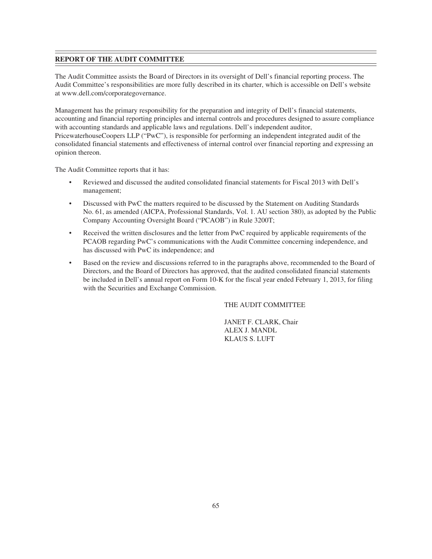# **REPORT OF THE AUDIT COMMITTEE**

The Audit Committee assists the Board of Directors in its oversight of Dell's financial reporting process. The Audit Committee's responsibilities are more fully described in its charter, which is accessible on Dell's website at www.dell.com/corporategovernance.

Management has the primary responsibility for the preparation and integrity of Dell's financial statements, accounting and financial reporting principles and internal controls and procedures designed to assure compliance with accounting standards and applicable laws and regulations. Dell's independent auditor, PricewaterhouseCoopers LLP ("PwC"), is responsible for performing an independent integrated audit of the consolidated financial statements and effectiveness of internal control over financial reporting and expressing an opinion thereon.

The Audit Committee reports that it has:

- Reviewed and discussed the audited consolidated financial statements for Fiscal 2013 with Dell's management;
- Discussed with PwC the matters required to be discussed by the Statement on Auditing Standards No. 61, as amended (AICPA, Professional Standards, Vol. 1. AU section 380), as adopted by the Public Company Accounting Oversight Board ("PCAOB") in Rule 3200T;
- Received the written disclosures and the letter from PwC required by applicable requirements of the PCAOB regarding PwC's communications with the Audit Committee concerning independence, and has discussed with PwC its independence; and
- Based on the review and discussions referred to in the paragraphs above, recommended to the Board of Directors, and the Board of Directors has approved, that the audited consolidated financial statements be included in Dell's annual report on Form 10-K for the fiscal year ended February 1, 2013, for filing with the Securities and Exchange Commission.

THE AUDIT COMMITTEE

JANET F. CLARK, Chair ALEX J. MANDL KLAUS S. LUFT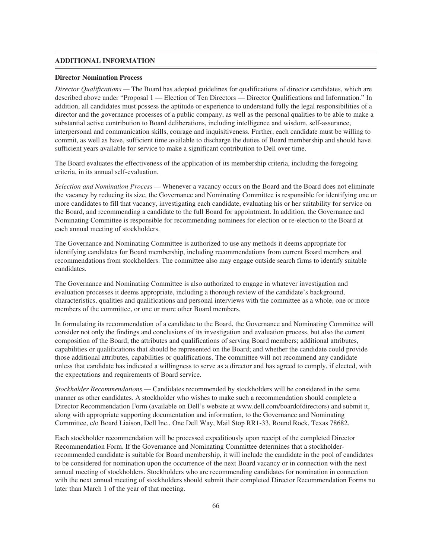#### **ADDITIONAL INFORMATION**

#### **Director Nomination Process**

*Director Qualifications —* The Board has adopted guidelines for qualifications of director candidates, which are described above under "Proposal 1 — Election of Ten Directors — Director Qualifications and Information." In addition, all candidates must possess the aptitude or experience to understand fully the legal responsibilities of a director and the governance processes of a public company, as well as the personal qualities to be able to make a substantial active contribution to Board deliberations, including intelligence and wisdom, self-assurance, interpersonal and communication skills, courage and inquisitiveness. Further, each candidate must be willing to commit, as well as have, sufficient time available to discharge the duties of Board membership and should have sufficient years available for service to make a significant contribution to Dell over time.

The Board evaluates the effectiveness of the application of its membership criteria, including the foregoing criteria, in its annual self-evaluation.

*Selection and Nomination Process —* Whenever a vacancy occurs on the Board and the Board does not eliminate the vacancy by reducing its size, the Governance and Nominating Committee is responsible for identifying one or more candidates to fill that vacancy, investigating each candidate, evaluating his or her suitability for service on the Board, and recommending a candidate to the full Board for appointment. In addition, the Governance and Nominating Committee is responsible for recommending nominees for election or re-election to the Board at each annual meeting of stockholders.

The Governance and Nominating Committee is authorized to use any methods it deems appropriate for identifying candidates for Board membership, including recommendations from current Board members and recommendations from stockholders. The committee also may engage outside search firms to identify suitable candidates.

The Governance and Nominating Committee is also authorized to engage in whatever investigation and evaluation processes it deems appropriate, including a thorough review of the candidate's background, characteristics, qualities and qualifications and personal interviews with the committee as a whole, one or more members of the committee, or one or more other Board members.

In formulating its recommendation of a candidate to the Board, the Governance and Nominating Committee will consider not only the findings and conclusions of its investigation and evaluation process, but also the current composition of the Board; the attributes and qualifications of serving Board members; additional attributes, capabilities or qualifications that should be represented on the Board; and whether the candidate could provide those additional attributes, capabilities or qualifications. The committee will not recommend any candidate unless that candidate has indicated a willingness to serve as a director and has agreed to comply, if elected, with the expectations and requirements of Board service.

*Stockholder Recommendations* — Candidates recommended by stockholders will be considered in the same manner as other candidates. A stockholder who wishes to make such a recommendation should complete a Director Recommendation Form (available on Dell's website at www.dell.com/boardofdirectors) and submit it, along with appropriate supporting documentation and information, to the Governance and Nominating Committee, c/o Board Liaison, Dell Inc., One Dell Way, Mail Stop RR1-33, Round Rock, Texas 78682.

Each stockholder recommendation will be processed expeditiously upon receipt of the completed Director Recommendation Form. If the Governance and Nominating Committee determines that a stockholderrecommended candidate is suitable for Board membership, it will include the candidate in the pool of candidates to be considered for nomination upon the occurrence of the next Board vacancy or in connection with the next annual meeting of stockholders. Stockholders who are recommending candidates for nomination in connection with the next annual meeting of stockholders should submit their completed Director Recommendation Forms no later than March 1 of the year of that meeting.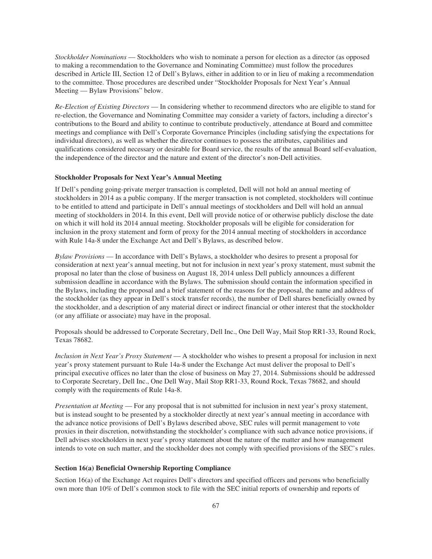*Stockholder Nominations* — Stockholders who wish to nominate a person for election as a director (as opposed to making a recommendation to the Governance and Nominating Committee) must follow the procedures described in Article III, Section 12 of Dell's Bylaws, either in addition to or in lieu of making a recommendation to the committee. Those procedures are described under "Stockholder Proposals for Next Year's Annual Meeting — Bylaw Provisions" below.

*Re-Election of Existing Directors* — In considering whether to recommend directors who are eligible to stand for re-election, the Governance and Nominating Committee may consider a variety of factors, including a director's contributions to the Board and ability to continue to contribute productively, attendance at Board and committee meetings and compliance with Dell's Corporate Governance Principles (including satisfying the expectations for individual directors), as well as whether the director continues to possess the attributes, capabilities and qualifications considered necessary or desirable for Board service, the results of the annual Board self-evaluation, the independence of the director and the nature and extent of the director's non-Dell activities.

## **Stockholder Proposals for Next Year's Annual Meeting**

If Dell's pending going-private merger transaction is completed, Dell will not hold an annual meeting of stockholders in 2014 as a public company. If the merger transaction is not completed, stockholders will continue to be entitled to attend and participate in Dell's annual meetings of stockholders and Dell will hold an annual meeting of stockholders in 2014. In this event, Dell will provide notice of or otherwise publicly disclose the date on which it will hold its 2014 annual meeting. Stockholder proposals will be eligible for consideration for inclusion in the proxy statement and form of proxy for the 2014 annual meeting of stockholders in accordance with Rule 14a-8 under the Exchange Act and Dell's Bylaws, as described below.

*Bylaw Provisions* — In accordance with Dell's Bylaws, a stockholder who desires to present a proposal for consideration at next year's annual meeting, but not for inclusion in next year's proxy statement, must submit the proposal no later than the close of business on August 18, 2014 unless Dell publicly announces a different submission deadline in accordance with the Bylaws. The submission should contain the information specified in the Bylaws, including the proposal and a brief statement of the reasons for the proposal, the name and address of the stockholder (as they appear in Dell's stock transfer records), the number of Dell shares beneficially owned by the stockholder, and a description of any material direct or indirect financial or other interest that the stockholder (or any affiliate or associate) may have in the proposal.

Proposals should be addressed to Corporate Secretary, Dell Inc., One Dell Way, Mail Stop RR1-33, Round Rock, Texas 78682.

*Inclusion in Next Year's Proxy Statement* — A stockholder who wishes to present a proposal for inclusion in next year's proxy statement pursuant to Rule 14a-8 under the Exchange Act must deliver the proposal to Dell's principal executive offices no later than the close of business on May 27, 2014. Submissions should be addressed to Corporate Secretary, Dell Inc., One Dell Way, Mail Stop RR1-33, Round Rock, Texas 78682, and should comply with the requirements of Rule 14a-8.

*Presentation at Meeting* — For any proposal that is not submitted for inclusion in next year's proxy statement, but is instead sought to be presented by a stockholder directly at next year's annual meeting in accordance with the advance notice provisions of Dell's Bylaws described above, SEC rules will permit management to vote proxies in their discretion, notwithstanding the stockholder's compliance with such advance notice provisions, if Dell advises stockholders in next year's proxy statement about the nature of the matter and how management intends to vote on such matter, and the stockholder does not comply with specified provisions of the SEC's rules.

## **Section 16(a) Beneficial Ownership Reporting Compliance**

Section 16(a) of the Exchange Act requires Dell's directors and specified officers and persons who beneficially own more than 10% of Dell's common stock to file with the SEC initial reports of ownership and reports of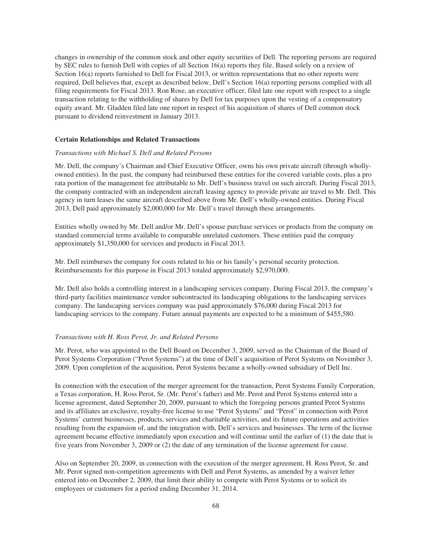changes in ownership of the common stock and other equity securities of Dell. The reporting persons are required by SEC rules to furnish Dell with copies of all Section 16(a) reports they file. Based solely on a review of Section 16(a) reports furnished to Dell for Fiscal 2013, or written representations that no other reports were required, Dell believes that, except as described below, Dell's Section 16(a) reporting persons complied with all filing requirements for Fiscal 2013. Ron Rose, an executive officer, filed late one report with respect to a single transaction relating to the withholding of shares by Dell for tax purposes upon the vesting of a compensatory equity award. Mr. Gladden filed late one report in respect of his acquisition of shares of Dell common stock pursuant to dividend reinvestment in January 2013.

### **Certain Relationships and Related Transactions**

#### *Transactions with Michael S. Dell and Related Persons*

Mr. Dell, the company's Chairman and Chief Executive Officer, owns his own private aircraft (through whollyowned entities). In the past, the company had reimbursed these entities for the covered variable costs, plus a pro rata portion of the management fee attributable to Mr. Dell's business travel on such aircraft. During Fiscal 2013, the company contracted with an independent aircraft leasing agency to provide private air travel to Mr. Dell. This agency in turn leases the same aircraft described above from Mr. Dell's wholly-owned entities. During Fiscal 2013, Dell paid approximately \$2,000,000 for Mr. Dell's travel through these arrangements.

Entities wholly owned by Mr. Dell and/or Mr. Dell's spouse purchase services or products from the company on standard commercial terms available to comparable unrelated customers. These entities paid the company approximately \$1,350,000 for services and products in Fiscal 2013.

Mr. Dell reimburses the company for costs related to his or his family's personal security protection. Reimbursements for this purpose in Fiscal 2013 totaled approximately \$2,970,000.

Mr. Dell also holds a controlling interest in a landscaping services company. During Fiscal 2013, the company's third-party facilities maintenance vendor subcontracted its landscaping obligations to the landscaping services company. The landscaping services company was paid approximately \$76,000 during Fiscal 2013 for landscaping services to the company. Future annual payments are expected to be a minimum of \$455,580.

### *Transactions with H. Ross Perot, Jr. and Related Persons*

Mr. Perot, who was appointed to the Dell Board on December 3, 2009, served as the Chairman of the Board of Perot Systems Corporation ("Perot Systems") at the time of Dell's acquisition of Perot Systems on November 3, 2009. Upon completion of the acquisition, Perot Systems became a wholly-owned subsidiary of Dell Inc.

In connection with the execution of the merger agreement for the transaction, Perot Systems Family Corporation, a Texas corporation, H. Ross Perot, Sr. (Mr. Perot's father) and Mr. Perot and Perot Systems entered into a license agreement, dated September 20, 2009, pursuant to which the foregoing persons granted Perot Systems and its affiliates an exclusive, royalty-free license to use "Perot Systems" and "Perot" in connection with Perot Systems' current businesses, products, services and charitable activities, and its future operations and activities resulting from the expansion of, and the integration with, Dell's services and businesses. The term of the license agreement became effective immediately upon execution and will continue until the earlier of (1) the date that is five years from November 3, 2009 or (2) the date of any termination of the license agreement for cause.

Also on September 20, 2009, in connection with the execution of the merger agreement, H. Ross Perot, Sr. and Mr. Perot signed non-competition agreements with Dell and Perot Systems, as amended by a waiver letter entered into on December 2, 2009, that limit their ability to compete with Perot Systems or to solicit its employees or customers for a period ending December 31, 2014.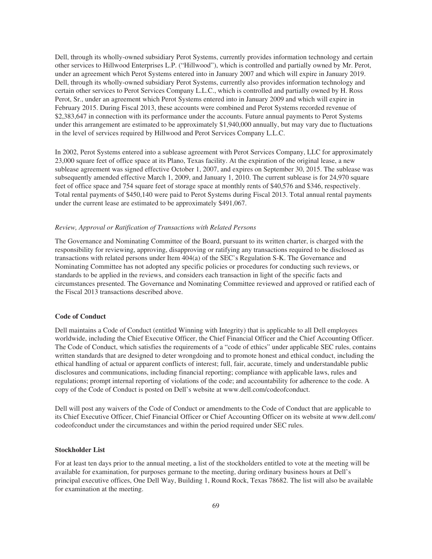Dell, through its wholly-owned subsidiary Perot Systems, currently provides information technology and certain other services to Hillwood Enterprises L.P. ("Hillwood"), which is controlled and partially owned by Mr. Perot, under an agreement which Perot Systems entered into in January 2007 and which will expire in January 2019. Dell, through its wholly-owned subsidiary Perot Systems, currently also provides information technology and certain other services to Perot Services Company L.L.C., which is controlled and partially owned by H. Ross Perot, Sr., under an agreement which Perot Systems entered into in January 2009 and which will expire in February 2015. During Fiscal 2013, these accounts were combined and Perot Systems recorded revenue of \$2,383,647 in connection with its performance under the accounts. Future annual payments to Perot Systems under this arrangement are estimated to be approximately \$1,940,000 annually, but may vary due to fluctuations in the level of services required by Hillwood and Perot Services Company L.L.C.

In 2002, Perot Systems entered into a sublease agreement with Perot Services Company, LLC for approximately 23,000 square feet of office space at its Plano, Texas facility. At the expiration of the original lease, a new sublease agreement was signed effective October 1, 2007, and expires on September 30, 2015. The sublease was subsequently amended effective March 1, 2009, and January 1, 2010. The current sublease is for 24,970 square feet of office space and 754 square feet of storage space at monthly rents of \$40,576 and \$346, respectively. Total rental payments of \$450,140 were paid to Perot Systems during Fiscal 2013. Total annual rental payments under the current lease are estimated to be approximately \$491,067.

#### *Review, Approval or Ratification of Transactions with Related Persons*

The Governance and Nominating Committee of the Board, pursuant to its written charter, is charged with the responsibility for reviewing, approving, disapproving or ratifying any transactions required to be disclosed as transactions with related persons under Item 404(a) of the SEC's Regulation S-K. The Governance and Nominating Committee has not adopted any specific policies or procedures for conducting such reviews, or standards to be applied in the reviews, and considers each transaction in light of the specific facts and circumstances presented. The Governance and Nominating Committee reviewed and approved or ratified each of the Fiscal 2013 transactions described above.

#### **Code of Conduct**

Dell maintains a Code of Conduct (entitled Winning with Integrity) that is applicable to all Dell employees worldwide, including the Chief Executive Officer, the Chief Financial Officer and the Chief Accounting Officer. The Code of Conduct, which satisfies the requirements of a "code of ethics" under applicable SEC rules, contains written standards that are designed to deter wrongdoing and to promote honest and ethical conduct, including the ethical handling of actual or apparent conflicts of interest; full, fair, accurate, timely and understandable public disclosures and communications, including financial reporting; compliance with applicable laws, rules and regulations; prompt internal reporting of violations of the code; and accountability for adherence to the code. A copy of the Code of Conduct is posted on Dell's website at www.dell.com/codeofconduct.

Dell will post any waivers of the Code of Conduct or amendments to the Code of Conduct that are applicable to its Chief Executive Officer, Chief Financial Officer or Chief Accounting Officer on its website at www.dell.com/ codeofconduct under the circumstances and within the period required under SEC rules.

## **Stockholder List**

For at least ten days prior to the annual meeting, a list of the stockholders entitled to vote at the meeting will be available for examination, for purposes germane to the meeting, during ordinary business hours at Dell's principal executive offices, One Dell Way, Building 1, Round Rock, Texas 78682. The list will also be available for examination at the meeting.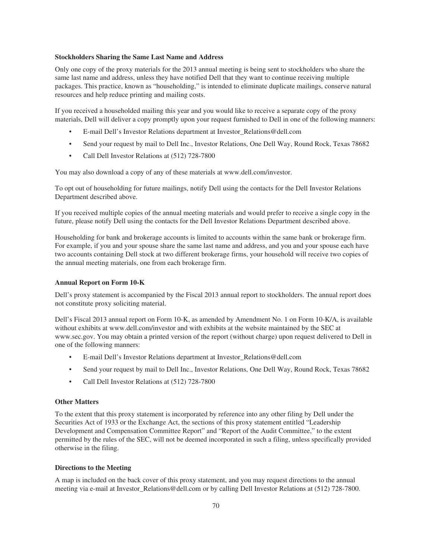### **Stockholders Sharing the Same Last Name and Address**

Only one copy of the proxy materials for the 2013 annual meeting is being sent to stockholders who share the same last name and address, unless they have notified Dell that they want to continue receiving multiple packages. This practice, known as "householding," is intended to eliminate duplicate mailings, conserve natural resources and help reduce printing and mailing costs.

If you received a householded mailing this year and you would like to receive a separate copy of the proxy materials, Dell will deliver a copy promptly upon your request furnished to Dell in one of the following manners:

- E-mail Dell's Investor Relations department at Investor\_Relations@dell.com
- Send your request by mail to Dell Inc., Investor Relations, One Dell Way, Round Rock, Texas 78682
- Call Dell Investor Relations at (512) 728-7800

You may also download a copy of any of these materials at www.dell.com/investor.

To opt out of householding for future mailings, notify Dell using the contacts for the Dell Investor Relations Department described above.

If you received multiple copies of the annual meeting materials and would prefer to receive a single copy in the future, please notify Dell using the contacts for the Dell Investor Relations Department described above.

Householding for bank and brokerage accounts is limited to accounts within the same bank or brokerage firm. For example, if you and your spouse share the same last name and address, and you and your spouse each have two accounts containing Dell stock at two different brokerage firms, your household will receive two copies of the annual meeting materials, one from each brokerage firm.

### **Annual Report on Form 10-K**

Dell's proxy statement is accompanied by the Fiscal 2013 annual report to stockholders. The annual report does not constitute proxy soliciting material.

Dell's Fiscal 2013 annual report on Form 10-K, as amended by Amendment No. 1 on Form 10-K/A, is available without exhibits at www.dell.com/investor and with exhibits at the website maintained by the SEC at www.sec.gov. You may obtain a printed version of the report (without charge) upon request delivered to Dell in one of the following manners:

- E-mail Dell's Investor Relations department at Investor\_Relations@dell.com
- Send your request by mail to Dell Inc., Investor Relations, One Dell Way, Round Rock, Texas 78682
- Call Dell Investor Relations at (512) 728-7800

### **Other Matters**

To the extent that this proxy statement is incorporated by reference into any other filing by Dell under the Securities Act of 1933 or the Exchange Act, the sections of this proxy statement entitled "Leadership Development and Compensation Committee Report" and "Report of the Audit Committee," to the extent permitted by the rules of the SEC, will not be deemed incorporated in such a filing, unless specifically provided otherwise in the filing.

#### **Directions to the Meeting**

A map is included on the back cover of this proxy statement, and you may request directions to the annual meeting via e-mail at Investor\_Relations@dell.com or by calling Dell Investor Relations at (512) 728-7800.